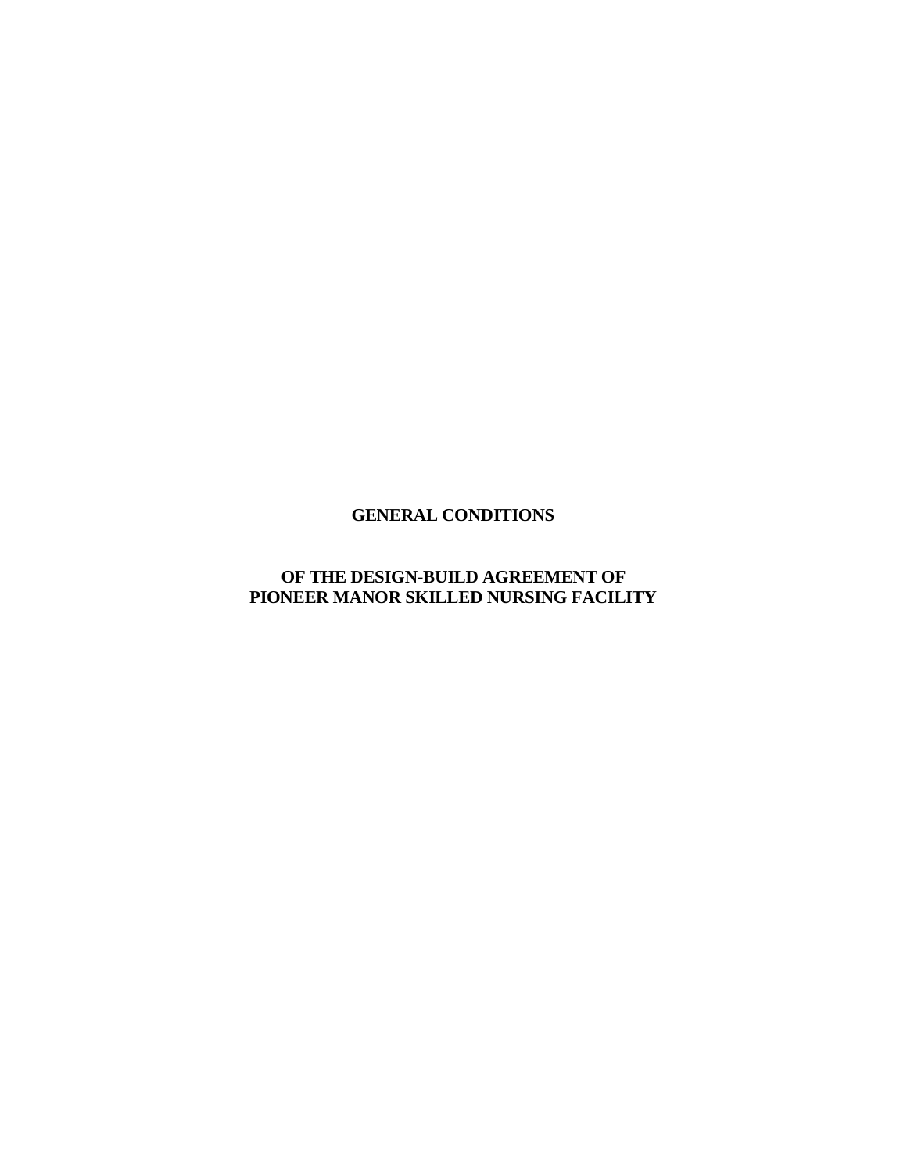# **GENERAL CONDITIONS**

# **OF THE DESIGN-BUILD AGREEMENT OF PIONEER MANOR SKILLED NURSING FACILITY**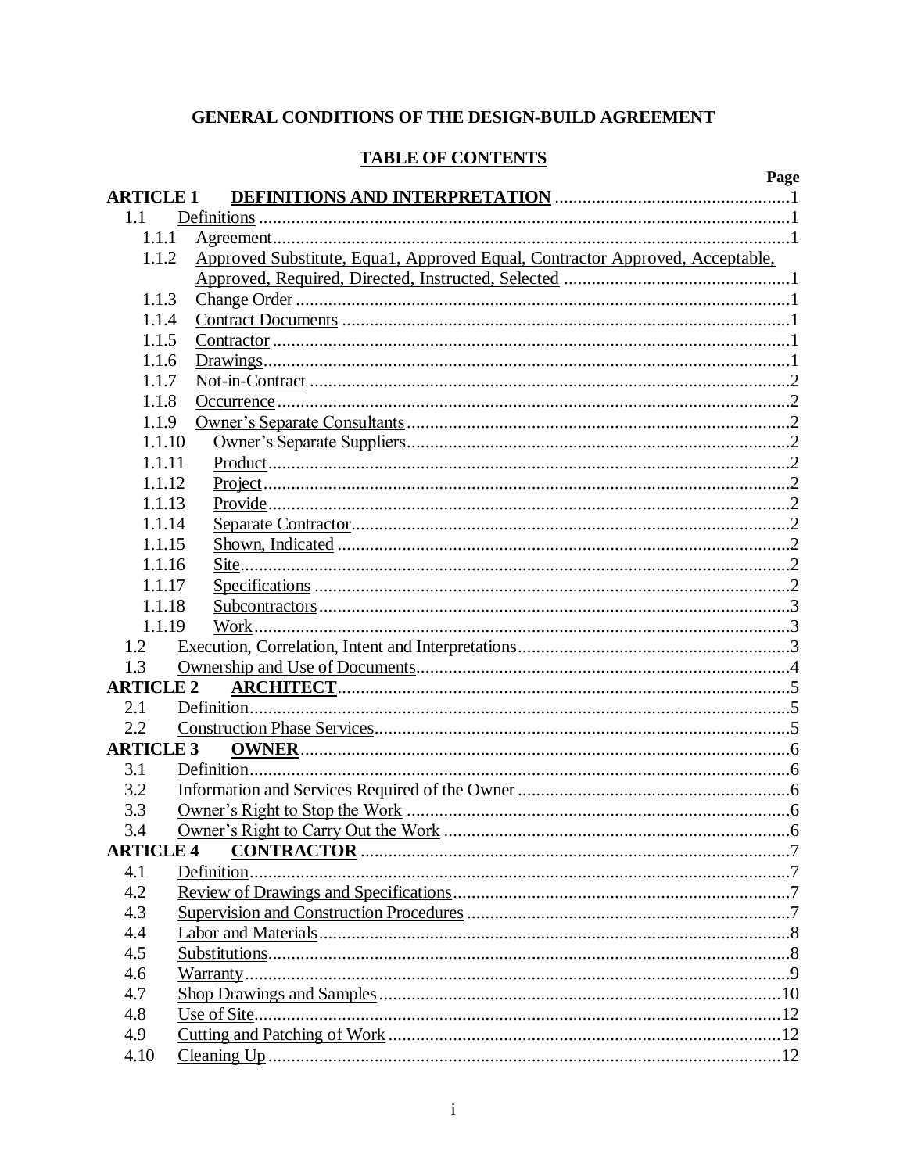# GENERAL CONDITIONS OF THE DESIGN-BUILD AGREEMENT

# **TABLE OF CONTENTS**

|                  | Page                                                                         |
|------------------|------------------------------------------------------------------------------|
| <b>ARTICLE 1</b> |                                                                              |
| 1.1              |                                                                              |
| 1.1.1            |                                                                              |
| 1.1.2            | Approved Substitute, Equa1, Approved Equal, Contractor Approved, Acceptable, |
|                  |                                                                              |
| 1.1.3            |                                                                              |
| 1.1.4            |                                                                              |
| 1.1.5            |                                                                              |
| 1.1.6            |                                                                              |
| 1.1.7            |                                                                              |
| 1.1.8            |                                                                              |
| 1.1.9            |                                                                              |
| 1.1.10           |                                                                              |
| 1.1.11           |                                                                              |
| 1.1.12           |                                                                              |
| 1.1.13           |                                                                              |
| 1.1.14           |                                                                              |
| 1.1.15           |                                                                              |
| 1.1.16           |                                                                              |
| 1.1.17           |                                                                              |
| 1.1.18           |                                                                              |
| 1.1.19           | Work.                                                                        |
| 1.2              |                                                                              |
| 1.3              |                                                                              |
| <b>ARTICLE 2</b> |                                                                              |
| 2.1              |                                                                              |
| 2.2              |                                                                              |
| <b>ARTICLE 3</b> |                                                                              |
| 3.1              |                                                                              |
| 3.2              |                                                                              |
| 3.3              |                                                                              |
| 3.4              |                                                                              |
| <b>ARTICLE 4</b> |                                                                              |
| 4.1              |                                                                              |
| 4.2              |                                                                              |
| 4.3              |                                                                              |
| 4.4              |                                                                              |
| 4.5              |                                                                              |
| 4.6              |                                                                              |
| 4.7              |                                                                              |
| 4.8              |                                                                              |
|                  |                                                                              |
| 4.9              |                                                                              |
| 4.10             |                                                                              |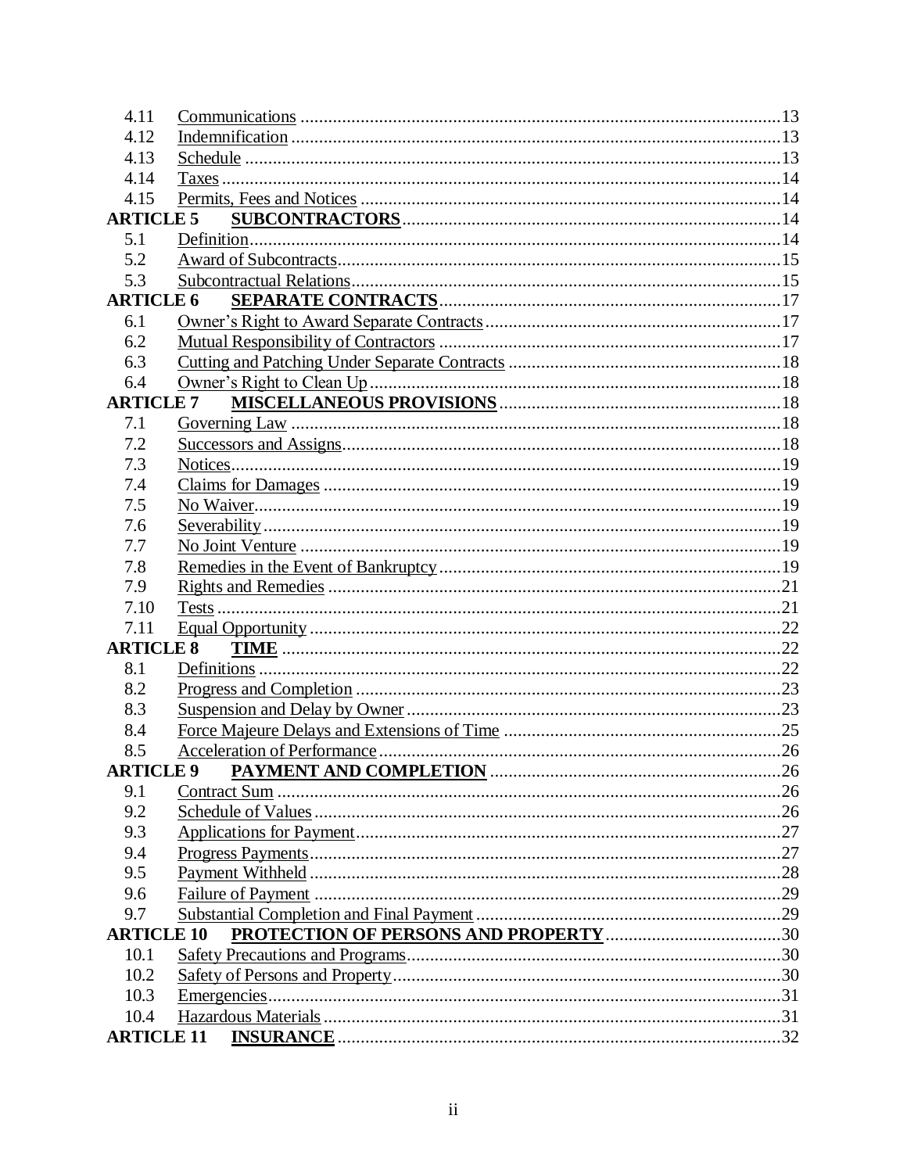| 4.11              |                                   |     |
|-------------------|-----------------------------------|-----|
| 4.12              |                                   |     |
| 4.13              |                                   |     |
| 4.14              |                                   |     |
| 4.15              |                                   |     |
| <b>ARTICLE 5</b>  |                                   |     |
| 5.1               |                                   |     |
| 5.2               |                                   |     |
| 5.3               |                                   |     |
| <b>ARTICLE 6</b>  |                                   |     |
| 6.1               |                                   |     |
| 6.2               |                                   |     |
| 6.3               |                                   |     |
| 6.4               |                                   |     |
| <b>ARTICLE 7</b>  |                                   |     |
| 7.1               |                                   |     |
| 7.2               |                                   |     |
| 7.3               |                                   |     |
| 7.4               |                                   |     |
| 7.5               |                                   |     |
| 7.6               |                                   |     |
| 7.7               |                                   |     |
| 7.8               |                                   |     |
| 7.9               |                                   |     |
| 7.10              |                                   |     |
| 7.11              |                                   |     |
| <b>ARTICLE 8</b>  |                                   |     |
| 8.1               |                                   |     |
| 8.2               |                                   |     |
| 8.3               |                                   |     |
| 8.4               |                                   |     |
| 8.5               |                                   |     |
|                   | ARTICLE 9 PAYMENT AND COMPLETION. | .26 |
| 9.1               |                                   |     |
| 9.2               |                                   |     |
| 9.3               |                                   |     |
| 9.4               |                                   |     |
| 9.5               |                                   |     |
| 9.6               |                                   |     |
| 9.7               |                                   |     |
| <b>ARTICLE 10</b> |                                   |     |
| 10.1              |                                   |     |
| 10.2              |                                   |     |
| 10.3              |                                   |     |
| 10.4              |                                   |     |
| <b>ARTICLE 11</b> |                                   |     |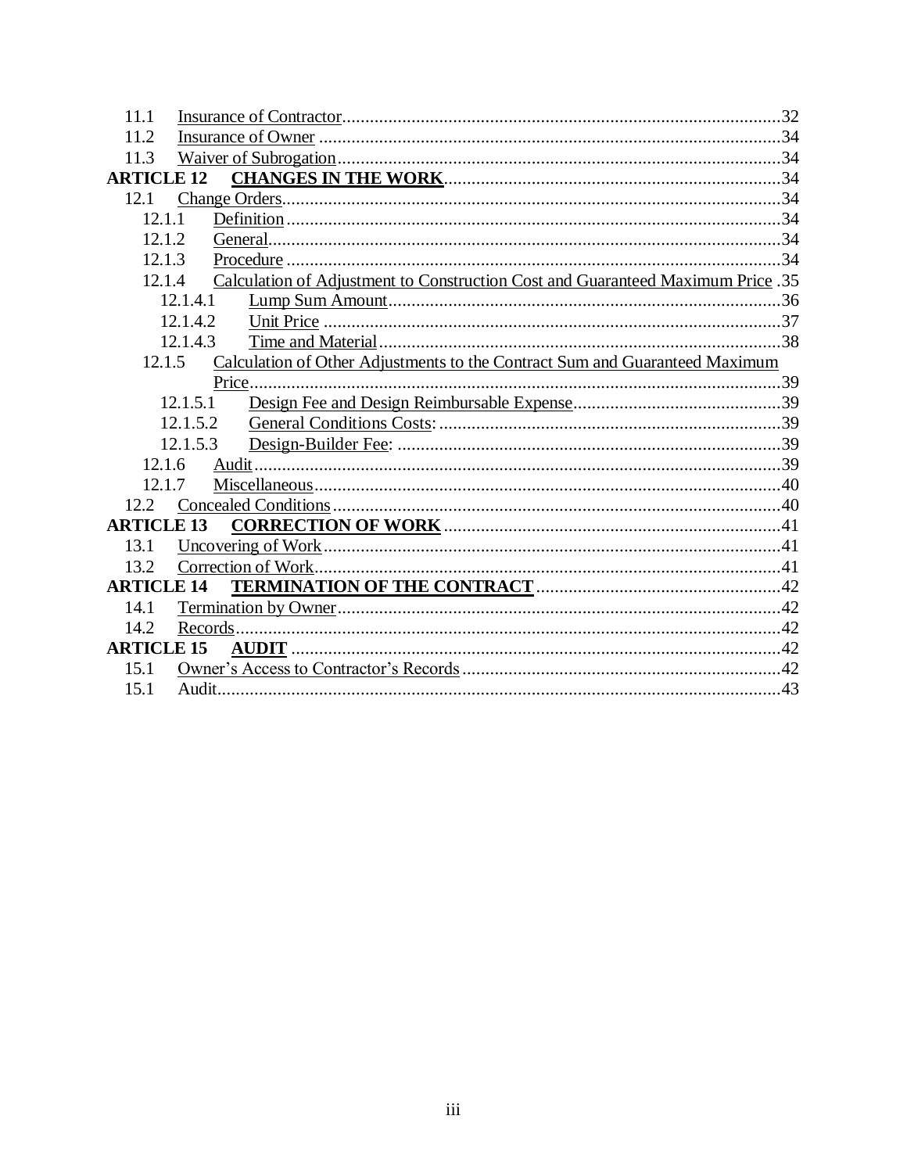| 11.1                                                                                      |  |  |  |
|-------------------------------------------------------------------------------------------|--|--|--|
| 11.2                                                                                      |  |  |  |
| 11.3                                                                                      |  |  |  |
| <b>ARTICLE 12</b>                                                                         |  |  |  |
| 12.1                                                                                      |  |  |  |
| 12.1.1                                                                                    |  |  |  |
| 12.1.2                                                                                    |  |  |  |
| 12.1.3                                                                                    |  |  |  |
| Calculation of Adjustment to Construction Cost and Guaranteed Maximum Price .35<br>12.1.4 |  |  |  |
| 12.1.4.1                                                                                  |  |  |  |
| 12.1.4.2                                                                                  |  |  |  |
| 12.1.4.3                                                                                  |  |  |  |
| Calculation of Other Adjustments to the Contract Sum and Guaranteed Maximum<br>12.1.5     |  |  |  |
| Price.                                                                                    |  |  |  |
| 12.1.5.1                                                                                  |  |  |  |
| 12.1.5.2                                                                                  |  |  |  |
| 12.1.5.3                                                                                  |  |  |  |
| 12.1.6                                                                                    |  |  |  |
| 12.1.7                                                                                    |  |  |  |
| 12.2                                                                                      |  |  |  |
| <b>ARTICLE 13</b>                                                                         |  |  |  |
| 13.1                                                                                      |  |  |  |
| 13.2                                                                                      |  |  |  |
| <b>ARTICLE 14</b>                                                                         |  |  |  |
| 14.1                                                                                      |  |  |  |
| 14.2                                                                                      |  |  |  |
| <b>ARTICLE 15</b>                                                                         |  |  |  |
| 15.1                                                                                      |  |  |  |
| 15.1                                                                                      |  |  |  |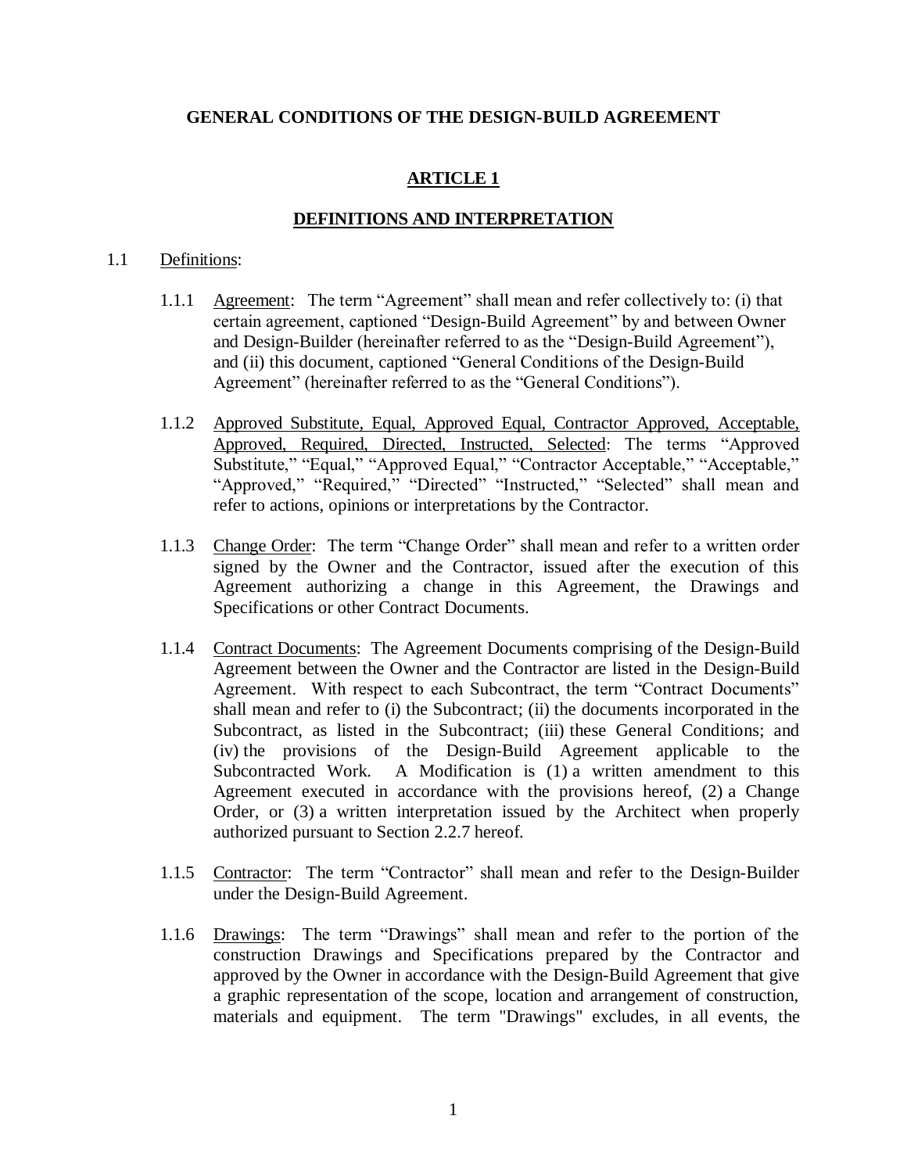# **GENERAL CONDITIONS OF THE DESIGN-BUILD AGREEMENT**

# **ARTICLE 1**

## **DEFINITIONS AND INTERPRETATION**

#### 1.1 Definitions:

- 1.1.1 Agreement: The term "Agreement" shall mean and refer collectively to: (i) that certain agreement, captioned "Design-Build Agreement" by and between Owner and Design-Builder (hereinafter referred to as the "Design-Build Agreement"), and (ii) this document, captioned "General Conditions of the Design-Build Agreement" (hereinafter referred to as the "General Conditions").
- 1.1.2 Approved Substitute, Equal, Approved Equal, Contractor Approved, Acceptable, Approved, Required, Directed, Instructed, Selected: The terms "Approved Substitute," "Equal," "Approved Equal," "Contractor Acceptable," "Acceptable," "Approved," "Required," "Directed" "Instructed," "Selected" shall mean and refer to actions, opinions or interpretations by the Contractor.
- 1.1.3 Change Order: The term "Change Order" shall mean and refer to a written order signed by the Owner and the Contractor, issued after the execution of this Agreement authorizing a change in this Agreement, the Drawings and Specifications or other Contract Documents.
- 1.1.4 Contract Documents: The Agreement Documents comprising of the Design-Build Agreement between the Owner and the Contractor are listed in the Design-Build Agreement. With respect to each Subcontract, the term "Contract Documents" shall mean and refer to (i) the Subcontract; (ii) the documents incorporated in the Subcontract, as listed in the Subcontract; (iii) these General Conditions; and (iv) the provisions of the Design-Build Agreement applicable to the Subcontracted Work. A Modification is (1) a written amendment to this Agreement executed in accordance with the provisions hereof, (2) a Change Order, or (3) a written interpretation issued by the Architect when properly authorized pursuant to Section 2.2.7 hereof.
- 1.1.5 Contractor: The term "Contractor" shall mean and refer to the Design-Builder under the Design-Build Agreement.
- 1.1.6 Drawings: The term "Drawings" shall mean and refer to the portion of the construction Drawings and Specifications prepared by the Contractor and approved by the Owner in accordance with the Design-Build Agreement that give a graphic representation of the scope, location and arrangement of construction, materials and equipment. The term "Drawings" excludes, in all events, the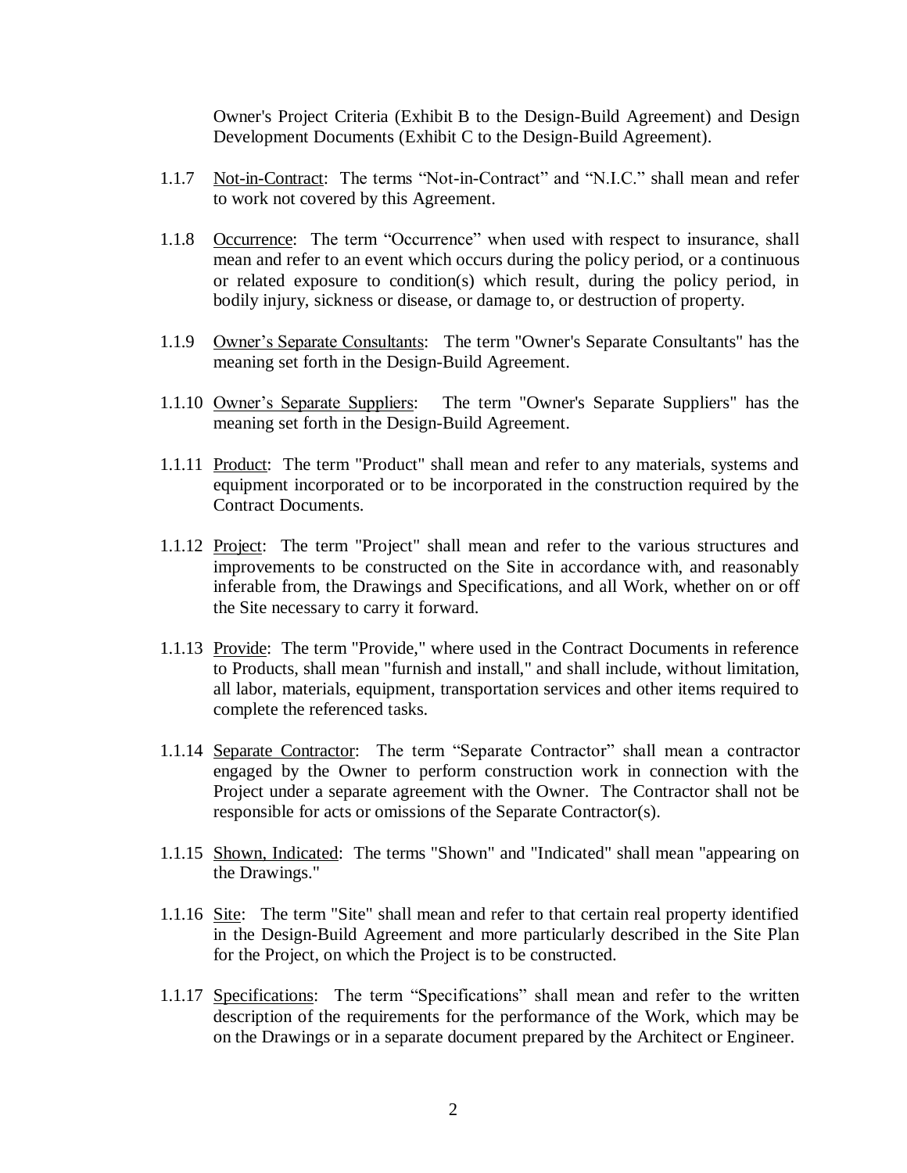Owner's Project Criteria (Exhibit B to the Design-Build Agreement) and Design Development Documents (Exhibit C to the Design-Build Agreement).

- 1.1.7 Not-in-Contract: The terms "Not-in-Contract" and "N.I.C." shall mean and refer to work not covered by this Agreement.
- 1.1.8 Occurrence: The term "Occurrence" when used with respect to insurance, shall mean and refer to an event which occurs during the policy period, or a continuous or related exposure to condition(s) which result, during the policy period, in bodily injury, sickness or disease, or damage to, or destruction of property.
- 1.1.9 Owner's Separate Consultants: The term "Owner's Separate Consultants" has the meaning set forth in the Design-Build Agreement.
- 1.1.10 Owner's Separate Suppliers: The term "Owner's Separate Suppliers" has the meaning set forth in the Design-Build Agreement.
- 1.1.11 Product: The term "Product" shall mean and refer to any materials, systems and equipment incorporated or to be incorporated in the construction required by the Contract Documents.
- 1.1.12 Project: The term "Project" shall mean and refer to the various structures and improvements to be constructed on the Site in accordance with, and reasonably inferable from, the Drawings and Specifications, and all Work, whether on or off the Site necessary to carry it forward.
- 1.1.13 Provide: The term "Provide," where used in the Contract Documents in reference to Products, shall mean "furnish and install," and shall include, without limitation, all labor, materials, equipment, transportation services and other items required to complete the referenced tasks.
- 1.1.14 Separate Contractor: The term "Separate Contractor" shall mean a contractor engaged by the Owner to perform construction work in connection with the Project under a separate agreement with the Owner. The Contractor shall not be responsible for acts or omissions of the Separate Contractor(s).
- 1.1.15 Shown, Indicated: The terms "Shown" and "Indicated" shall mean "appearing on the Drawings."
- 1.1.16 Site: The term "Site" shall mean and refer to that certain real property identified in the Design-Build Agreement and more particularly described in the Site Plan for the Project, on which the Project is to be constructed.
- 1.1.17 Specifications: The term "Specifications" shall mean and refer to the written description of the requirements for the performance of the Work, which may be on the Drawings or in a separate document prepared by the Architect or Engineer.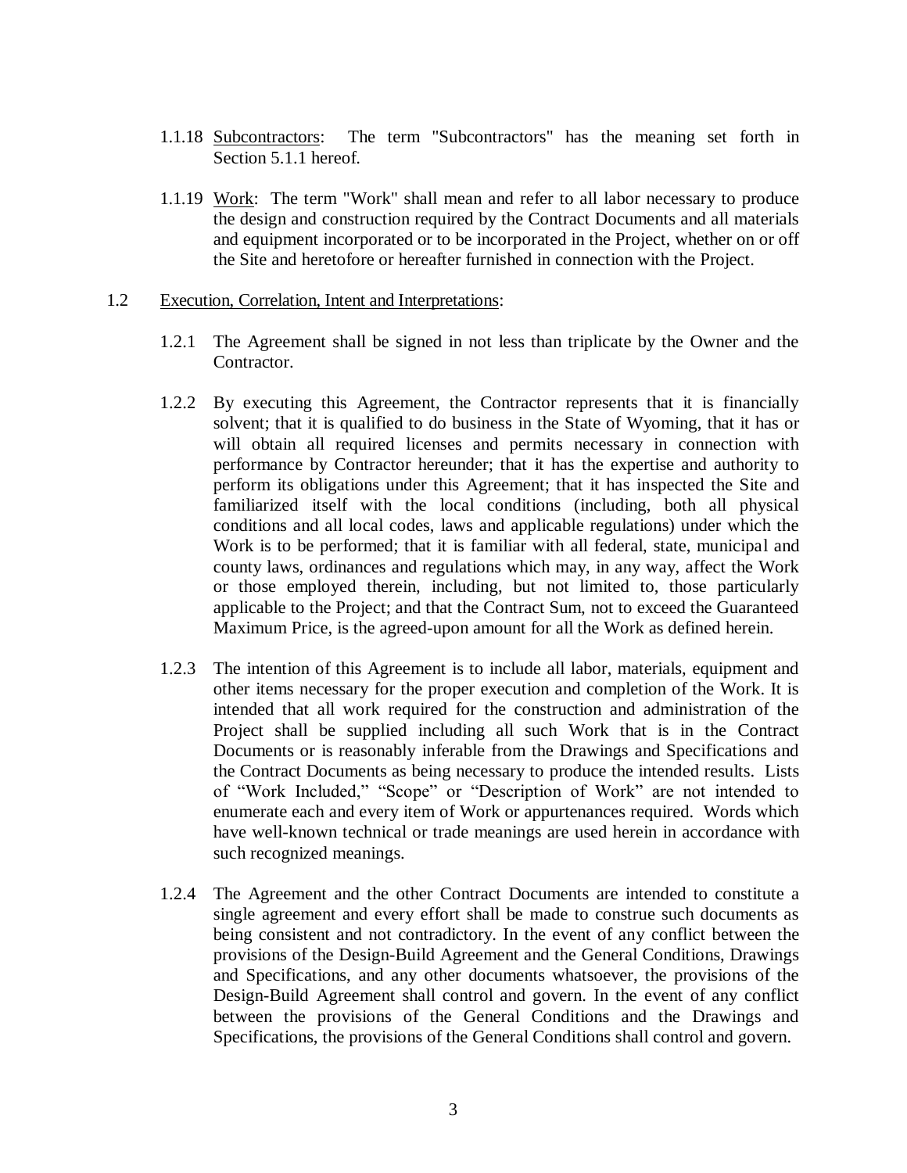- 1.1.18 Subcontractors: The term "Subcontractors" has the meaning set forth in Section 5.1.1 hereof.
- 1.1.19 Work: The term "Work" shall mean and refer to all labor necessary to produce the design and construction required by the Contract Documents and all materials and equipment incorporated or to be incorporated in the Project, whether on or off the Site and heretofore or hereafter furnished in connection with the Project.

#### 1.2 Execution, Correlation, Intent and Interpretations:

- 1.2.1 The Agreement shall be signed in not less than triplicate by the Owner and the Contractor.
- 1.2.2 By executing this Agreement, the Contractor represents that it is financially solvent; that it is qualified to do business in the State of Wyoming, that it has or will obtain all required licenses and permits necessary in connection with performance by Contractor hereunder; that it has the expertise and authority to perform its obligations under this Agreement; that it has inspected the Site and familiarized itself with the local conditions (including, both all physical conditions and all local codes, laws and applicable regulations) under which the Work is to be performed; that it is familiar with all federal, state, municipal and county laws, ordinances and regulations which may, in any way, affect the Work or those employed therein, including, but not limited to, those particularly applicable to the Project; and that the Contract Sum, not to exceed the Guaranteed Maximum Price, is the agreed-upon amount for all the Work as defined herein.
- 1.2.3 The intention of this Agreement is to include all labor, materials, equipment and other items necessary for the proper execution and completion of the Work. It is intended that all work required for the construction and administration of the Project shall be supplied including all such Work that is in the Contract Documents or is reasonably inferable from the Drawings and Specifications and the Contract Documents as being necessary to produce the intended results. Lists of "Work Included," "Scope" or "Description of Work" are not intended to enumerate each and every item of Work or appurtenances required. Words which have well-known technical or trade meanings are used herein in accordance with such recognized meanings.
- 1.2.4 The Agreement and the other Contract Documents are intended to constitute a single agreement and every effort shall be made to construe such documents as being consistent and not contradictory. In the event of any conflict between the provisions of the Design-Build Agreement and the General Conditions, Drawings and Specifications, and any other documents whatsoever, the provisions of the Design-Build Agreement shall control and govern. In the event of any conflict between the provisions of the General Conditions and the Drawings and Specifications, the provisions of the General Conditions shall control and govern.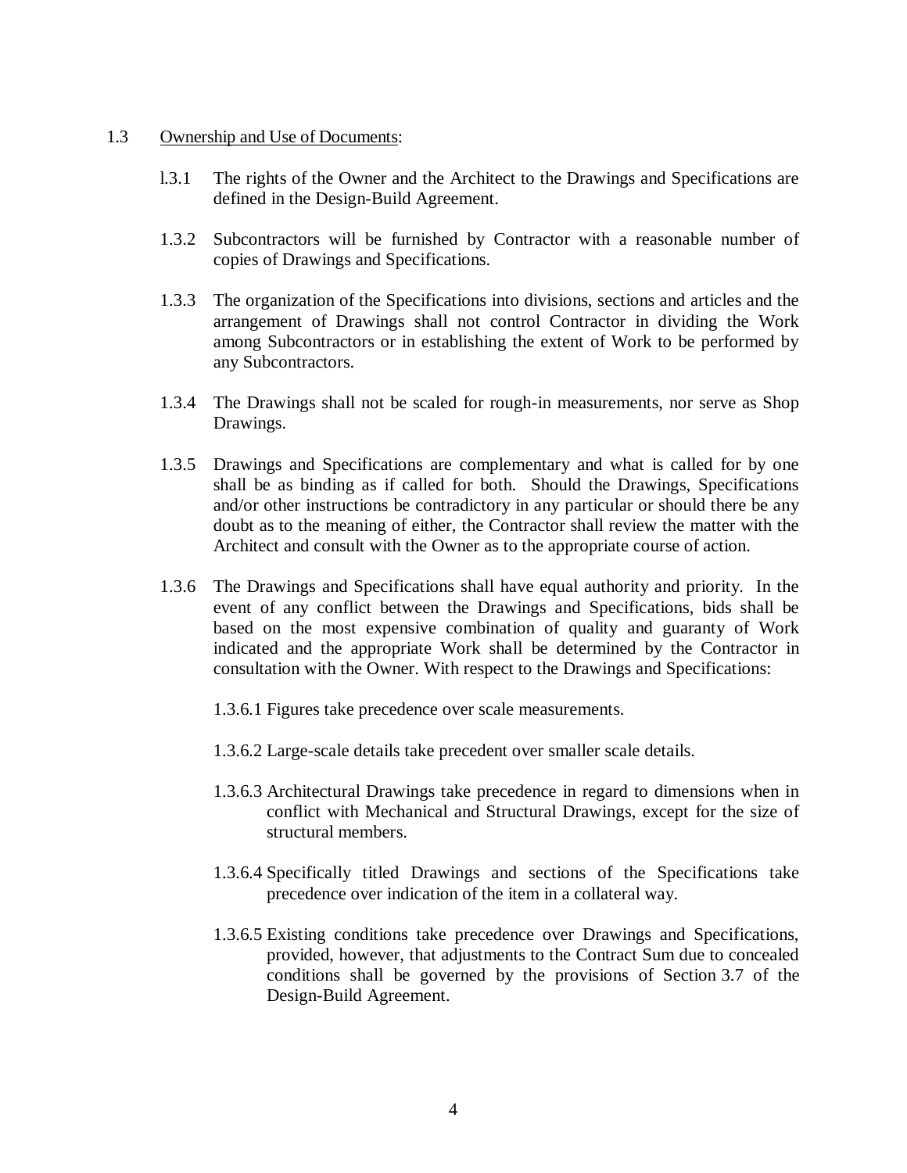#### 1.3 Ownership and Use of Documents:

- l.3.1 The rights of the Owner and the Architect to the Drawings and Specifications are defined in the Design-Build Agreement.
- 1.3.2 Subcontractors will be furnished by Contractor with a reasonable number of copies of Drawings and Specifications.
- 1.3.3 The organization of the Specifications into divisions, sections and articles and the arrangement of Drawings shall not control Contractor in dividing the Work among Subcontractors or in establishing the extent of Work to be performed by any Subcontractors.
- 1.3.4 The Drawings shall not be scaled for rough-in measurements, nor serve as Shop Drawings.
- 1.3.5 Drawings and Specifications are complementary and what is called for by one shall be as binding as if called for both. Should the Drawings, Specifications and/or other instructions be contradictory in any particular or should there be any doubt as to the meaning of either, the Contractor shall review the matter with the Architect and consult with the Owner as to the appropriate course of action.
- 1.3.6 The Drawings and Specifications shall have equal authority and priority. In the event of any conflict between the Drawings and Specifications, bids shall be based on the most expensive combination of quality and guaranty of Work indicated and the appropriate Work shall be determined by the Contractor in consultation with the Owner. With respect to the Drawings and Specifications:
	- 1.3.6.1 Figures take precedence over scale measurements.
	- 1.3.6.2 Large-scale details take precedent over smaller scale details.
	- 1.3.6.3 Architectural Drawings take precedence in regard to dimensions when in conflict with Mechanical and Structural Drawings, except for the size of structural members.
	- 1.3.6.4 Specifically titled Drawings and sections of the Specifications take precedence over indication of the item in a collateral way.
	- 1.3.6.5 Existing conditions take precedence over Drawings and Specifications, provided, however, that adjustments to the Contract Sum due to concealed conditions shall be governed by the provisions of Section 3.7 of the Design-Build Agreement.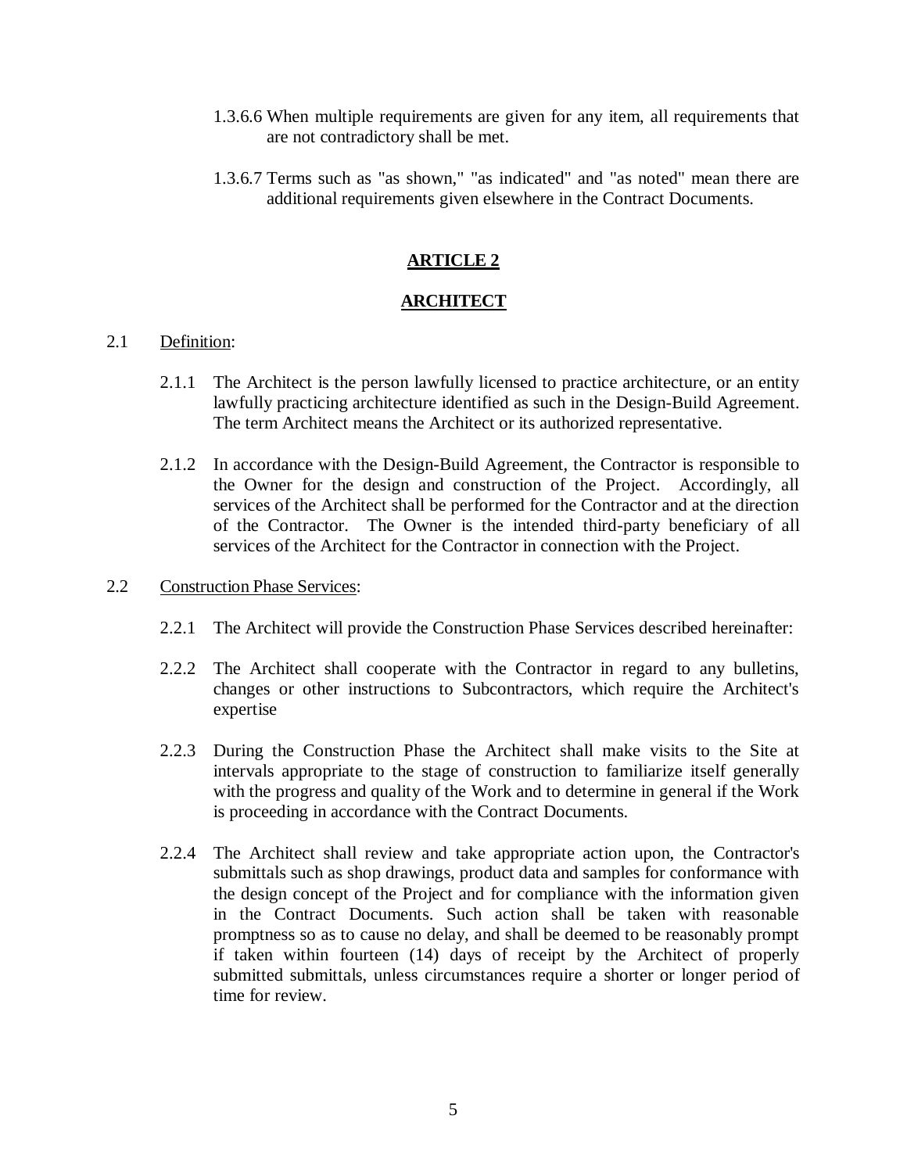- 1.3.6.6 When multiple requirements are given for any item, all requirements that are not contradictory shall be met.
- 1.3.6.7 Terms such as "as shown," "as indicated" and "as noted" mean there are additional requirements given elsewhere in the Contract Documents.

# **ARTICLE 2**

# **ARCHITECT**

## 2.1 Definition:

- 2.1.1 The Architect is the person lawfully licensed to practice architecture, or an entity lawfully practicing architecture identified as such in the Design-Build Agreement. The term Architect means the Architect or its authorized representative.
- 2.1.2 In accordance with the Design-Build Agreement, the Contractor is responsible to the Owner for the design and construction of the Project. Accordingly, all services of the Architect shall be performed for the Contractor and at the direction of the Contractor. The Owner is the intended third-party beneficiary of all services of the Architect for the Contractor in connection with the Project.

# 2.2 Construction Phase Services:

- 2.2.1 The Architect will provide the Construction Phase Services described hereinafter:
- 2.2.2 The Architect shall cooperate with the Contractor in regard to any bulletins, changes or other instructions to Subcontractors, which require the Architect's expertise
- 2.2.3 During the Construction Phase the Architect shall make visits to the Site at intervals appropriate to the stage of construction to familiarize itself generally with the progress and quality of the Work and to determine in general if the Work is proceeding in accordance with the Contract Documents.
- 2.2.4 The Architect shall review and take appropriate action upon, the Contractor's submittals such as shop drawings, product data and samples for conformance with the design concept of the Project and for compliance with the information given in the Contract Documents. Such action shall be taken with reasonable promptness so as to cause no delay, and shall be deemed to be reasonably prompt if taken within fourteen (14) days of receipt by the Architect of properly submitted submittals, unless circumstances require a shorter or longer period of time for review.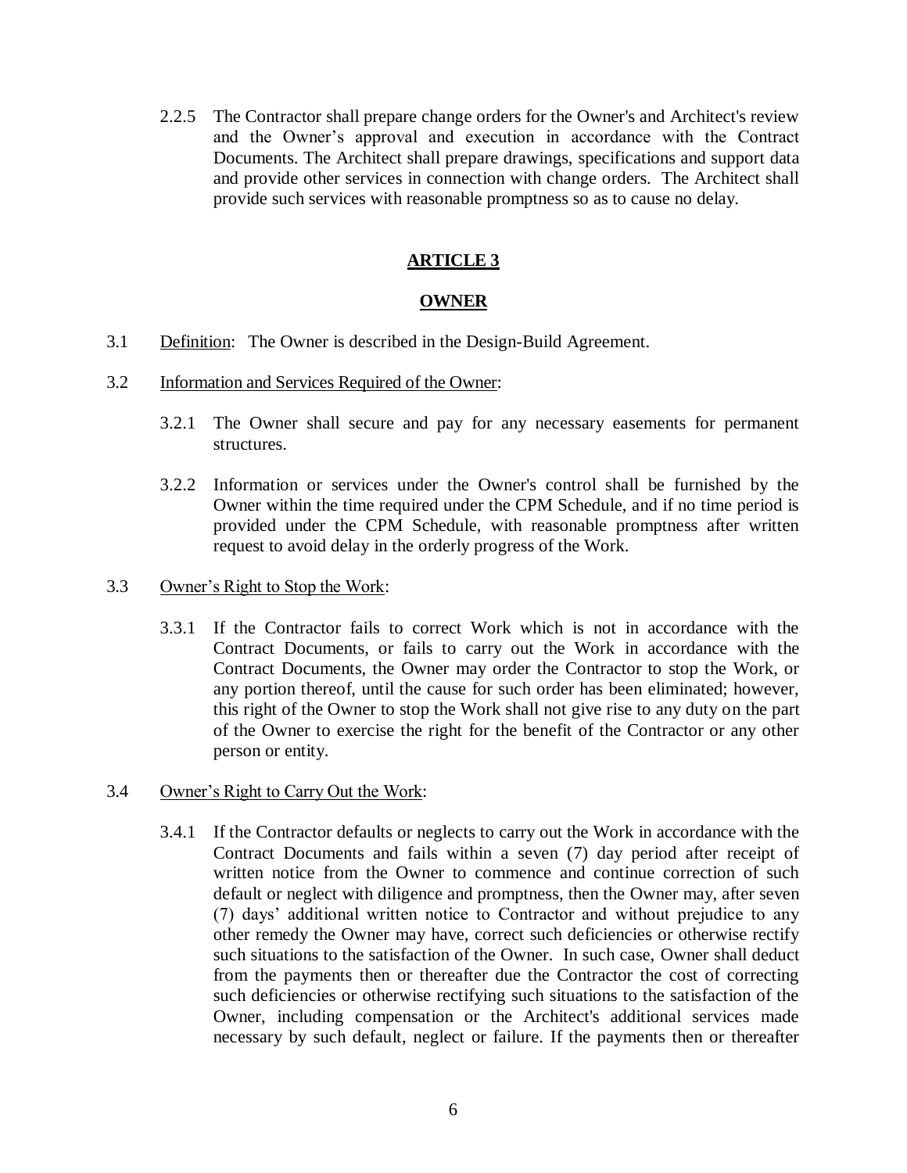2.2.5 The Contractor shall prepare change orders for the Owner's and Architect's review and the Owner's approval and execution in accordance with the Contract Documents. The Architect shall prepare drawings, specifications and support data and provide other services in connection with change orders. The Architect shall provide such services with reasonable promptness so as to cause no delay.

# **ARTICLE 3**

# **OWNER**

- 3.1 Definition: The Owner is described in the Design-Build Agreement.
- 3.2 Information and Services Required of the Owner:
	- 3.2.1 The Owner shall secure and pay for any necessary easements for permanent structures.
	- 3.2.2 Information or services under the Owner's control shall be furnished by the Owner within the time required under the CPM Schedule, and if no time period is provided under the CPM Schedule, with reasonable promptness after written request to avoid delay in the orderly progress of the Work.

## 3.3 Owner's Right to Stop the Work:

3.3.1 If the Contractor fails to correct Work which is not in accordance with the Contract Documents, or fails to carry out the Work in accordance with the Contract Documents, the Owner may order the Contractor to stop the Work, or any portion thereof, until the cause for such order has been eliminated; however, this right of the Owner to stop the Work shall not give rise to any duty on the part of the Owner to exercise the right for the benefit of the Contractor or any other person or entity.

# 3.4 Owner's Right to Carry Out the Work:

3.4.1 If the Contractor defaults or neglects to carry out the Work in accordance with the Contract Documents and fails within a seven (7) day period after receipt of written notice from the Owner to commence and continue correction of such default or neglect with diligence and promptness, then the Owner may, after seven (7) days' additional written notice to Contractor and without prejudice to any other remedy the Owner may have, correct such deficiencies or otherwise rectify such situations to the satisfaction of the Owner. In such case, Owner shall deduct from the payments then or thereafter due the Contractor the cost of correcting such deficiencies or otherwise rectifying such situations to the satisfaction of the Owner, including compensation or the Architect's additional services made necessary by such default, neglect or failure. If the payments then or thereafter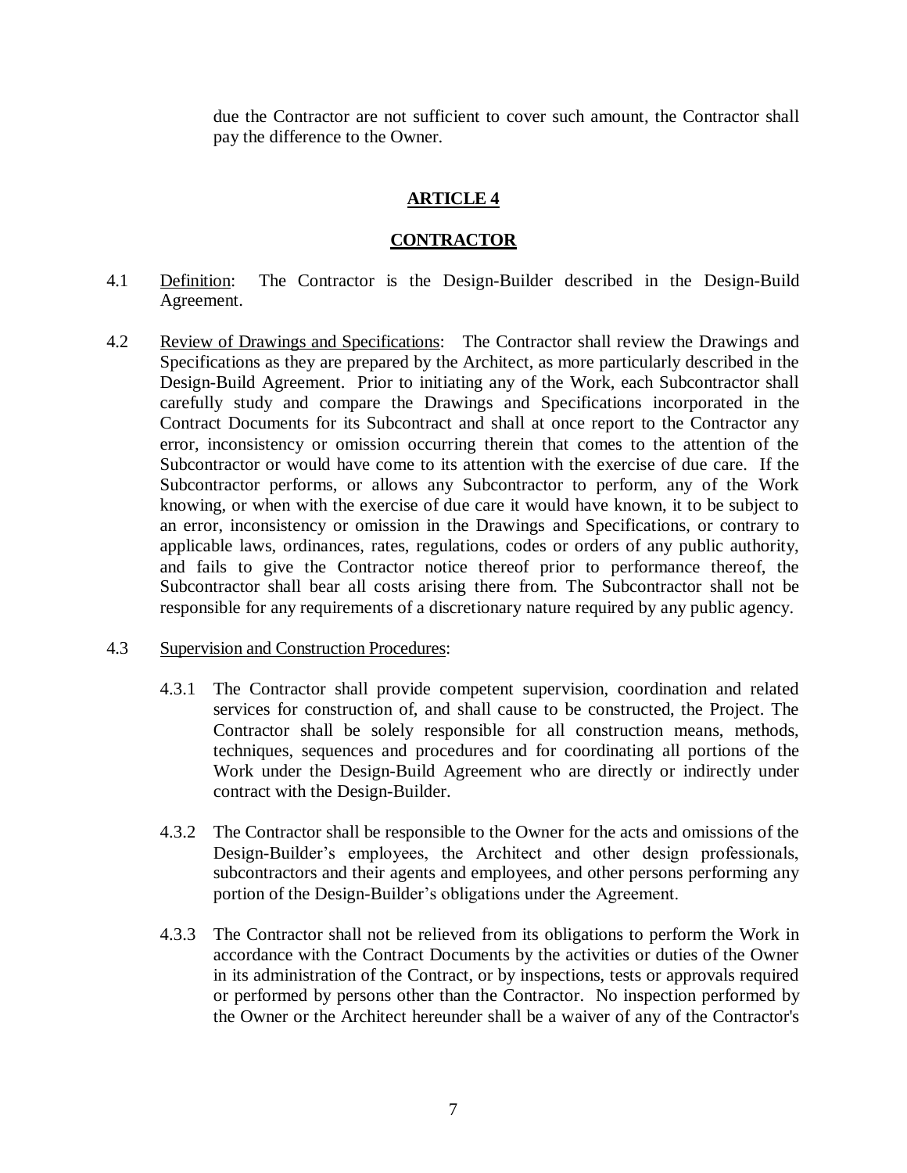due the Contractor are not sufficient to cover such amount, the Contractor shall pay the difference to the Owner.

# **ARTICLE 4**

# **CONTRACTOR**

- 4.1 Definition: The Contractor is the Design-Builder described in the Design-Build Agreement.
- 4.2 Review of Drawings and Specifications: The Contractor shall review the Drawings and Specifications as they are prepared by the Architect, as more particularly described in the Design-Build Agreement. Prior to initiating any of the Work, each Subcontractor shall carefully study and compare the Drawings and Specifications incorporated in the Contract Documents for its Subcontract and shall at once report to the Contractor any error, inconsistency or omission occurring therein that comes to the attention of the Subcontractor or would have come to its attention with the exercise of due care. If the Subcontractor performs, or allows any Subcontractor to perform, any of the Work knowing, or when with the exercise of due care it would have known, it to be subject to an error, inconsistency or omission in the Drawings and Specifications, or contrary to applicable laws, ordinances, rates, regulations, codes or orders of any public authority, and fails to give the Contractor notice thereof prior to performance thereof, the Subcontractor shall bear all costs arising there from. The Subcontractor shall not be responsible for any requirements of a discretionary nature required by any public agency.

## 4.3 Supervision and Construction Procedures:

- 4.3.1 The Contractor shall provide competent supervision, coordination and related services for construction of, and shall cause to be constructed, the Project. The Contractor shall be solely responsible for all construction means, methods, techniques, sequences and procedures and for coordinating all portions of the Work under the Design-Build Agreement who are directly or indirectly under contract with the Design-Builder.
- 4.3.2 The Contractor shall be responsible to the Owner for the acts and omissions of the Design-Builder's employees, the Architect and other design professionals, subcontractors and their agents and employees, and other persons performing any portion of the Design-Builder's obligations under the Agreement.
- 4.3.3 The Contractor shall not be relieved from its obligations to perform the Work in accordance with the Contract Documents by the activities or duties of the Owner in its administration of the Contract, or by inspections, tests or approvals required or performed by persons other than the Contractor. No inspection performed by the Owner or the Architect hereunder shall be a waiver of any of the Contractor's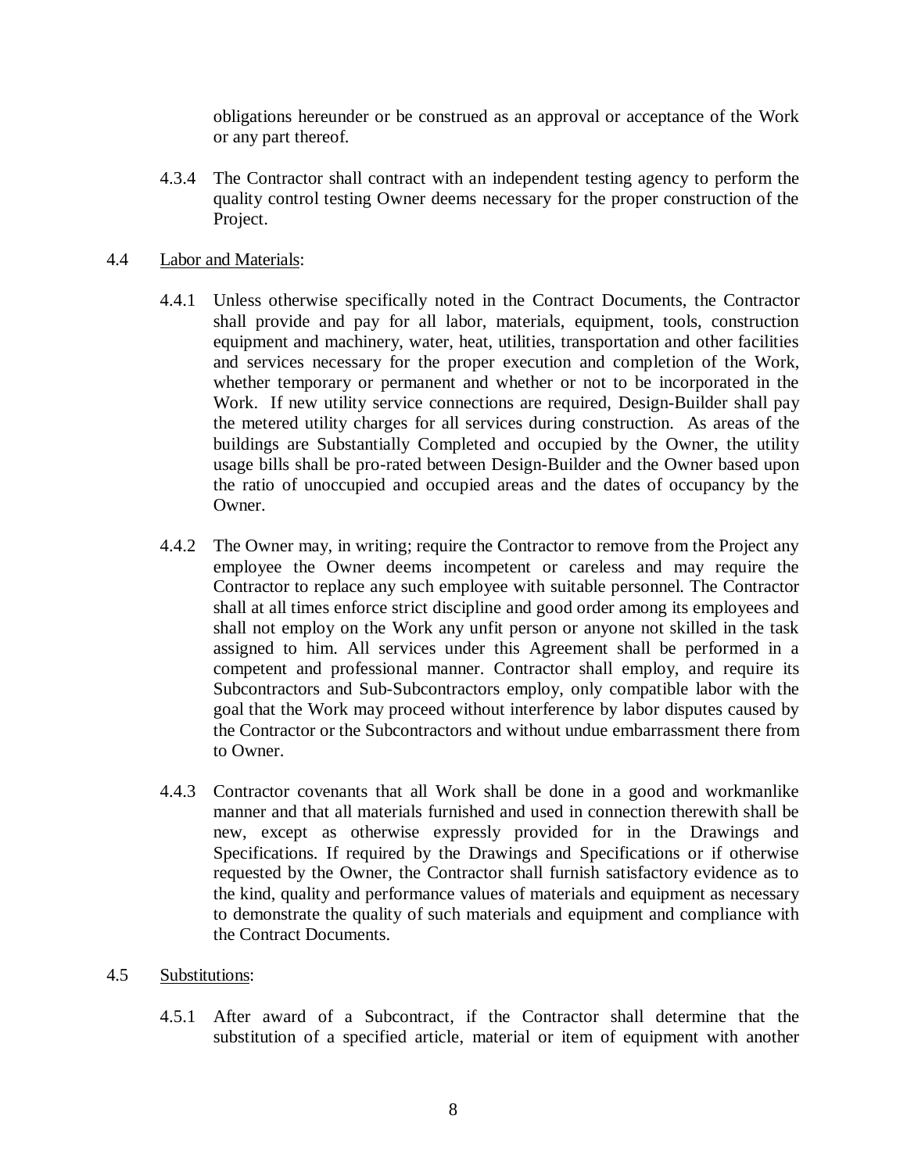obligations hereunder or be construed as an approval or acceptance of the Work or any part thereof.

4.3.4 The Contractor shall contract with an independent testing agency to perform the quality control testing Owner deems necessary for the proper construction of the Project.

## 4.4 Labor and Materials:

- 4.4.1 Unless otherwise specifically noted in the Contract Documents, the Contractor shall provide and pay for all labor, materials, equipment, tools, construction equipment and machinery, water, heat, utilities, transportation and other facilities and services necessary for the proper execution and completion of the Work, whether temporary or permanent and whether or not to be incorporated in the Work. If new utility service connections are required, Design-Builder shall pay the metered utility charges for all services during construction. As areas of the buildings are Substantially Completed and occupied by the Owner, the utility usage bills shall be pro-rated between Design-Builder and the Owner based upon the ratio of unoccupied and occupied areas and the dates of occupancy by the Owner.
- 4.4.2 The Owner may, in writing; require the Contractor to remove from the Project any employee the Owner deems incompetent or careless and may require the Contractor to replace any such employee with suitable personnel. The Contractor shall at all times enforce strict discipline and good order among its employees and shall not employ on the Work any unfit person or anyone not skilled in the task assigned to him. All services under this Agreement shall be performed in a competent and professional manner. Contractor shall employ, and require its Subcontractors and Sub-Subcontractors employ, only compatible labor with the goal that the Work may proceed without interference by labor disputes caused by the Contractor or the Subcontractors and without undue embarrassment there from to Owner.
- 4.4.3 Contractor covenants that all Work shall be done in a good and workmanlike manner and that all materials furnished and used in connection therewith shall be new, except as otherwise expressly provided for in the Drawings and Specifications. If required by the Drawings and Specifications or if otherwise requested by the Owner, the Contractor shall furnish satisfactory evidence as to the kind, quality and performance values of materials and equipment as necessary to demonstrate the quality of such materials and equipment and compliance with the Contract Documents.

#### 4.5 Substitutions:

4.5.1 After award of a Subcontract, if the Contractor shall determine that the substitution of a specified article, material or item of equipment with another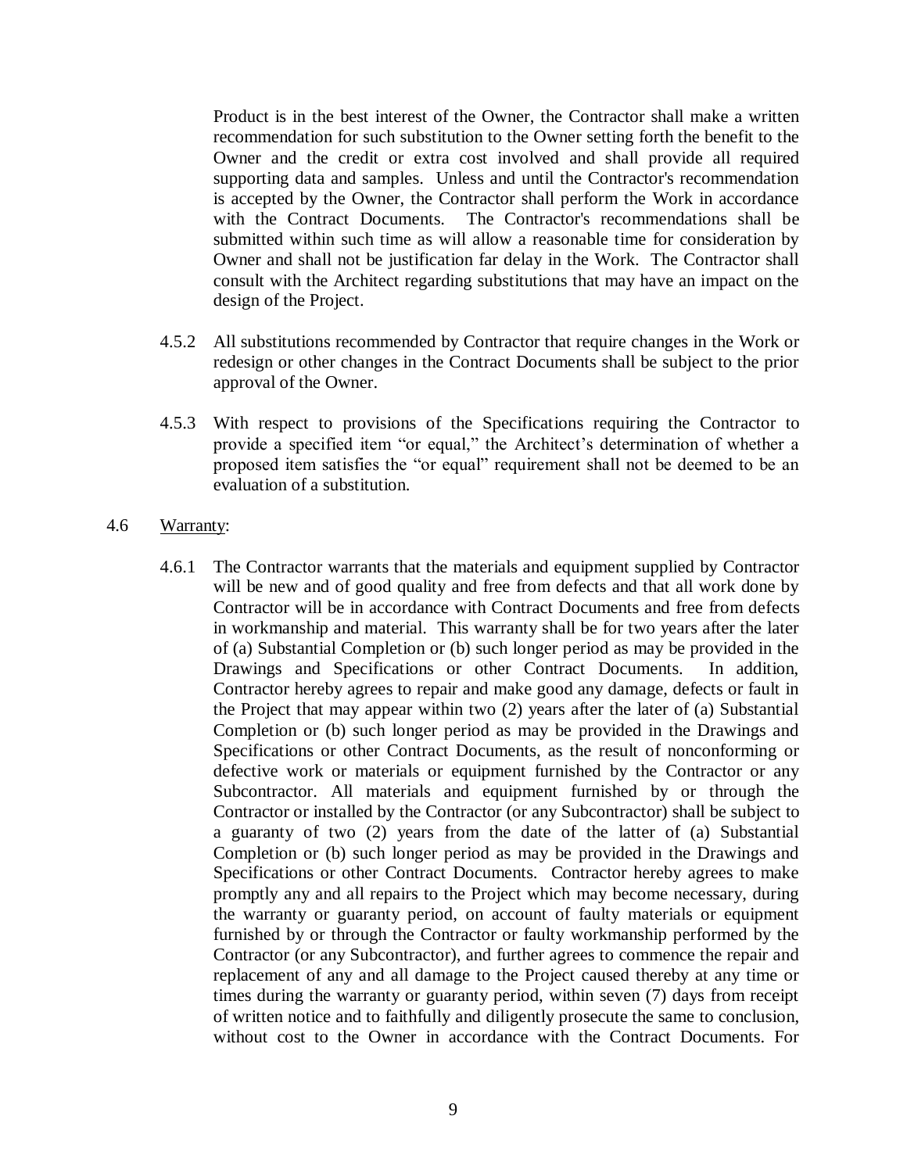Product is in the best interest of the Owner, the Contractor shall make a written recommendation for such substitution to the Owner setting forth the benefit to the Owner and the credit or extra cost involved and shall provide all required supporting data and samples. Unless and until the Contractor's recommendation is accepted by the Owner, the Contractor shall perform the Work in accordance with the Contract Documents. The Contractor's recommendations shall be submitted within such time as will allow a reasonable time for consideration by Owner and shall not be justification far delay in the Work. The Contractor shall consult with the Architect regarding substitutions that may have an impact on the design of the Project.

- 4.5.2 All substitutions recommended by Contractor that require changes in the Work or redesign or other changes in the Contract Documents shall be subject to the prior approval of the Owner.
- 4.5.3 With respect to provisions of the Specifications requiring the Contractor to provide a specified item "or equal," the Architect's determination of whether a proposed item satisfies the "or equal" requirement shall not be deemed to be an evaluation of a substitution.

#### 4.6 Warranty:

4.6.1 The Contractor warrants that the materials and equipment supplied by Contractor will be new and of good quality and free from defects and that all work done by Contractor will be in accordance with Contract Documents and free from defects in workmanship and material. This warranty shall be for two years after the later of (a) Substantial Completion or (b) such longer period as may be provided in the Drawings and Specifications or other Contract Documents. In addition, Contractor hereby agrees to repair and make good any damage, defects or fault in the Project that may appear within two (2) years after the later of (a) Substantial Completion or (b) such longer period as may be provided in the Drawings and Specifications or other Contract Documents, as the result of nonconforming or defective work or materials or equipment furnished by the Contractor or any Subcontractor. All materials and equipment furnished by or through the Contractor or installed by the Contractor (or any Subcontractor) shall be subject to a guaranty of two (2) years from the date of the latter of (a) Substantial Completion or (b) such longer period as may be provided in the Drawings and Specifications or other Contract Documents. Contractor hereby agrees to make promptly any and all repairs to the Project which may become necessary, during the warranty or guaranty period, on account of faulty materials or equipment furnished by or through the Contractor or faulty workmanship performed by the Contractor (or any Subcontractor), and further agrees to commence the repair and replacement of any and all damage to the Project caused thereby at any time or times during the warranty or guaranty period, within seven (7) days from receipt of written notice and to faithfully and diligently prosecute the same to conclusion, without cost to the Owner in accordance with the Contract Documents. For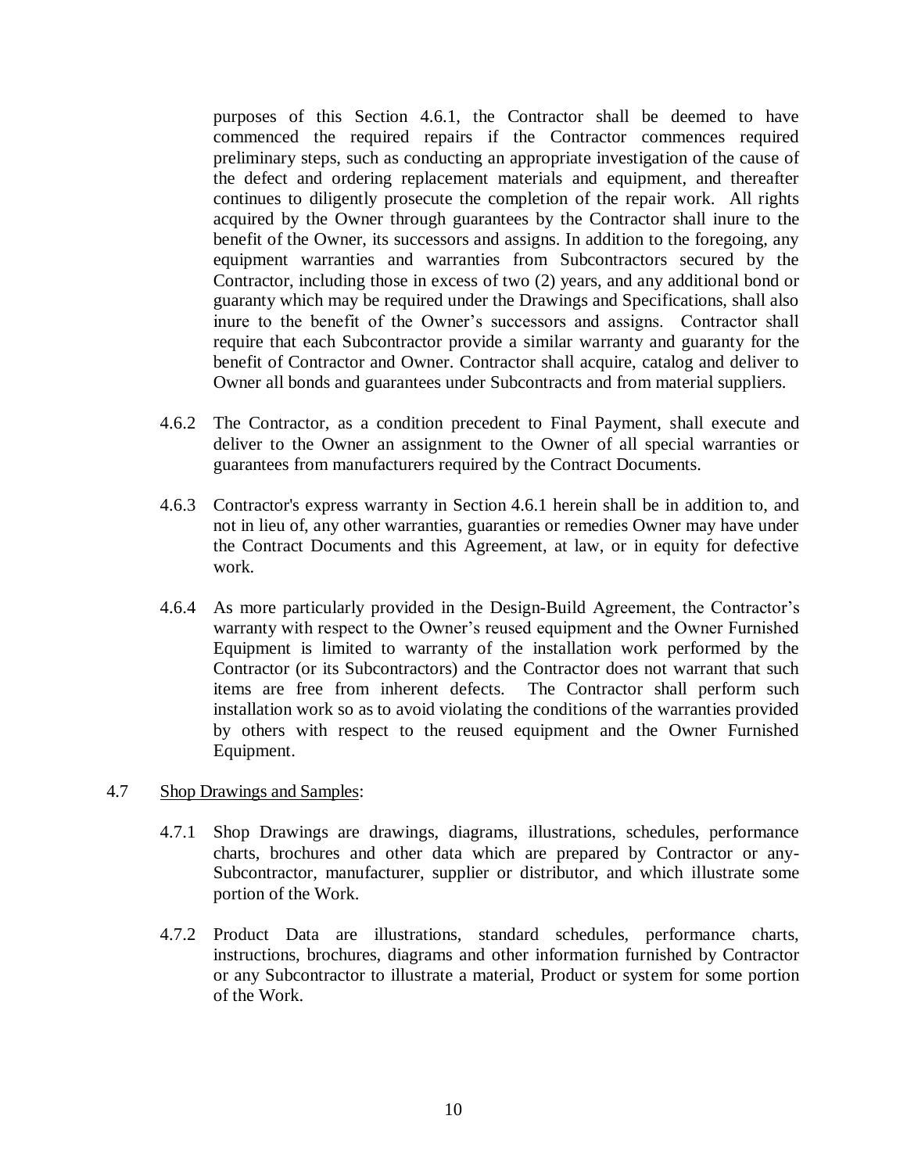purposes of this Section 4.6.1, the Contractor shall be deemed to have commenced the required repairs if the Contractor commences required preliminary steps, such as conducting an appropriate investigation of the cause of the defect and ordering replacement materials and equipment, and thereafter continues to diligently prosecute the completion of the repair work. All rights acquired by the Owner through guarantees by the Contractor shall inure to the benefit of the Owner, its successors and assigns. In addition to the foregoing, any equipment warranties and warranties from Subcontractors secured by the Contractor, including those in excess of two (2) years, and any additional bond or guaranty which may be required under the Drawings and Specifications, shall also inure to the benefit of the Owner's successors and assigns. Contractor shall require that each Subcontractor provide a similar warranty and guaranty for the benefit of Contractor and Owner. Contractor shall acquire, catalog and deliver to Owner all bonds and guarantees under Subcontracts and from material suppliers.

- 4.6.2 The Contractor, as a condition precedent to Final Payment, shall execute and deliver to the Owner an assignment to the Owner of all special warranties or guarantees from manufacturers required by the Contract Documents.
- 4.6.3 Contractor's express warranty in Section 4.6.1 herein shall be in addition to, and not in lieu of, any other warranties, guaranties or remedies Owner may have under the Contract Documents and this Agreement, at law, or in equity for defective work.
- 4.6.4 As more particularly provided in the Design-Build Agreement, the Contractor's warranty with respect to the Owner's reused equipment and the Owner Furnished Equipment is limited to warranty of the installation work performed by the Contractor (or its Subcontractors) and the Contractor does not warrant that such items are free from inherent defects. The Contractor shall perform such installation work so as to avoid violating the conditions of the warranties provided by others with respect to the reused equipment and the Owner Furnished Equipment.

## 4.7 Shop Drawings and Samples:

- 4.7.1 Shop Drawings are drawings, diagrams, illustrations, schedules, performance charts, brochures and other data which are prepared by Contractor or any-Subcontractor, manufacturer, supplier or distributor, and which illustrate some portion of the Work.
- 4.7.2 Product Data are illustrations, standard schedules, performance charts, instructions, brochures, diagrams and other information furnished by Contractor or any Subcontractor to illustrate a material, Product or system for some portion of the Work.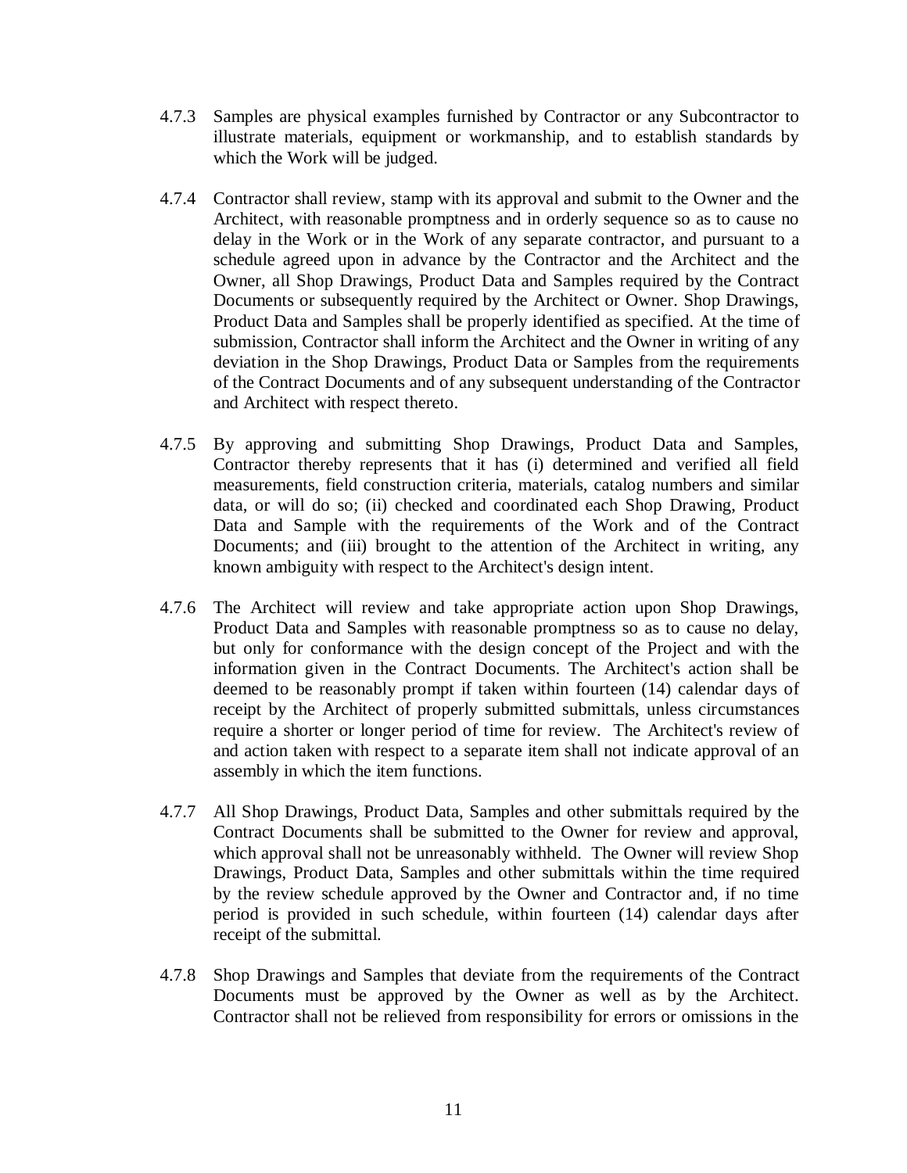- 4.7.3 Samples are physical examples furnished by Contractor or any Subcontractor to illustrate materials, equipment or workmanship, and to establish standards by which the Work will be judged.
- 4.7.4 Contractor shall review, stamp with its approval and submit to the Owner and the Architect, with reasonable promptness and in orderly sequence so as to cause no delay in the Work or in the Work of any separate contractor, and pursuant to a schedule agreed upon in advance by the Contractor and the Architect and the Owner, all Shop Drawings, Product Data and Samples required by the Contract Documents or subsequently required by the Architect or Owner. Shop Drawings, Product Data and Samples shall be properly identified as specified. At the time of submission, Contractor shall inform the Architect and the Owner in writing of any deviation in the Shop Drawings, Product Data or Samples from the requirements of the Contract Documents and of any subsequent understanding of the Contractor and Architect with respect thereto.
- 4.7.5 By approving and submitting Shop Drawings, Product Data and Samples, Contractor thereby represents that it has (i) determined and verified all field measurements, field construction criteria, materials, catalog numbers and similar data, or will do so; (ii) checked and coordinated each Shop Drawing, Product Data and Sample with the requirements of the Work and of the Contract Documents; and (iii) brought to the attention of the Architect in writing, any known ambiguity with respect to the Architect's design intent.
- 4.7.6 The Architect will review and take appropriate action upon Shop Drawings, Product Data and Samples with reasonable promptness so as to cause no delay, but only for conformance with the design concept of the Project and with the information given in the Contract Documents. The Architect's action shall be deemed to be reasonably prompt if taken within fourteen (14) calendar days of receipt by the Architect of properly submitted submittals, unless circumstances require a shorter or longer period of time for review. The Architect's review of and action taken with respect to a separate item shall not indicate approval of an assembly in which the item functions.
- 4.7.7 All Shop Drawings, Product Data, Samples and other submittals required by the Contract Documents shall be submitted to the Owner for review and approval, which approval shall not be unreasonably withheld. The Owner will review Shop Drawings, Product Data, Samples and other submittals within the time required by the review schedule approved by the Owner and Contractor and, if no time period is provided in such schedule, within fourteen (14) calendar days after receipt of the submittal.
- 4.7.8 Shop Drawings and Samples that deviate from the requirements of the Contract Documents must be approved by the Owner as well as by the Architect. Contractor shall not be relieved from responsibility for errors or omissions in the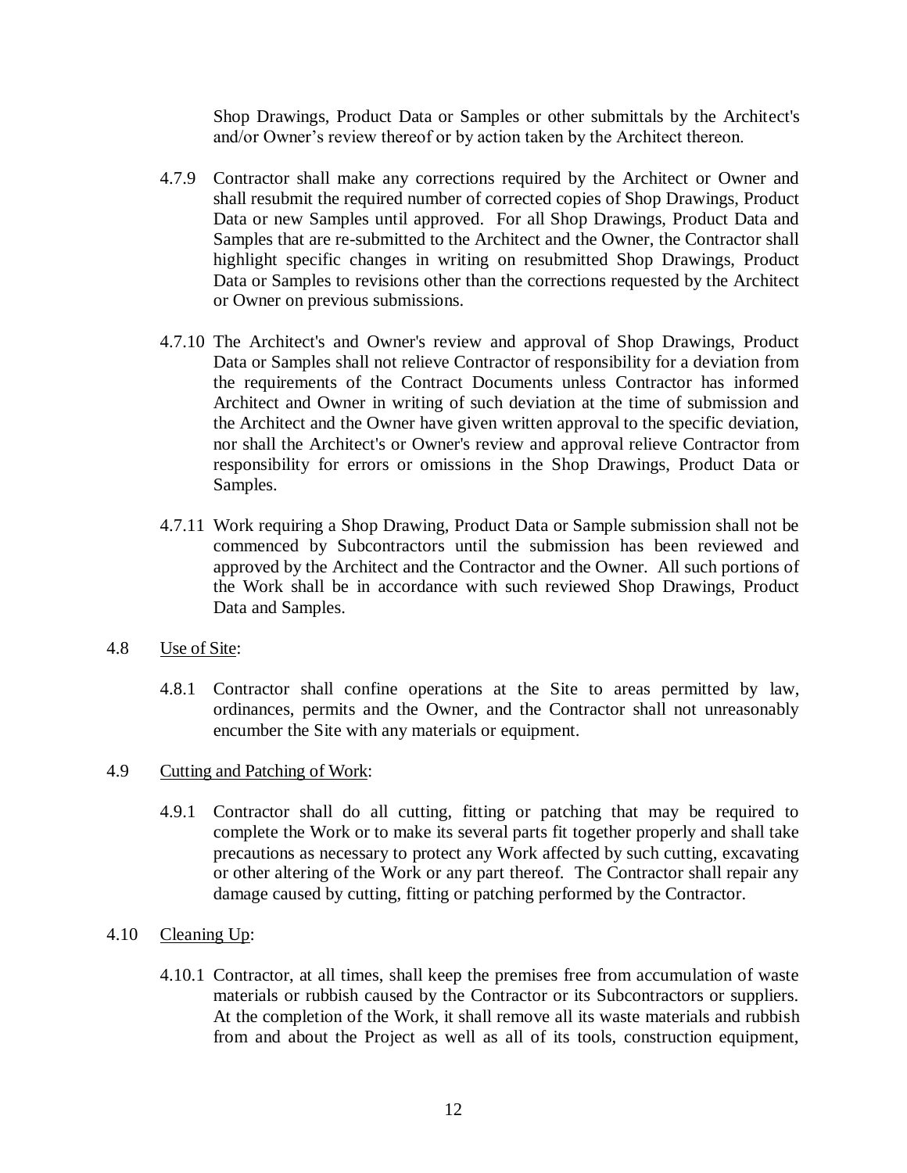Shop Drawings, Product Data or Samples or other submittals by the Architect's and/or Owner's review thereof or by action taken by the Architect thereon.

- 4.7.9 Contractor shall make any corrections required by the Architect or Owner and shall resubmit the required number of corrected copies of Shop Drawings, Product Data or new Samples until approved. For all Shop Drawings, Product Data and Samples that are re-submitted to the Architect and the Owner, the Contractor shall highlight specific changes in writing on resubmitted Shop Drawings, Product Data or Samples to revisions other than the corrections requested by the Architect or Owner on previous submissions.
- 4.7.10 The Architect's and Owner's review and approval of Shop Drawings, Product Data or Samples shall not relieve Contractor of responsibility for a deviation from the requirements of the Contract Documents unless Contractor has informed Architect and Owner in writing of such deviation at the time of submission and the Architect and the Owner have given written approval to the specific deviation, nor shall the Architect's or Owner's review and approval relieve Contractor from responsibility for errors or omissions in the Shop Drawings, Product Data or Samples.
- 4.7.11 Work requiring a Shop Drawing, Product Data or Sample submission shall not be commenced by Subcontractors until the submission has been reviewed and approved by the Architect and the Contractor and the Owner. All such portions of the Work shall be in accordance with such reviewed Shop Drawings, Product Data and Samples.
- 4.8 Use of Site:
	- 4.8.1 Contractor shall confine operations at the Site to areas permitted by law, ordinances, permits and the Owner, and the Contractor shall not unreasonably encumber the Site with any materials or equipment.

## 4.9 Cutting and Patching of Work:

- 4.9.1 Contractor shall do all cutting, fitting or patching that may be required to complete the Work or to make its several parts fit together properly and shall take precautions as necessary to protect any Work affected by such cutting, excavating or other altering of the Work or any part thereof. The Contractor shall repair any damage caused by cutting, fitting or patching performed by the Contractor.
- 4.10 Cleaning  $Up:$ 
	- 4.10.1 Contractor, at all times, shall keep the premises free from accumulation of waste materials or rubbish caused by the Contractor or its Subcontractors or suppliers. At the completion of the Work, it shall remove all its waste materials and rubbish from and about the Project as well as all of its tools, construction equipment,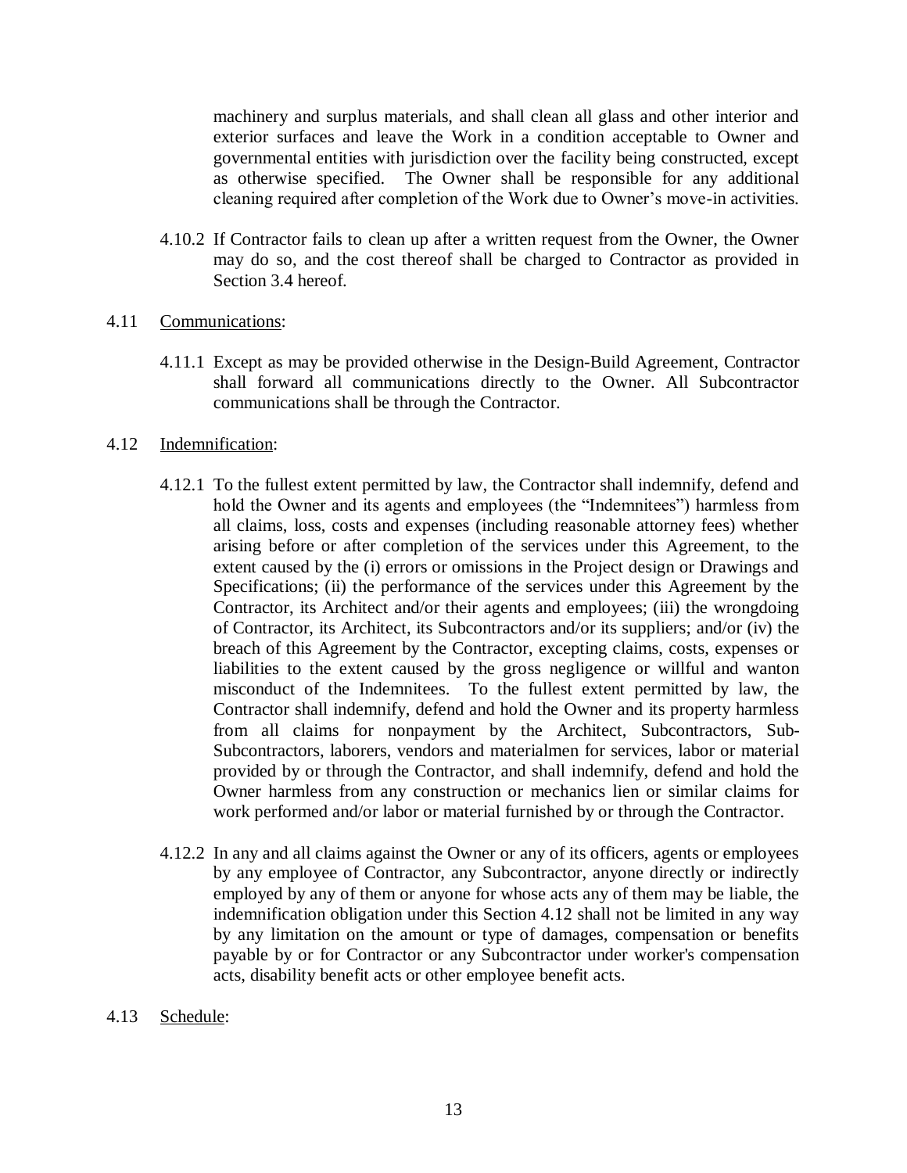machinery and surplus materials, and shall clean all glass and other interior and exterior surfaces and leave the Work in a condition acceptable to Owner and governmental entities with jurisdiction over the facility being constructed, except as otherwise specified. The Owner shall be responsible for any additional cleaning required after completion of the Work due to Owner's move-in activities.

4.10.2 If Contractor fails to clean up after a written request from the Owner, the Owner may do so, and the cost thereof shall be charged to Contractor as provided in Section 3.4 hereof.

## 4.11 Communications:

4.11.1 Except as may be provided otherwise in the Design-Build Agreement, Contractor shall forward all communications directly to the Owner. All Subcontractor communications shall be through the Contractor.

#### 4.12 Indemnification:

- 4.12.1 To the fullest extent permitted by law, the Contractor shall indemnify, defend and hold the Owner and its agents and employees (the "Indemnitees") harmless from all claims, loss, costs and expenses (including reasonable attorney fees) whether arising before or after completion of the services under this Agreement, to the extent caused by the (i) errors or omissions in the Project design or Drawings and Specifications; (ii) the performance of the services under this Agreement by the Contractor, its Architect and/or their agents and employees; (iii) the wrongdoing of Contractor, its Architect, its Subcontractors and/or its suppliers; and/or (iv) the breach of this Agreement by the Contractor, excepting claims, costs, expenses or liabilities to the extent caused by the gross negligence or willful and wanton misconduct of the Indemnitees. To the fullest extent permitted by law, the Contractor shall indemnify, defend and hold the Owner and its property harmless from all claims for nonpayment by the Architect, Subcontractors, Sub-Subcontractors, laborers, vendors and materialmen for services, labor or material provided by or through the Contractor, and shall indemnify, defend and hold the Owner harmless from any construction or mechanics lien or similar claims for work performed and/or labor or material furnished by or through the Contractor.
- 4.12.2 In any and all claims against the Owner or any of its officers, agents or employees by any employee of Contractor, any Subcontractor, anyone directly or indirectly employed by any of them or anyone for whose acts any of them may be liable, the indemnification obligation under this Section 4.12 shall not be limited in any way by any limitation on the amount or type of damages, compensation or benefits payable by or for Contractor or any Subcontractor under worker's compensation acts, disability benefit acts or other employee benefit acts.

## 4.13 Schedule: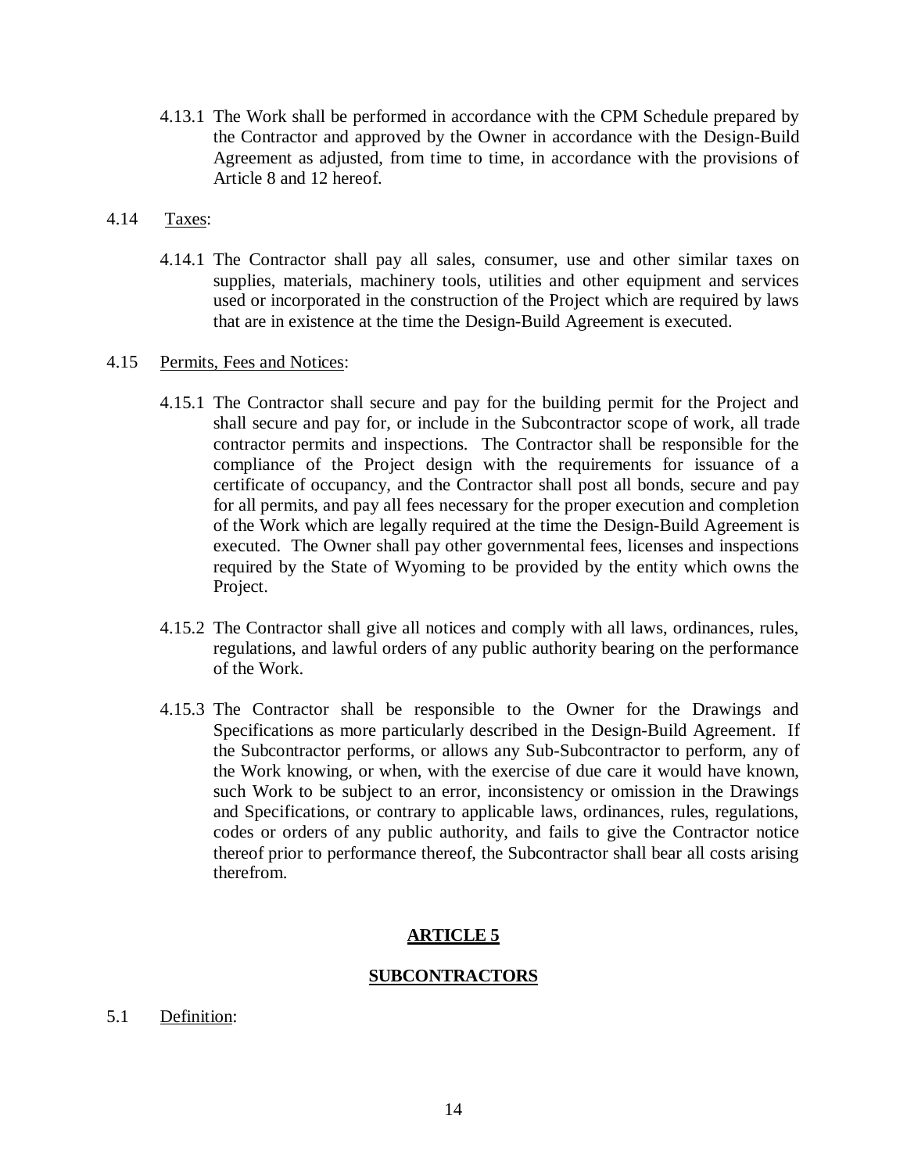4.13.1 The Work shall be performed in accordance with the CPM Schedule prepared by the Contractor and approved by the Owner in accordance with the Design-Build Agreement as adjusted, from time to time, in accordance with the provisions of Article 8 and 12 hereof.

## 4.14 Taxes:

4.14.1 The Contractor shall pay all sales, consumer, use and other similar taxes on supplies, materials, machinery tools, utilities and other equipment and services used or incorporated in the construction of the Project which are required by laws that are in existence at the time the Design-Build Agreement is executed.

## 4.15 Permits, Fees and Notices:

- 4.15.1 The Contractor shall secure and pay for the building permit for the Project and shall secure and pay for, or include in the Subcontractor scope of work, all trade contractor permits and inspections. The Contractor shall be responsible for the compliance of the Project design with the requirements for issuance of a certificate of occupancy, and the Contractor shall post all bonds, secure and pay for all permits, and pay all fees necessary for the proper execution and completion of the Work which are legally required at the time the Design-Build Agreement is executed. The Owner shall pay other governmental fees, licenses and inspections required by the State of Wyoming to be provided by the entity which owns the Project.
- 4.15.2 The Contractor shall give all notices and comply with all laws, ordinances, rules, regulations, and lawful orders of any public authority bearing on the performance of the Work.
- 4.15.3 The Contractor shall be responsible to the Owner for the Drawings and Specifications as more particularly described in the Design-Build Agreement. If the Subcontractor performs, or allows any Sub-Subcontractor to perform, any of the Work knowing, or when, with the exercise of due care it would have known, such Work to be subject to an error, inconsistency or omission in the Drawings and Specifications, or contrary to applicable laws, ordinances, rules, regulations, codes or orders of any public authority, and fails to give the Contractor notice thereof prior to performance thereof, the Subcontractor shall bear all costs arising therefrom.

# **ARTICLE 5**

# **SUBCONTRACTORS**

5.1 Definition: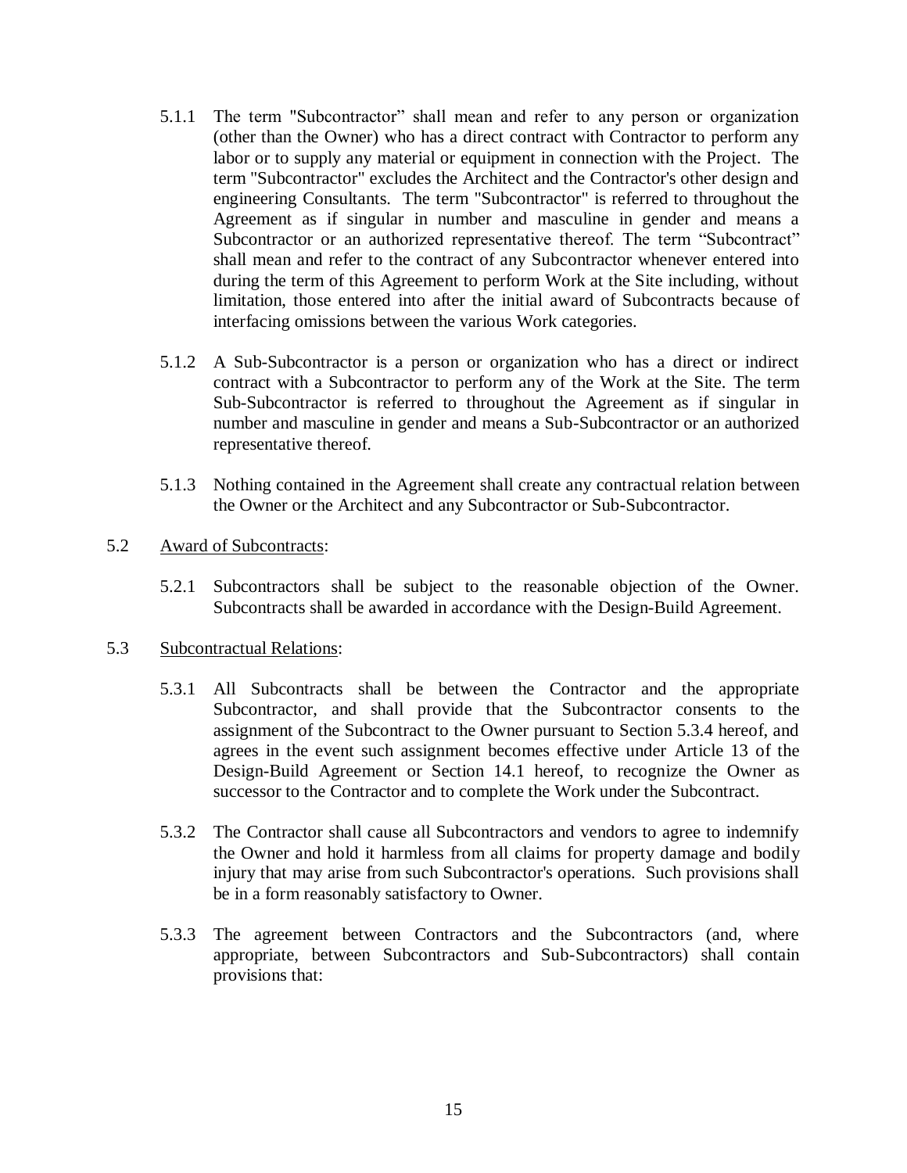- 5.1.1 The term "Subcontractor" shall mean and refer to any person or organization (other than the Owner) who has a direct contract with Contractor to perform any labor or to supply any material or equipment in connection with the Project. The term "Subcontractor" excludes the Architect and the Contractor's other design and engineering Consultants. The term "Subcontractor" is referred to throughout the Agreement as if singular in number and masculine in gender and means a Subcontractor or an authorized representative thereof. The term "Subcontract" shall mean and refer to the contract of any Subcontractor whenever entered into during the term of this Agreement to perform Work at the Site including, without limitation, those entered into after the initial award of Subcontracts because of interfacing omissions between the various Work categories.
- 5.1.2 A Sub-Subcontractor is a person or organization who has a direct or indirect contract with a Subcontractor to perform any of the Work at the Site. The term Sub-Subcontractor is referred to throughout the Agreement as if singular in number and masculine in gender and means a Sub-Subcontractor or an authorized representative thereof.
- 5.1.3 Nothing contained in the Agreement shall create any contractual relation between the Owner or the Architect and any Subcontractor or Sub-Subcontractor.
- 5.2 Award of Subcontracts:
	- 5.2.1 Subcontractors shall be subject to the reasonable objection of the Owner. Subcontracts shall be awarded in accordance with the Design-Build Agreement.

#### 5.3 Subcontractual Relations:

- 5.3.1 All Subcontracts shall be between the Contractor and the appropriate Subcontractor, and shall provide that the Subcontractor consents to the assignment of the Subcontract to the Owner pursuant to Section 5.3.4 hereof, and agrees in the event such assignment becomes effective under Article 13 of the Design-Build Agreement or Section 14.1 hereof, to recognize the Owner as successor to the Contractor and to complete the Work under the Subcontract.
- 5.3.2 The Contractor shall cause all Subcontractors and vendors to agree to indemnify the Owner and hold it harmless from all claims for property damage and bodily injury that may arise from such Subcontractor's operations. Such provisions shall be in a form reasonably satisfactory to Owner.
- 5.3.3 The agreement between Contractors and the Subcontractors (and, where appropriate, between Subcontractors and Sub-Subcontractors) shall contain provisions that: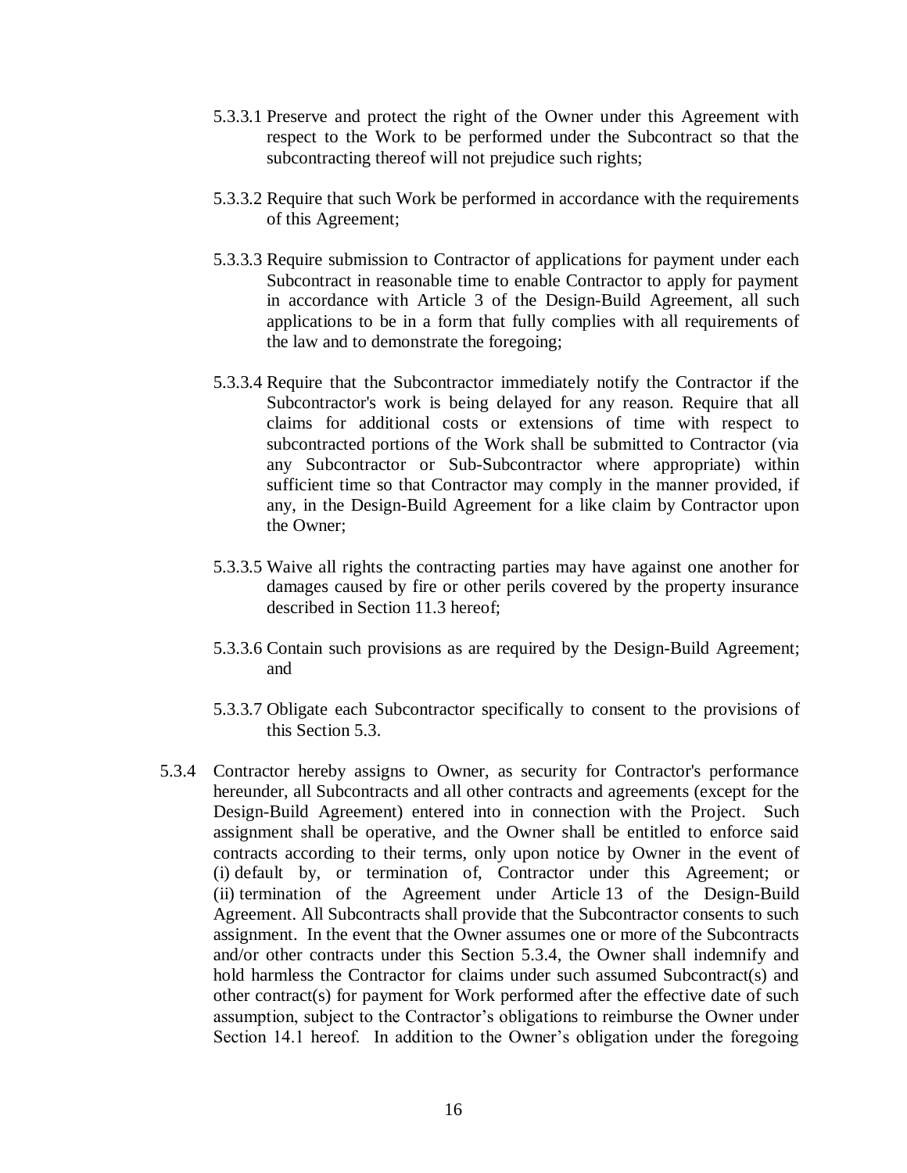- 5.3.3.1 Preserve and protect the right of the Owner under this Agreement with respect to the Work to be performed under the Subcontract so that the subcontracting thereof will not prejudice such rights;
- 5.3.3.2 Require that such Work be performed in accordance with the requirements of this Agreement;
- 5.3.3.3 Require submission to Contractor of applications for payment under each Subcontract in reasonable time to enable Contractor to apply for payment in accordance with Article 3 of the Design-Build Agreement, all such applications to be in a form that fully complies with all requirements of the law and to demonstrate the foregoing;
- 5.3.3.4 Require that the Subcontractor immediately notify the Contractor if the Subcontractor's work is being delayed for any reason. Require that all claims for additional costs or extensions of time with respect to subcontracted portions of the Work shall be submitted to Contractor (via any Subcontractor or Sub-Subcontractor where appropriate) within sufficient time so that Contractor may comply in the manner provided, if any, in the Design-Build Agreement for a like claim by Contractor upon the Owner;
- 5.3.3.5 Waive all rights the contracting parties may have against one another for damages caused by fire or other perils covered by the property insurance described in Section 11.3 hereof;
- 5.3.3.6 Contain such provisions as are required by the Design-Build Agreement; and
- 5.3.3.7 Obligate each Subcontractor specifically to consent to the provisions of this Section 5.3.
- 5.3.4 Contractor hereby assigns to Owner, as security for Contractor's performance hereunder, all Subcontracts and all other contracts and agreements (except for the Design-Build Agreement) entered into in connection with the Project. Such assignment shall be operative, and the Owner shall be entitled to enforce said contracts according to their terms, only upon notice by Owner in the event of (i) default by, or termination of, Contractor under this Agreement; or (ii) termination of the Agreement under Article 13 of the Design-Build Agreement. All Subcontracts shall provide that the Subcontractor consents to such assignment. In the event that the Owner assumes one or more of the Subcontracts and/or other contracts under this Section 5.3.4, the Owner shall indemnify and hold harmless the Contractor for claims under such assumed Subcontract(s) and other contract(s) for payment for Work performed after the effective date of such assumption, subject to the Contractor's obligations to reimburse the Owner under Section 14.1 hereof. In addition to the Owner's obligation under the foregoing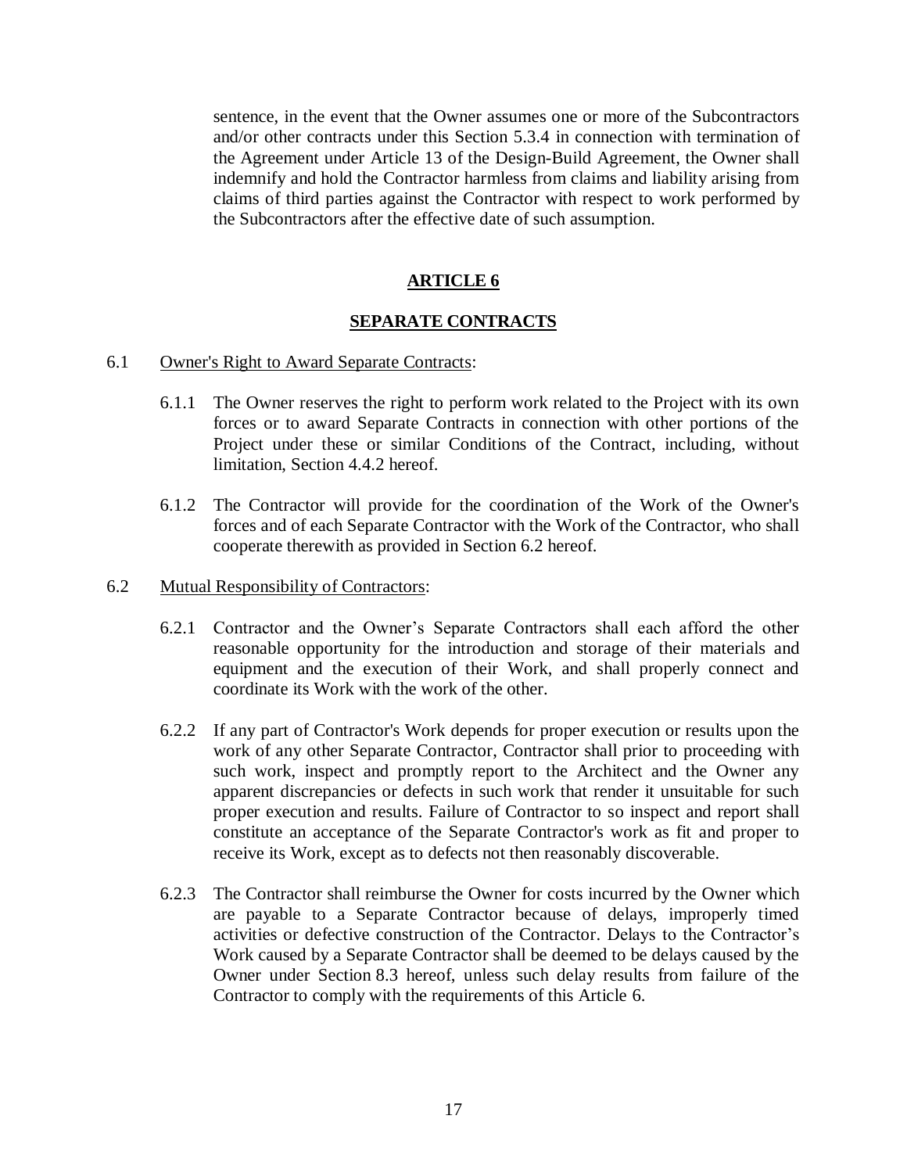sentence, in the event that the Owner assumes one or more of the Subcontractors and/or other contracts under this Section 5.3.4 in connection with termination of the Agreement under Article 13 of the Design-Build Agreement, the Owner shall indemnify and hold the Contractor harmless from claims and liability arising from claims of third parties against the Contractor with respect to work performed by the Subcontractors after the effective date of such assumption.

# **ARTICLE 6**

## **SEPARATE CONTRACTS**

#### 6.1 Owner's Right to Award Separate Contracts:

- 6.1.1 The Owner reserves the right to perform work related to the Project with its own forces or to award Separate Contracts in connection with other portions of the Project under these or similar Conditions of the Contract, including, without limitation, Section 4.4.2 hereof.
- 6.1.2 The Contractor will provide for the coordination of the Work of the Owner's forces and of each Separate Contractor with the Work of the Contractor, who shall cooperate therewith as provided in Section 6.2 hereof.

#### 6.2 Mutual Responsibility of Contractors:

- 6.2.1 Contractor and the Owner's Separate Contractors shall each afford the other reasonable opportunity for the introduction and storage of their materials and equipment and the execution of their Work, and shall properly connect and coordinate its Work with the work of the other.
- 6.2.2 If any part of Contractor's Work depends for proper execution or results upon the work of any other Separate Contractor, Contractor shall prior to proceeding with such work, inspect and promptly report to the Architect and the Owner any apparent discrepancies or defects in such work that render it unsuitable for such proper execution and results. Failure of Contractor to so inspect and report shall constitute an acceptance of the Separate Contractor's work as fit and proper to receive its Work, except as to defects not then reasonably discoverable.
- 6.2.3 The Contractor shall reimburse the Owner for costs incurred by the Owner which are payable to a Separate Contractor because of delays, improperly timed activities or defective construction of the Contractor. Delays to the Contractor's Work caused by a Separate Contractor shall be deemed to be delays caused by the Owner under Section 8.3 hereof, unless such delay results from failure of the Contractor to comply with the requirements of this Article 6.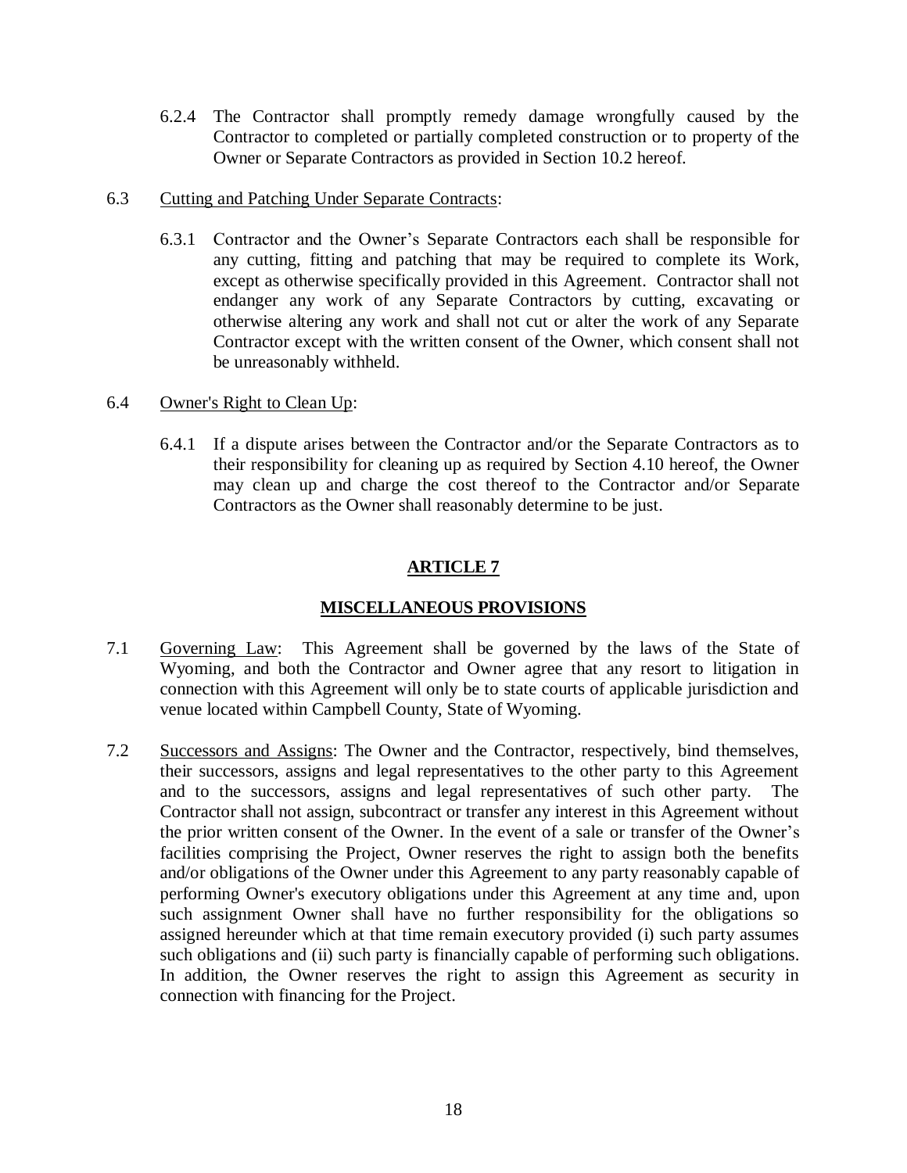- 6.2.4 The Contractor shall promptly remedy damage wrongfully caused by the Contractor to completed or partially completed construction or to property of the Owner or Separate Contractors as provided in Section 10.2 hereof.
- 6.3 Cutting and Patching Under Separate Contracts:
	- 6.3.1 Contractor and the Owner's Separate Contractors each shall be responsible for any cutting, fitting and patching that may be required to complete its Work, except as otherwise specifically provided in this Agreement. Contractor shall not endanger any work of any Separate Contractors by cutting, excavating or otherwise altering any work and shall not cut or alter the work of any Separate Contractor except with the written consent of the Owner, which consent shall not be unreasonably withheld.
- 6.4 Owner's Right to Clean Up:
	- 6.4.1 If a dispute arises between the Contractor and/or the Separate Contractors as to their responsibility for cleaning up as required by Section 4.10 hereof, the Owner may clean up and charge the cost thereof to the Contractor and/or Separate Contractors as the Owner shall reasonably determine to be just.

# **ARTICLE 7**

# **MISCELLANEOUS PROVISIONS**

- 7.1 Governing Law: This Agreement shall be governed by the laws of the State of Wyoming, and both the Contractor and Owner agree that any resort to litigation in connection with this Agreement will only be to state courts of applicable jurisdiction and venue located within Campbell County, State of Wyoming.
- 7.2 Successors and Assigns: The Owner and the Contractor, respectively, bind themselves, their successors, assigns and legal representatives to the other party to this Agreement and to the successors, assigns and legal representatives of such other party. The Contractor shall not assign, subcontract or transfer any interest in this Agreement without the prior written consent of the Owner. In the event of a sale or transfer of the Owner's facilities comprising the Project, Owner reserves the right to assign both the benefits and/or obligations of the Owner under this Agreement to any party reasonably capable of performing Owner's executory obligations under this Agreement at any time and, upon such assignment Owner shall have no further responsibility for the obligations so assigned hereunder which at that time remain executory provided (i) such party assumes such obligations and (ii) such party is financially capable of performing such obligations. In addition, the Owner reserves the right to assign this Agreement as security in connection with financing for the Project.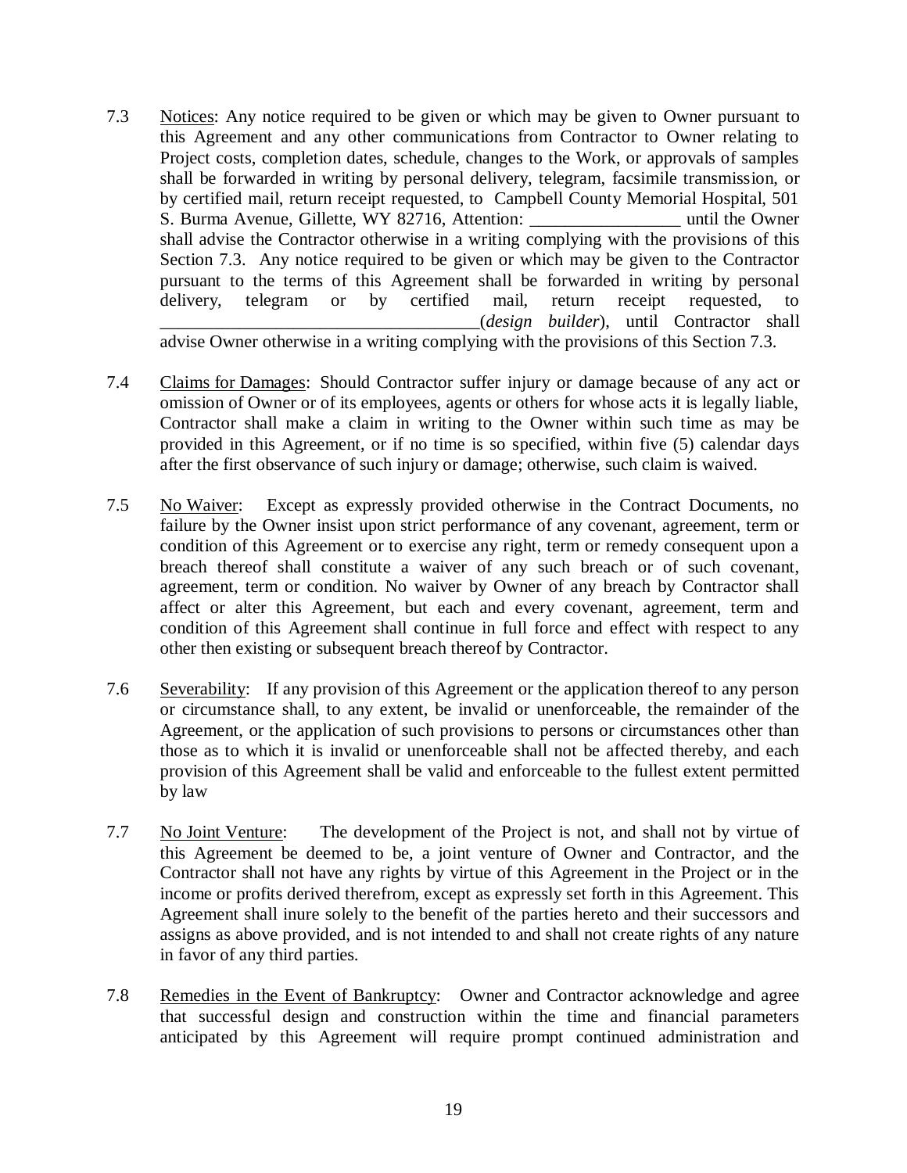7.3 Notices: Any notice required to be given or which may be given to Owner pursuant to this Agreement and any other communications from Contractor to Owner relating to Project costs, completion dates, schedule, changes to the Work, or approvals of samples shall be forwarded in writing by personal delivery, telegram, facsimile transmission, or by certified mail, return receipt requested, to Campbell County Memorial Hospital, 501 S. Burma Avenue, Gillette, WY 82716, Attention: \_\_\_\_\_\_\_\_\_\_\_\_\_\_\_\_\_ until the Owner shall advise the Contractor otherwise in a writing complying with the provisions of this Section 7.3. Any notice required to be given or which may be given to the Contractor pursuant to the terms of this Agreement shall be forwarded in writing by personal delivery, telegram or by certified mail, return receipt requested, to \_\_\_\_\_\_\_\_\_\_\_\_\_\_\_\_\_\_\_\_\_\_\_\_\_\_\_\_\_\_\_\_\_\_\_\_(*design builder*), until Contractor shall

advise Owner otherwise in a writing complying with the provisions of this Section 7.3.

- 7.4 Claims for Damages: Should Contractor suffer injury or damage because of any act or omission of Owner or of its employees, agents or others for whose acts it is legally liable, Contractor shall make a claim in writing to the Owner within such time as may be provided in this Agreement, or if no time is so specified, within five (5) calendar days after the first observance of such injury or damage; otherwise, such claim is waived.
- 7.5 No Waiver: Except as expressly provided otherwise in the Contract Documents, no failure by the Owner insist upon strict performance of any covenant, agreement, term or condition of this Agreement or to exercise any right, term or remedy consequent upon a breach thereof shall constitute a waiver of any such breach or of such covenant, agreement, term or condition. No waiver by Owner of any breach by Contractor shall affect or alter this Agreement, but each and every covenant, agreement, term and condition of this Agreement shall continue in full force and effect with respect to any other then existing or subsequent breach thereof by Contractor.
- 7.6 Severability: If any provision of this Agreement or the application thereof to any person or circumstance shall, to any extent, be invalid or unenforceable, the remainder of the Agreement, or the application of such provisions to persons or circumstances other than those as to which it is invalid or unenforceable shall not be affected thereby, and each provision of this Agreement shall be valid and enforceable to the fullest extent permitted by law
- 7.7 No Joint Venture: The development of the Project is not, and shall not by virtue of this Agreement be deemed to be, a joint venture of Owner and Contractor, and the Contractor shall not have any rights by virtue of this Agreement in the Project or in the income or profits derived therefrom, except as expressly set forth in this Agreement. This Agreement shall inure solely to the benefit of the parties hereto and their successors and assigns as above provided, and is not intended to and shall not create rights of any nature in favor of any third parties.
- 7.8 Remedies in the Event of Bankruptcy: Owner and Contractor acknowledge and agree that successful design and construction within the time and financial parameters anticipated by this Agreement will require prompt continued administration and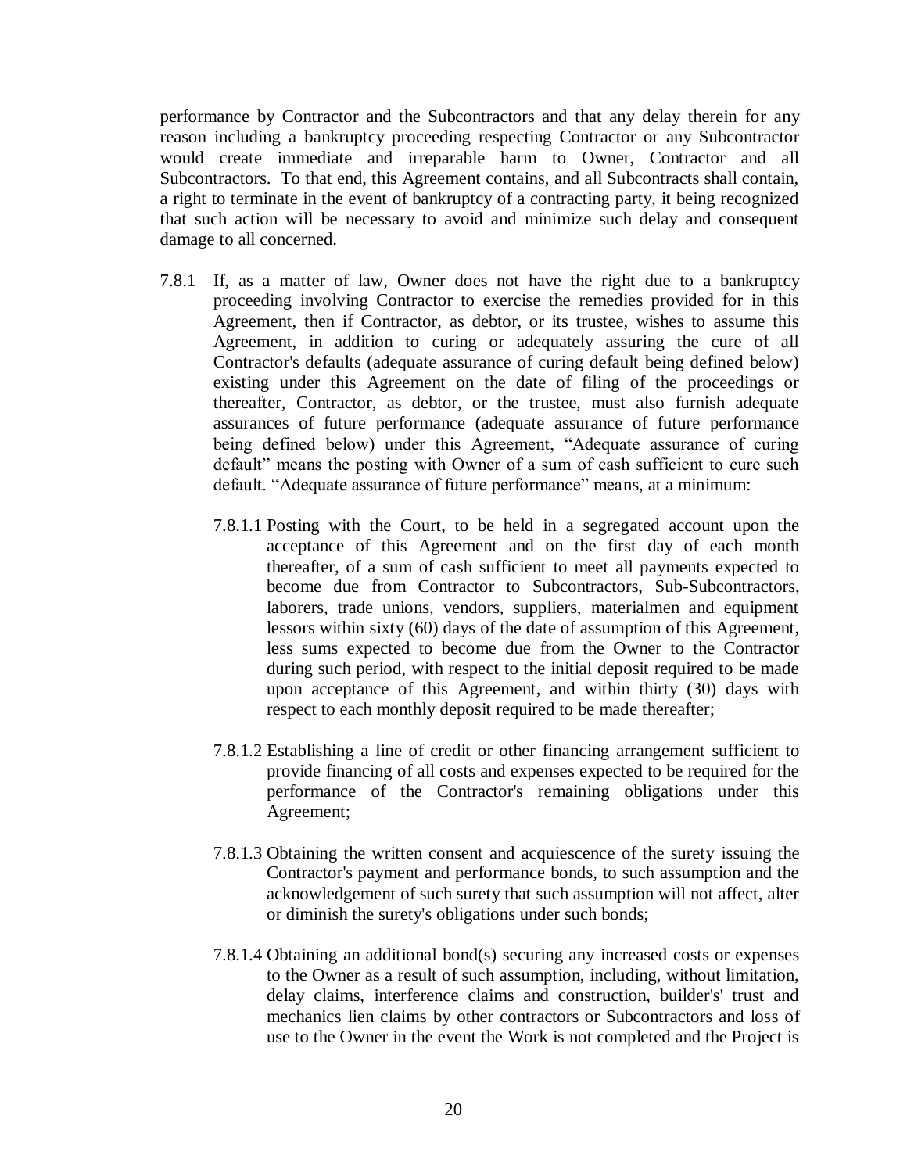performance by Contractor and the Subcontractors and that any delay therein for any reason including a bankruptcy proceeding respecting Contractor or any Subcontractor would create immediate and irreparable harm to Owner, Contractor and all Subcontractors. To that end, this Agreement contains, and all Subcontracts shall contain, a right to terminate in the event of bankruptcy of a contracting party, it being recognized that such action will be necessary to avoid and minimize such delay and consequent damage to all concerned.

- 7.8.1 If, as a matter of law, Owner does not have the right due to a bankruptcy proceeding involving Contractor to exercise the remedies provided for in this Agreement, then if Contractor, as debtor, or its trustee, wishes to assume this Agreement, in addition to curing or adequately assuring the cure of all Contractor's defaults (adequate assurance of curing default being defined below) existing under this Agreement on the date of filing of the proceedings or thereafter, Contractor, as debtor, or the trustee, must also furnish adequate assurances of future performance (adequate assurance of future performance being defined below) under this Agreement, "Adequate assurance of curing default" means the posting with Owner of a sum of cash sufficient to cure such default. "Adequate assurance of future performance" means, at a minimum:
	- 7.8.1.1 Posting with the Court, to be held in a segregated account upon the acceptance of this Agreement and on the first day of each month thereafter, of a sum of cash sufficient to meet all payments expected to become due from Contractor to Subcontractors, Sub-Subcontractors, laborers, trade unions, vendors, suppliers, materialmen and equipment lessors within sixty (60) days of the date of assumption of this Agreement, less sums expected to become due from the Owner to the Contractor during such period, with respect to the initial deposit required to be made upon acceptance of this Agreement, and within thirty (30) days with respect to each monthly deposit required to be made thereafter;
	- 7.8.1.2 Establishing a line of credit or other financing arrangement sufficient to provide financing of all costs and expenses expected to be required for the performance of the Contractor's remaining obligations under this Agreement;
	- 7.8.1.3 Obtaining the written consent and acquiescence of the surety issuing the Contractor's payment and performance bonds, to such assumption and the acknowledgement of such surety that such assumption will not affect, alter or diminish the surety's obligations under such bonds;
	- 7.8.1.4 Obtaining an additional bond(s) securing any increased costs or expenses to the Owner as a result of such assumption, including, without limitation, delay claims, interference claims and construction, builder's' trust and mechanics lien claims by other contractors or Subcontractors and loss of use to the Owner in the event the Work is not completed and the Project is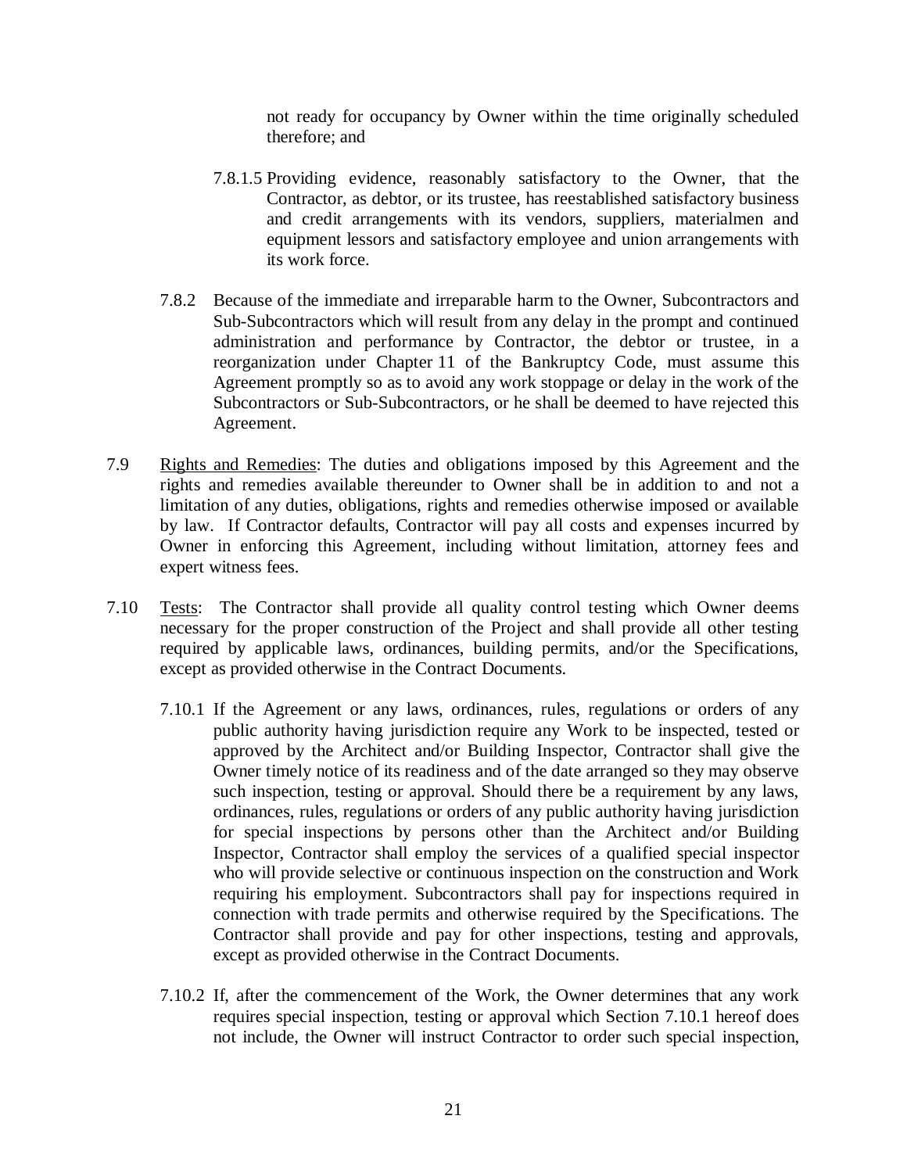not ready for occupancy by Owner within the time originally scheduled therefore; and

- 7.8.1.5 Providing evidence, reasonably satisfactory to the Owner, that the Contractor, as debtor, or its trustee, has reestablished satisfactory business and credit arrangements with its vendors, suppliers, materialmen and equipment lessors and satisfactory employee and union arrangements with its work force.
- 7.8.2 Because of the immediate and irreparable harm to the Owner, Subcontractors and Sub-Subcontractors which will result from any delay in the prompt and continued administration and performance by Contractor, the debtor or trustee, in a reorganization under Chapter 11 of the Bankruptcy Code, must assume this Agreement promptly so as to avoid any work stoppage or delay in the work of the Subcontractors or Sub-Subcontractors, or he shall be deemed to have rejected this Agreement.
- 7.9 Rights and Remedies: The duties and obligations imposed by this Agreement and the rights and remedies available thereunder to Owner shall be in addition to and not a limitation of any duties, obligations, rights and remedies otherwise imposed or available by law. If Contractor defaults, Contractor will pay all costs and expenses incurred by Owner in enforcing this Agreement, including without limitation, attorney fees and expert witness fees.
- 7.10 Tests: The Contractor shall provide all quality control testing which Owner deems necessary for the proper construction of the Project and shall provide all other testing required by applicable laws, ordinances, building permits, and/or the Specifications, except as provided otherwise in the Contract Documents.
	- 7.10.1 If the Agreement or any laws, ordinances, rules, regulations or orders of any public authority having jurisdiction require any Work to be inspected, tested or approved by the Architect and/or Building Inspector, Contractor shall give the Owner timely notice of its readiness and of the date arranged so they may observe such inspection, testing or approval. Should there be a requirement by any laws, ordinances, rules, regulations or orders of any public authority having jurisdiction for special inspections by persons other than the Architect and/or Building Inspector, Contractor shall employ the services of a qualified special inspector who will provide selective or continuous inspection on the construction and Work requiring his employment. Subcontractors shall pay for inspections required in connection with trade permits and otherwise required by the Specifications. The Contractor shall provide and pay for other inspections, testing and approvals, except as provided otherwise in the Contract Documents.
	- 7.10.2 If, after the commencement of the Work, the Owner determines that any work requires special inspection, testing or approval which Section 7.10.1 hereof does not include, the Owner will instruct Contractor to order such special inspection,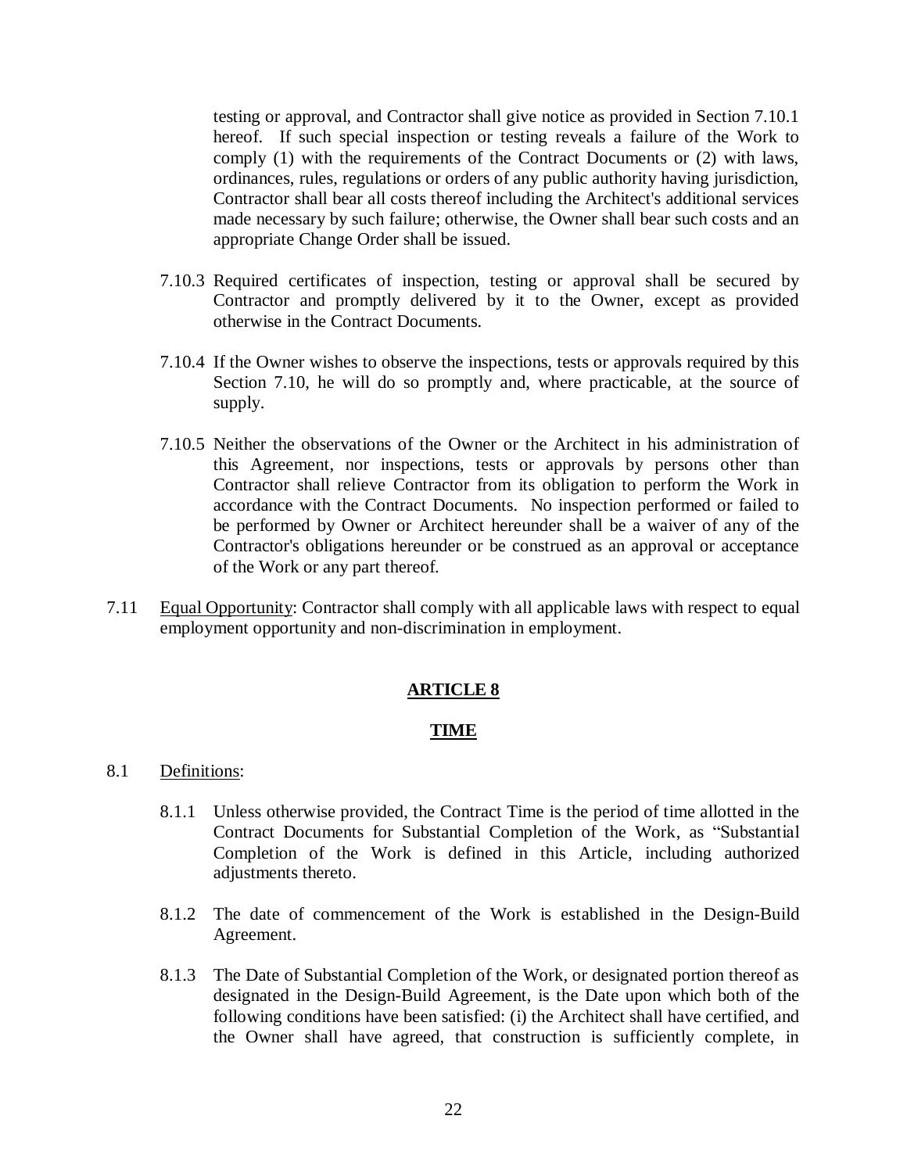testing or approval, and Contractor shall give notice as provided in Section 7.10.1 hereof. If such special inspection or testing reveals a failure of the Work to comply (1) with the requirements of the Contract Documents or (2) with laws, ordinances, rules, regulations or orders of any public authority having jurisdiction, Contractor shall bear all costs thereof including the Architect's additional services made necessary by such failure; otherwise, the Owner shall bear such costs and an appropriate Change Order shall be issued.

- 7.10.3 Required certificates of inspection, testing or approval shall be secured by Contractor and promptly delivered by it to the Owner, except as provided otherwise in the Contract Documents.
- 7.10.4 If the Owner wishes to observe the inspections, tests or approvals required by this Section 7.10, he will do so promptly and, where practicable, at the source of supply.
- 7.10.5 Neither the observations of the Owner or the Architect in his administration of this Agreement, nor inspections, tests or approvals by persons other than Contractor shall relieve Contractor from its obligation to perform the Work in accordance with the Contract Documents. No inspection performed or failed to be performed by Owner or Architect hereunder shall be a waiver of any of the Contractor's obligations hereunder or be construed as an approval or acceptance of the Work or any part thereof.
- 7.11 Equal Opportunity: Contractor shall comply with all applicable laws with respect to equal employment opportunity and non-discrimination in employment.

## **ARTICLE 8**

## **TIME**

- 8.1 Definitions:
	- 8.1.1 Unless otherwise provided, the Contract Time is the period of time allotted in the Contract Documents for Substantial Completion of the Work, as "Substantial Completion of the Work is defined in this Article, including authorized adjustments thereto.
	- 8.1.2 The date of commencement of the Work is established in the Design-Build Agreement.
	- 8.1.3 The Date of Substantial Completion of the Work, or designated portion thereof as designated in the Design-Build Agreement, is the Date upon which both of the following conditions have been satisfied: (i) the Architect shall have certified, and the Owner shall have agreed, that construction is sufficiently complete, in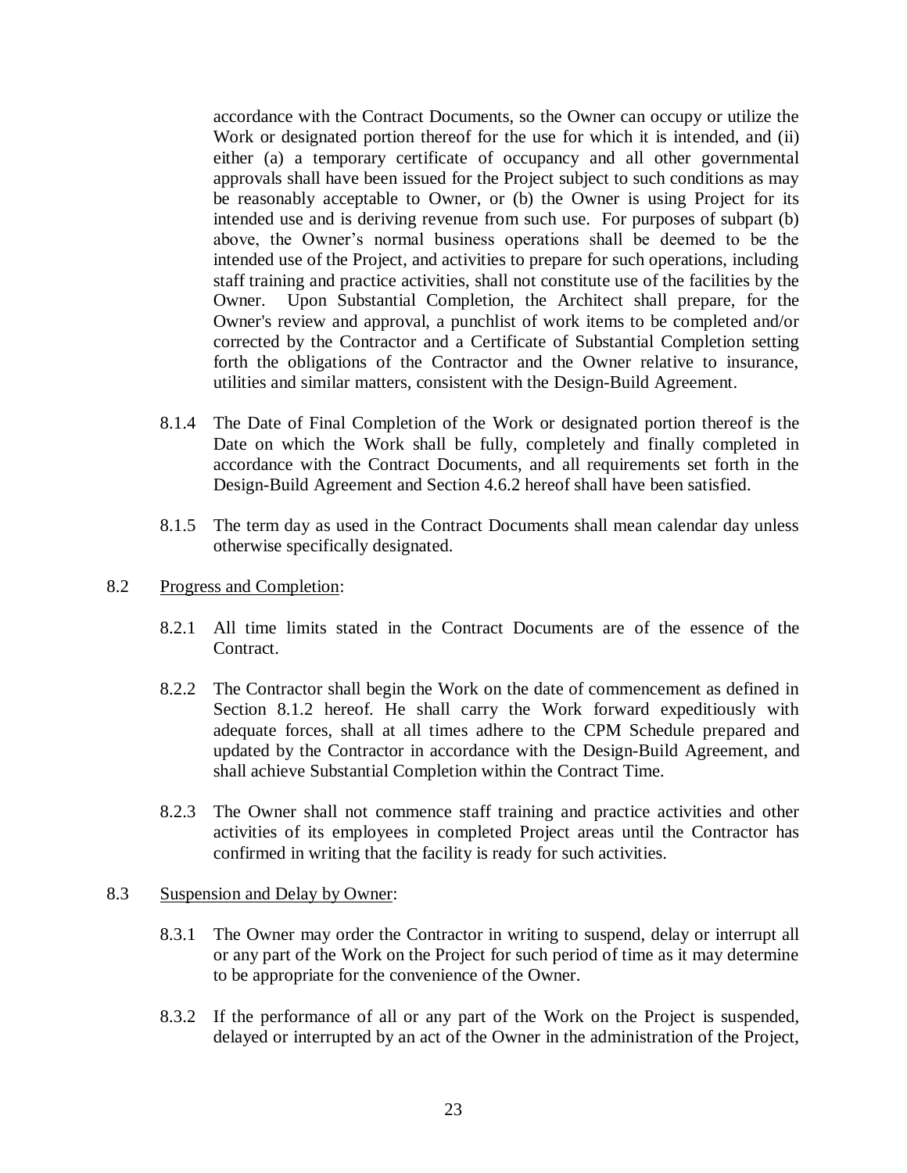accordance with the Contract Documents, so the Owner can occupy or utilize the Work or designated portion thereof for the use for which it is intended, and (ii) either (a) a temporary certificate of occupancy and all other governmental approvals shall have been issued for the Project subject to such conditions as may be reasonably acceptable to Owner, or (b) the Owner is using Project for its intended use and is deriving revenue from such use. For purposes of subpart (b) above, the Owner's normal business operations shall be deemed to be the intended use of the Project, and activities to prepare for such operations, including staff training and practice activities, shall not constitute use of the facilities by the Owner. Upon Substantial Completion, the Architect shall prepare, for the Owner's review and approval, a punchlist of work items to be completed and/or corrected by the Contractor and a Certificate of Substantial Completion setting forth the obligations of the Contractor and the Owner relative to insurance, utilities and similar matters, consistent with the Design-Build Agreement.

- 8.1.4 The Date of Final Completion of the Work or designated portion thereof is the Date on which the Work shall be fully, completely and finally completed in accordance with the Contract Documents, and all requirements set forth in the Design-Build Agreement and Section 4.6.2 hereof shall have been satisfied.
- 8.1.5 The term day as used in the Contract Documents shall mean calendar day unless otherwise specifically designated.

### 8.2 Progress and Completion:

- 8.2.1 All time limits stated in the Contract Documents are of the essence of the Contract.
- 8.2.2 The Contractor shall begin the Work on the date of commencement as defined in Section 8.1.2 hereof. He shall carry the Work forward expeditiously with adequate forces, shall at all times adhere to the CPM Schedule prepared and updated by the Contractor in accordance with the Design-Build Agreement, and shall achieve Substantial Completion within the Contract Time.
- 8.2.3 The Owner shall not commence staff training and practice activities and other activities of its employees in completed Project areas until the Contractor has confirmed in writing that the facility is ready for such activities.

#### 8.3 Suspension and Delay by Owner:

- 8.3.1 The Owner may order the Contractor in writing to suspend, delay or interrupt all or any part of the Work on the Project for such period of time as it may determine to be appropriate for the convenience of the Owner.
- 8.3.2 If the performance of all or any part of the Work on the Project is suspended, delayed or interrupted by an act of the Owner in the administration of the Project,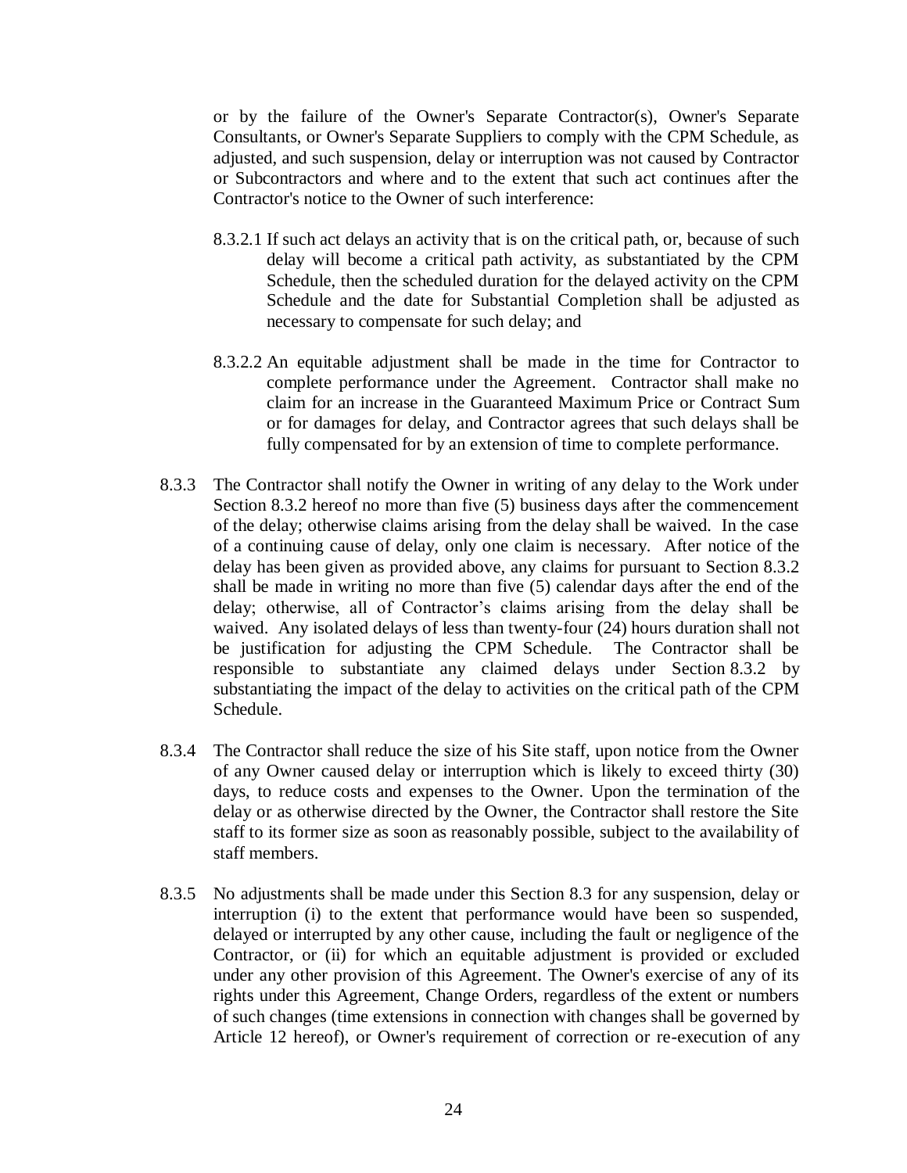or by the failure of the Owner's Separate Contractor(s), Owner's Separate Consultants, or Owner's Separate Suppliers to comply with the CPM Schedule, as adjusted, and such suspension, delay or interruption was not caused by Contractor or Subcontractors and where and to the extent that such act continues after the Contractor's notice to the Owner of such interference:

- 8.3.2.1 If such act delays an activity that is on the critical path, or, because of such delay will become a critical path activity, as substantiated by the CPM Schedule, then the scheduled duration for the delayed activity on the CPM Schedule and the date for Substantial Completion shall be adjusted as necessary to compensate for such delay; and
- 8.3.2.2 An equitable adjustment shall be made in the time for Contractor to complete performance under the Agreement. Contractor shall make no claim for an increase in the Guaranteed Maximum Price or Contract Sum or for damages for delay, and Contractor agrees that such delays shall be fully compensated for by an extension of time to complete performance.
- 8.3.3 The Contractor shall notify the Owner in writing of any delay to the Work under Section 8.3.2 hereof no more than five (5) business days after the commencement of the delay; otherwise claims arising from the delay shall be waived. In the case of a continuing cause of delay, only one claim is necessary. After notice of the delay has been given as provided above, any claims for pursuant to Section 8.3.2 shall be made in writing no more than five (5) calendar days after the end of the delay; otherwise, all of Contractor's claims arising from the delay shall be waived. Any isolated delays of less than twenty-four (24) hours duration shall not be justification for adjusting the CPM Schedule. The Contractor shall be responsible to substantiate any claimed delays under Section 8.3.2 by substantiating the impact of the delay to activities on the critical path of the CPM Schedule.
- 8.3.4 The Contractor shall reduce the size of his Site staff, upon notice from the Owner of any Owner caused delay or interruption which is likely to exceed thirty (30) days, to reduce costs and expenses to the Owner. Upon the termination of the delay or as otherwise directed by the Owner, the Contractor shall restore the Site staff to its former size as soon as reasonably possible, subject to the availability of staff members.
- 8.3.5 No adjustments shall be made under this Section 8.3 for any suspension, delay or interruption (i) to the extent that performance would have been so suspended, delayed or interrupted by any other cause, including the fault or negligence of the Contractor, or (ii) for which an equitable adjustment is provided or excluded under any other provision of this Agreement. The Owner's exercise of any of its rights under this Agreement, Change Orders, regardless of the extent or numbers of such changes (time extensions in connection with changes shall be governed by Article 12 hereof), or Owner's requirement of correction or re-execution of any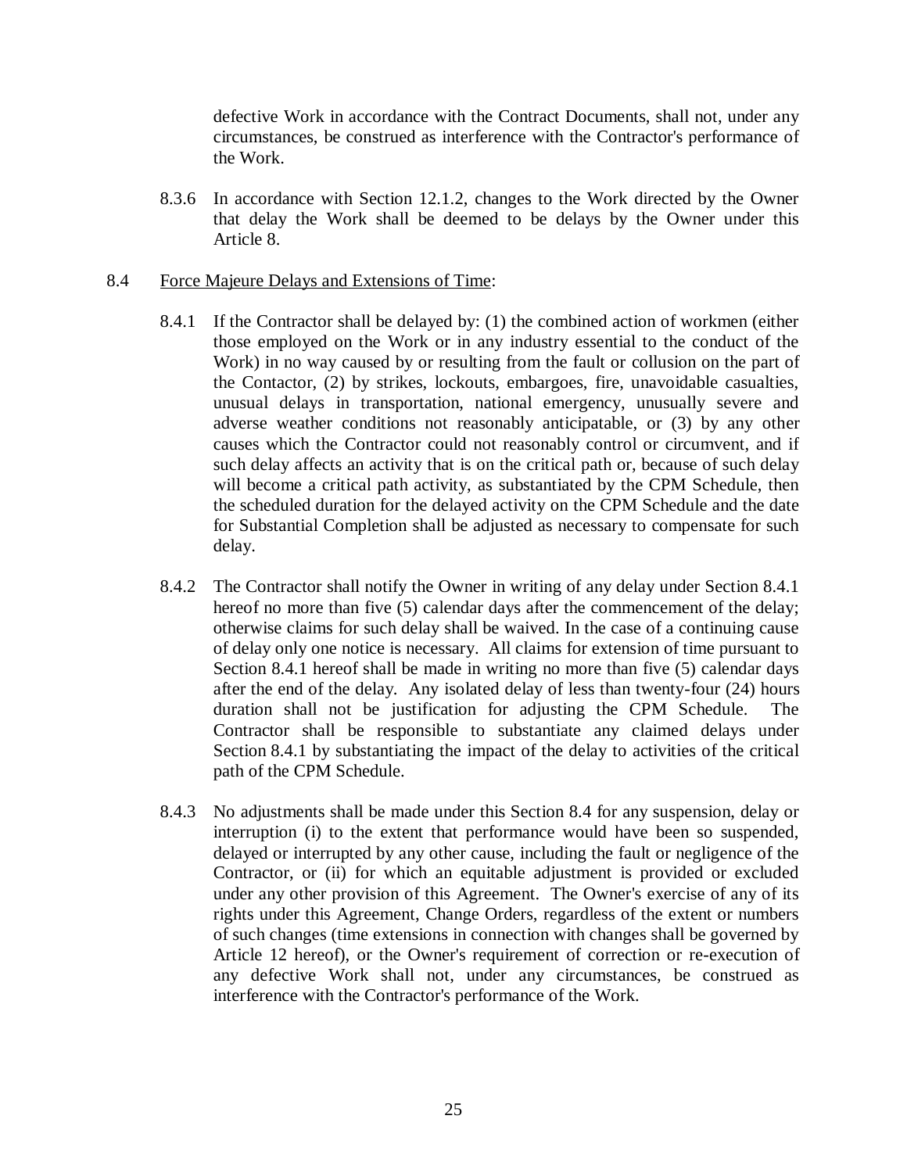defective Work in accordance with the Contract Documents, shall not, under any circumstances, be construed as interference with the Contractor's performance of the Work.

8.3.6 In accordance with Section 12.1.2, changes to the Work directed by the Owner that delay the Work shall be deemed to be delays by the Owner under this Article 8.

## 8.4 Force Majeure Delays and Extensions of Time:

- 8.4.1 If the Contractor shall be delayed by: (1) the combined action of workmen (either those employed on the Work or in any industry essential to the conduct of the Work) in no way caused by or resulting from the fault or collusion on the part of the Contactor, (2) by strikes, lockouts, embargoes, fire, unavoidable casualties, unusual delays in transportation, national emergency, unusually severe and adverse weather conditions not reasonably anticipatable, or (3) by any other causes which the Contractor could not reasonably control or circumvent, and if such delay affects an activity that is on the critical path or, because of such delay will become a critical path activity, as substantiated by the CPM Schedule, then the scheduled duration for the delayed activity on the CPM Schedule and the date for Substantial Completion shall be adjusted as necessary to compensate for such delay.
- 8.4.2 The Contractor shall notify the Owner in writing of any delay under Section 8.4.1 hereof no more than five (5) calendar days after the commencement of the delay; otherwise claims for such delay shall be waived. In the case of a continuing cause of delay only one notice is necessary. All claims for extension of time pursuant to Section 8.4.1 hereof shall be made in writing no more than five (5) calendar days after the end of the delay. Any isolated delay of less than twenty-four (24) hours duration shall not be justification for adjusting the CPM Schedule. The Contractor shall be responsible to substantiate any claimed delays under Section 8.4.1 by substantiating the impact of the delay to activities of the critical path of the CPM Schedule.
- 8.4.3 No adjustments shall be made under this Section 8.4 for any suspension, delay or interruption (i) to the extent that performance would have been so suspended, delayed or interrupted by any other cause, including the fault or negligence of the Contractor, or (ii) for which an equitable adjustment is provided or excluded under any other provision of this Agreement. The Owner's exercise of any of its rights under this Agreement, Change Orders, regardless of the extent or numbers of such changes (time extensions in connection with changes shall be governed by Article 12 hereof), or the Owner's requirement of correction or re-execution of any defective Work shall not, under any circumstances, be construed as interference with the Contractor's performance of the Work.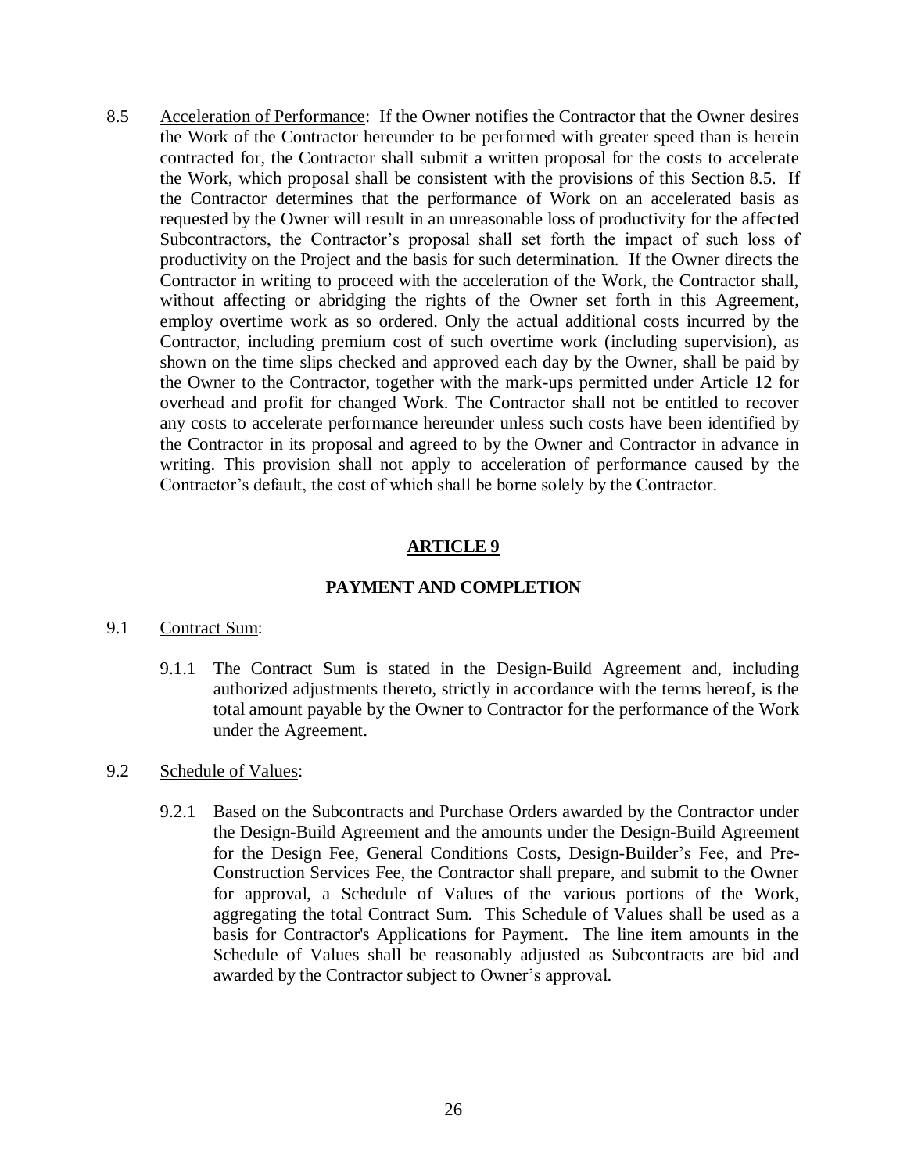8.5 Acceleration of Performance: If the Owner notifies the Contractor that the Owner desires the Work of the Contractor hereunder to be performed with greater speed than is herein contracted for, the Contractor shall submit a written proposal for the costs to accelerate the Work, which proposal shall be consistent with the provisions of this Section 8.5. If the Contractor determines that the performance of Work on an accelerated basis as requested by the Owner will result in an unreasonable loss of productivity for the affected Subcontractors, the Contractor's proposal shall set forth the impact of such loss of productivity on the Project and the basis for such determination. If the Owner directs the Contractor in writing to proceed with the acceleration of the Work, the Contractor shall, without affecting or abridging the rights of the Owner set forth in this Agreement, employ overtime work as so ordered. Only the actual additional costs incurred by the Contractor, including premium cost of such overtime work (including supervision), as shown on the time slips checked and approved each day by the Owner, shall be paid by the Owner to the Contractor, together with the mark-ups permitted under Article 12 for overhead and profit for changed Work. The Contractor shall not be entitled to recover any costs to accelerate performance hereunder unless such costs have been identified by the Contractor in its proposal and agreed to by the Owner and Contractor in advance in writing. This provision shall not apply to acceleration of performance caused by the Contractor's default, the cost of which shall be borne solely by the Contractor.

# **ARTICLE 9**

## **PAYMENT AND COMPLETION**

#### 9.1 Contract Sum:

9.1.1 The Contract Sum is stated in the Design-Build Agreement and, including authorized adjustments thereto, strictly in accordance with the terms hereof, is the total amount payable by the Owner to Contractor for the performance of the Work under the Agreement.

#### 9.2 Schedule of Values:

9.2.1 Based on the Subcontracts and Purchase Orders awarded by the Contractor under the Design-Build Agreement and the amounts under the Design-Build Agreement for the Design Fee, General Conditions Costs, Design-Builder's Fee, and Pre-Construction Services Fee, the Contractor shall prepare, and submit to the Owner for approval, a Schedule of Values of the various portions of the Work, aggregating the total Contract Sum. This Schedule of Values shall be used as a basis for Contractor's Applications for Payment. The line item amounts in the Schedule of Values shall be reasonably adjusted as Subcontracts are bid and awarded by the Contractor subject to Owner's approval.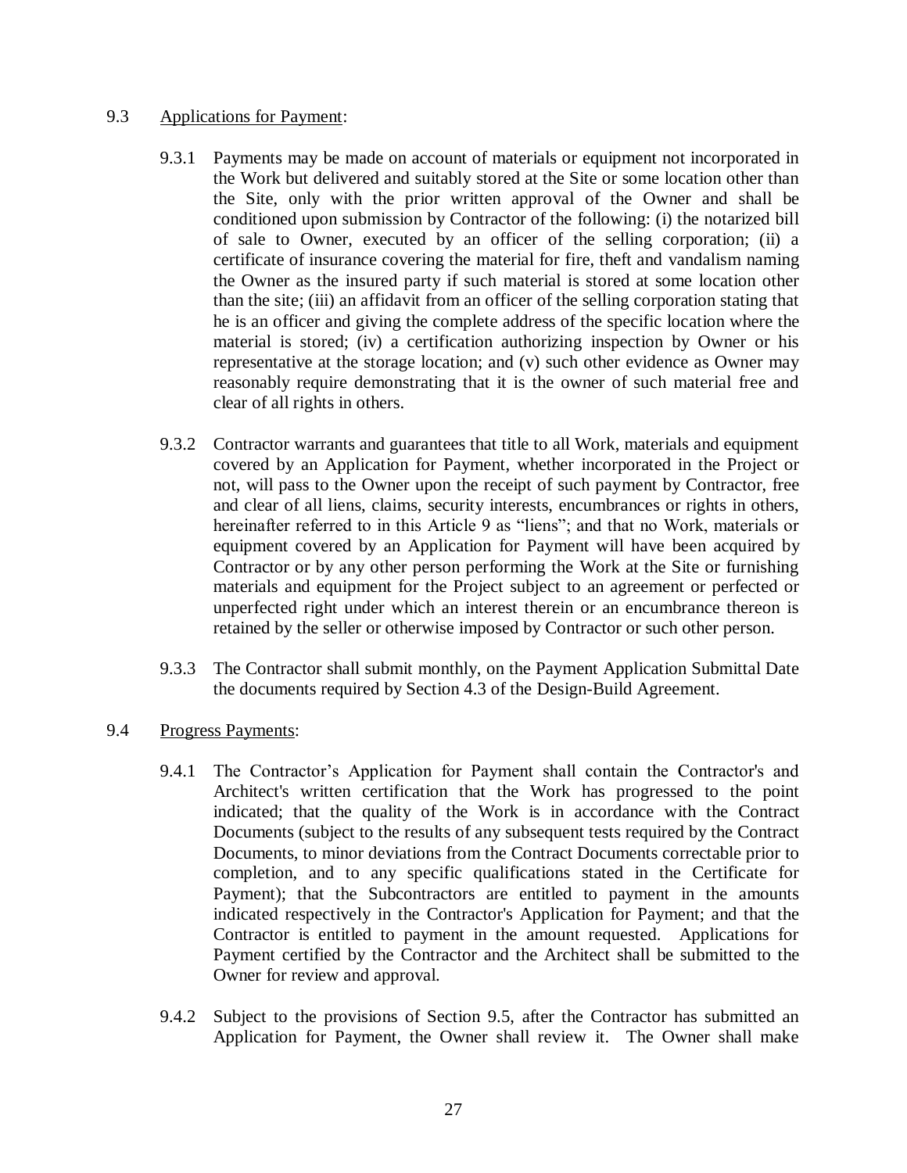## 9.3 Applications for Payment:

- 9.3.1 Payments may be made on account of materials or equipment not incorporated in the Work but delivered and suitably stored at the Site or some location other than the Site, only with the prior written approval of the Owner and shall be conditioned upon submission by Contractor of the following: (i) the notarized bill of sale to Owner, executed by an officer of the selling corporation; (ii) a certificate of insurance covering the material for fire, theft and vandalism naming the Owner as the insured party if such material is stored at some location other than the site; (iii) an affidavit from an officer of the selling corporation stating that he is an officer and giving the complete address of the specific location where the material is stored; (iv) a certification authorizing inspection by Owner or his representative at the storage location; and (v) such other evidence as Owner may reasonably require demonstrating that it is the owner of such material free and clear of all rights in others.
- 9.3.2 Contractor warrants and guarantees that title to all Work, materials and equipment covered by an Application for Payment, whether incorporated in the Project or not, will pass to the Owner upon the receipt of such payment by Contractor, free and clear of all liens, claims, security interests, encumbrances or rights in others, hereinafter referred to in this Article 9 as "liens"; and that no Work, materials or equipment covered by an Application for Payment will have been acquired by Contractor or by any other person performing the Work at the Site or furnishing materials and equipment for the Project subject to an agreement or perfected or unperfected right under which an interest therein or an encumbrance thereon is retained by the seller or otherwise imposed by Contractor or such other person.
- 9.3.3 The Contractor shall submit monthly, on the Payment Application Submittal Date the documents required by Section 4.3 of the Design-Build Agreement.
- 9.4 Progress Payments:
	- 9.4.1 The Contractor's Application for Payment shall contain the Contractor's and Architect's written certification that the Work has progressed to the point indicated; that the quality of the Work is in accordance with the Contract Documents (subject to the results of any subsequent tests required by the Contract Documents, to minor deviations from the Contract Documents correctable prior to completion, and to any specific qualifications stated in the Certificate for Payment); that the Subcontractors are entitled to payment in the amounts indicated respectively in the Contractor's Application for Payment; and that the Contractor is entitled to payment in the amount requested. Applications for Payment certified by the Contractor and the Architect shall be submitted to the Owner for review and approval.
	- 9.4.2 Subject to the provisions of Section 9.5, after the Contractor has submitted an Application for Payment, the Owner shall review it. The Owner shall make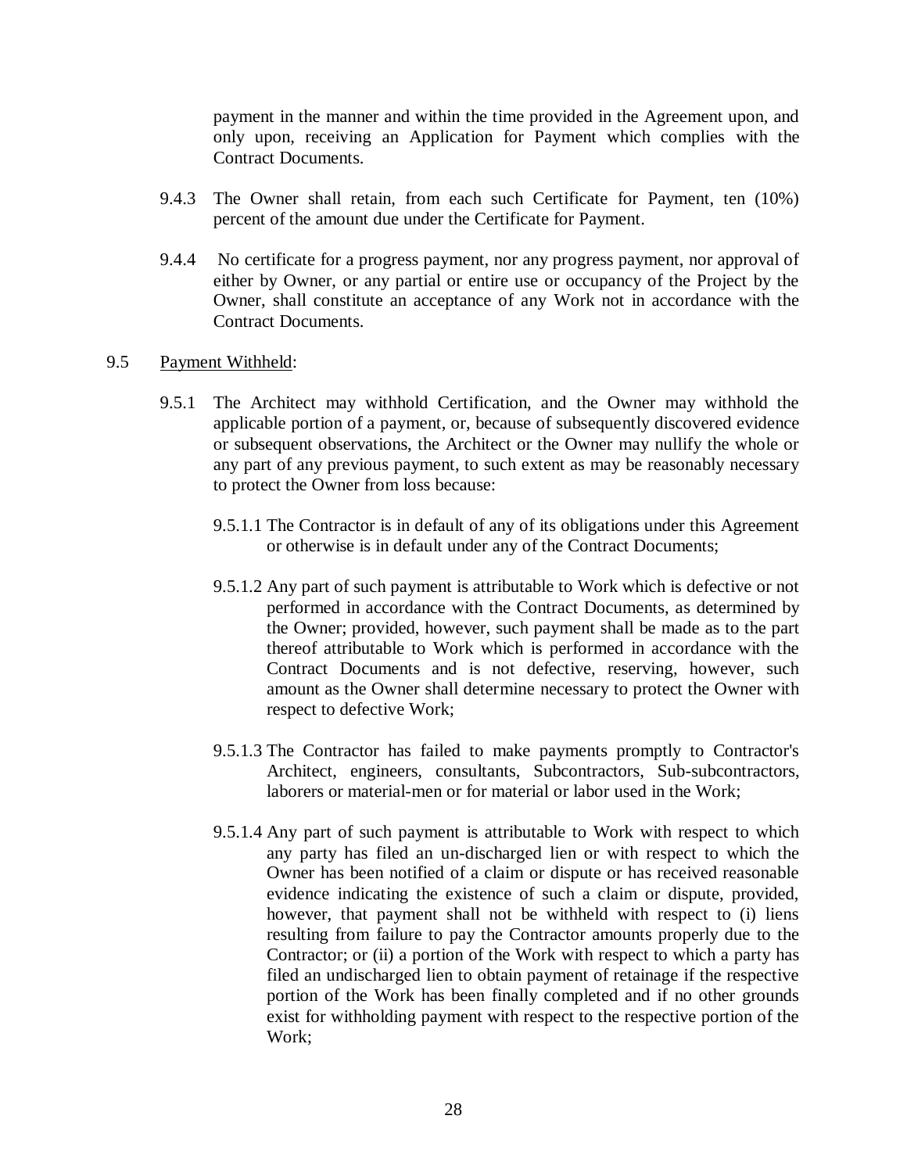payment in the manner and within the time provided in the Agreement upon, and only upon, receiving an Application for Payment which complies with the Contract Documents.

- 9.4.3 The Owner shall retain, from each such Certificate for Payment, ten (10%) percent of the amount due under the Certificate for Payment.
- 9.4.4 No certificate for a progress payment, nor any progress payment, nor approval of either by Owner, or any partial or entire use or occupancy of the Project by the Owner, shall constitute an acceptance of any Work not in accordance with the Contract Documents.

#### 9.5 Payment Withheld:

- 9.5.1 The Architect may withhold Certification, and the Owner may withhold the applicable portion of a payment, or, because of subsequently discovered evidence or subsequent observations, the Architect or the Owner may nullify the whole or any part of any previous payment, to such extent as may be reasonably necessary to protect the Owner from loss because:
	- 9.5.1.1 The Contractor is in default of any of its obligations under this Agreement or otherwise is in default under any of the Contract Documents;
	- 9.5.1.2 Any part of such payment is attributable to Work which is defective or not performed in accordance with the Contract Documents, as determined by the Owner; provided, however, such payment shall be made as to the part thereof attributable to Work which is performed in accordance with the Contract Documents and is not defective, reserving, however, such amount as the Owner shall determine necessary to protect the Owner with respect to defective Work;
	- 9.5.1.3 The Contractor has failed to make payments promptly to Contractor's Architect, engineers, consultants, Subcontractors, Sub-subcontractors, laborers or material-men or for material or labor used in the Work;
	- 9.5.1.4 Any part of such payment is attributable to Work with respect to which any party has filed an un-discharged lien or with respect to which the Owner has been notified of a claim or dispute or has received reasonable evidence indicating the existence of such a claim or dispute, provided, however, that payment shall not be withheld with respect to (i) liens resulting from failure to pay the Contractor amounts properly due to the Contractor; or (ii) a portion of the Work with respect to which a party has filed an undischarged lien to obtain payment of retainage if the respective portion of the Work has been finally completed and if no other grounds exist for withholding payment with respect to the respective portion of the Work;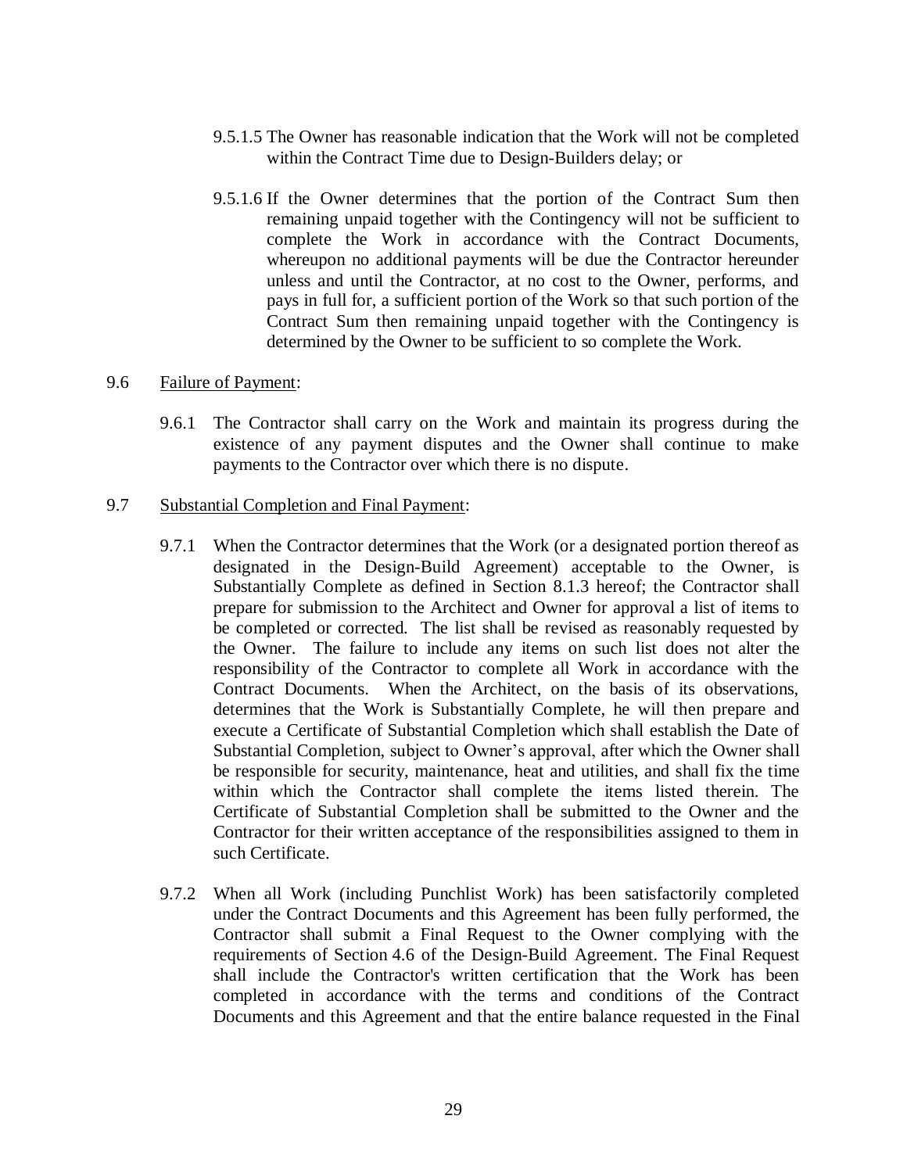- 9.5.1.5 The Owner has reasonable indication that the Work will not be completed within the Contract Time due to Design-Builders delay; or
- 9.5.1.6 If the Owner determines that the portion of the Contract Sum then remaining unpaid together with the Contingency will not be sufficient to complete the Work in accordance with the Contract Documents, whereupon no additional payments will be due the Contractor hereunder unless and until the Contractor, at no cost to the Owner, performs, and pays in full for, a sufficient portion of the Work so that such portion of the Contract Sum then remaining unpaid together with the Contingency is determined by the Owner to be sufficient to so complete the Work.

#### 9.6 Failure of Payment:

- 9.6.1 The Contractor shall carry on the Work and maintain its progress during the existence of any payment disputes and the Owner shall continue to make payments to the Contractor over which there is no dispute.
- 9.7 Substantial Completion and Final Payment:
	- 9.7.1 When the Contractor determines that the Work (or a designated portion thereof as designated in the Design-Build Agreement) acceptable to the Owner, is Substantially Complete as defined in Section 8.1.3 hereof; the Contractor shall prepare for submission to the Architect and Owner for approval a list of items to be completed or corrected. The list shall be revised as reasonably requested by the Owner. The failure to include any items on such list does not alter the responsibility of the Contractor to complete all Work in accordance with the Contract Documents. When the Architect, on the basis of its observations, determines that the Work is Substantially Complete, he will then prepare and execute a Certificate of Substantial Completion which shall establish the Date of Substantial Completion, subject to Owner's approval, after which the Owner shall be responsible for security, maintenance, heat and utilities, and shall fix the time within which the Contractor shall complete the items listed therein. The Certificate of Substantial Completion shall be submitted to the Owner and the Contractor for their written acceptance of the responsibilities assigned to them in such Certificate.
	- 9.7.2 When all Work (including Punchlist Work) has been satisfactorily completed under the Contract Documents and this Agreement has been fully performed, the Contractor shall submit a Final Request to the Owner complying with the requirements of Section 4.6 of the Design-Build Agreement. The Final Request shall include the Contractor's written certification that the Work has been completed in accordance with the terms and conditions of the Contract Documents and this Agreement and that the entire balance requested in the Final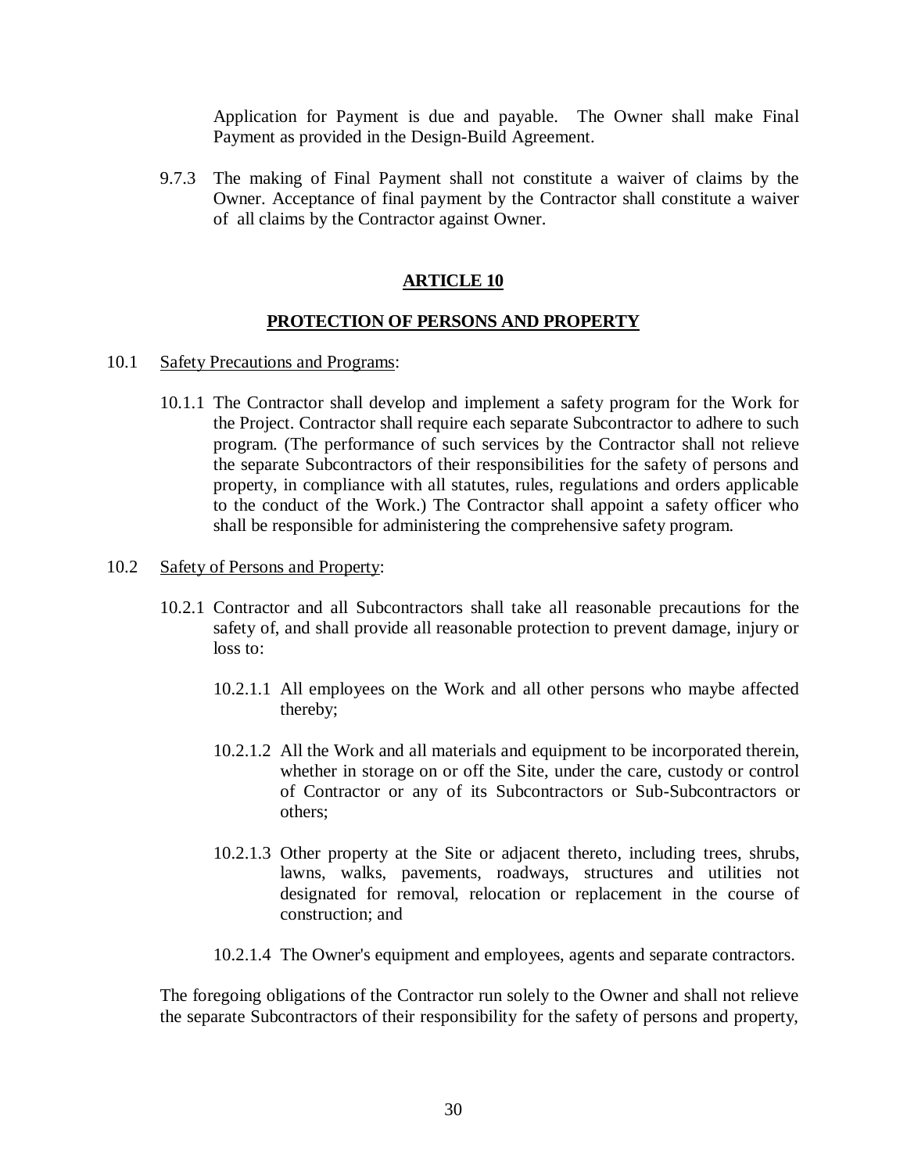Application for Payment is due and payable. The Owner shall make Final Payment as provided in the Design-Build Agreement.

9.7.3 The making of Final Payment shall not constitute a waiver of claims by the Owner. Acceptance of final payment by the Contractor shall constitute a waiver of all claims by the Contractor against Owner.

## **ARTICLE 10**

## **PROTECTION OF PERSONS AND PROPERTY**

- 10.1 Safety Precautions and Programs:
	- 10.1.1 The Contractor shall develop and implement a safety program for the Work for the Project. Contractor shall require each separate Subcontractor to adhere to such program. (The performance of such services by the Contractor shall not relieve the separate Subcontractors of their responsibilities for the safety of persons and property, in compliance with all statutes, rules, regulations and orders applicable to the conduct of the Work.) The Contractor shall appoint a safety officer who shall be responsible for administering the comprehensive safety program.
- 10.2 Safety of Persons and Property:
	- 10.2.1 Contractor and all Subcontractors shall take all reasonable precautions for the safety of, and shall provide all reasonable protection to prevent damage, injury or loss to:
		- 10.2.1.1 All employees on the Work and all other persons who maybe affected thereby;
		- 10.2.1.2 All the Work and all materials and equipment to be incorporated therein, whether in storage on or off the Site, under the care, custody or control of Contractor or any of its Subcontractors or Sub-Subcontractors or others;
		- 10.2.1.3 Other property at the Site or adjacent thereto, including trees, shrubs, lawns, walks, pavements, roadways, structures and utilities not designated for removal, relocation or replacement in the course of construction; and
		- 10.2.1.4 The Owner's equipment and employees, agents and separate contractors.

The foregoing obligations of the Contractor run solely to the Owner and shall not relieve the separate Subcontractors of their responsibility for the safety of persons and property,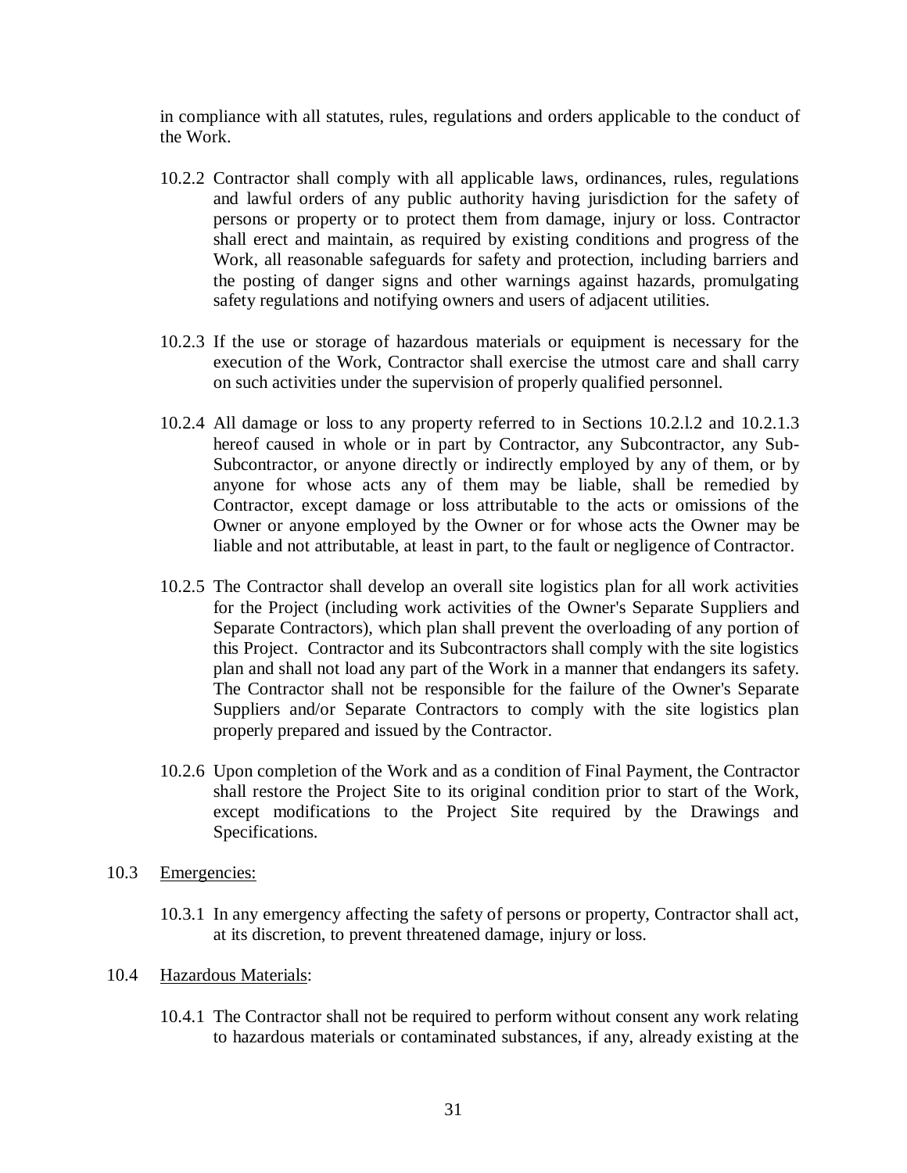in compliance with all statutes, rules, regulations and orders applicable to the conduct of the Work.

- 10.2.2 Contractor shall comply with all applicable laws, ordinances, rules, regulations and lawful orders of any public authority having jurisdiction for the safety of persons or property or to protect them from damage, injury or loss. Contractor shall erect and maintain, as required by existing conditions and progress of the Work, all reasonable safeguards for safety and protection, including barriers and the posting of danger signs and other warnings against hazards, promulgating safety regulations and notifying owners and users of adjacent utilities.
- 10.2.3 If the use or storage of hazardous materials or equipment is necessary for the execution of the Work, Contractor shall exercise the utmost care and shall carry on such activities under the supervision of properly qualified personnel.
- 10.2.4 All damage or loss to any property referred to in Sections 10.2.l.2 and 10.2.1.3 hereof caused in whole or in part by Contractor, any Subcontractor, any Sub-Subcontractor, or anyone directly or indirectly employed by any of them, or by anyone for whose acts any of them may be liable, shall be remedied by Contractor, except damage or loss attributable to the acts or omissions of the Owner or anyone employed by the Owner or for whose acts the Owner may be liable and not attributable, at least in part, to the fault or negligence of Contractor.
- 10.2.5 The Contractor shall develop an overall site logistics plan for all work activities for the Project (including work activities of the Owner's Separate Suppliers and Separate Contractors), which plan shall prevent the overloading of any portion of this Project. Contractor and its Subcontractors shall comply with the site logistics plan and shall not load any part of the Work in a manner that endangers its safety. The Contractor shall not be responsible for the failure of the Owner's Separate Suppliers and/or Separate Contractors to comply with the site logistics plan properly prepared and issued by the Contractor.
- 10.2.6 Upon completion of the Work and as a condition of Final Payment, the Contractor shall restore the Project Site to its original condition prior to start of the Work, except modifications to the Project Site required by the Drawings and Specifications.
- 10.3 Emergencies:
	- 10.3.1 In any emergency affecting the safety of persons or property, Contractor shall act, at its discretion, to prevent threatened damage, injury or loss.
- 10.4 Hazardous Materials:
	- 10.4.1 The Contractor shall not be required to perform without consent any work relating to hazardous materials or contaminated substances, if any, already existing at the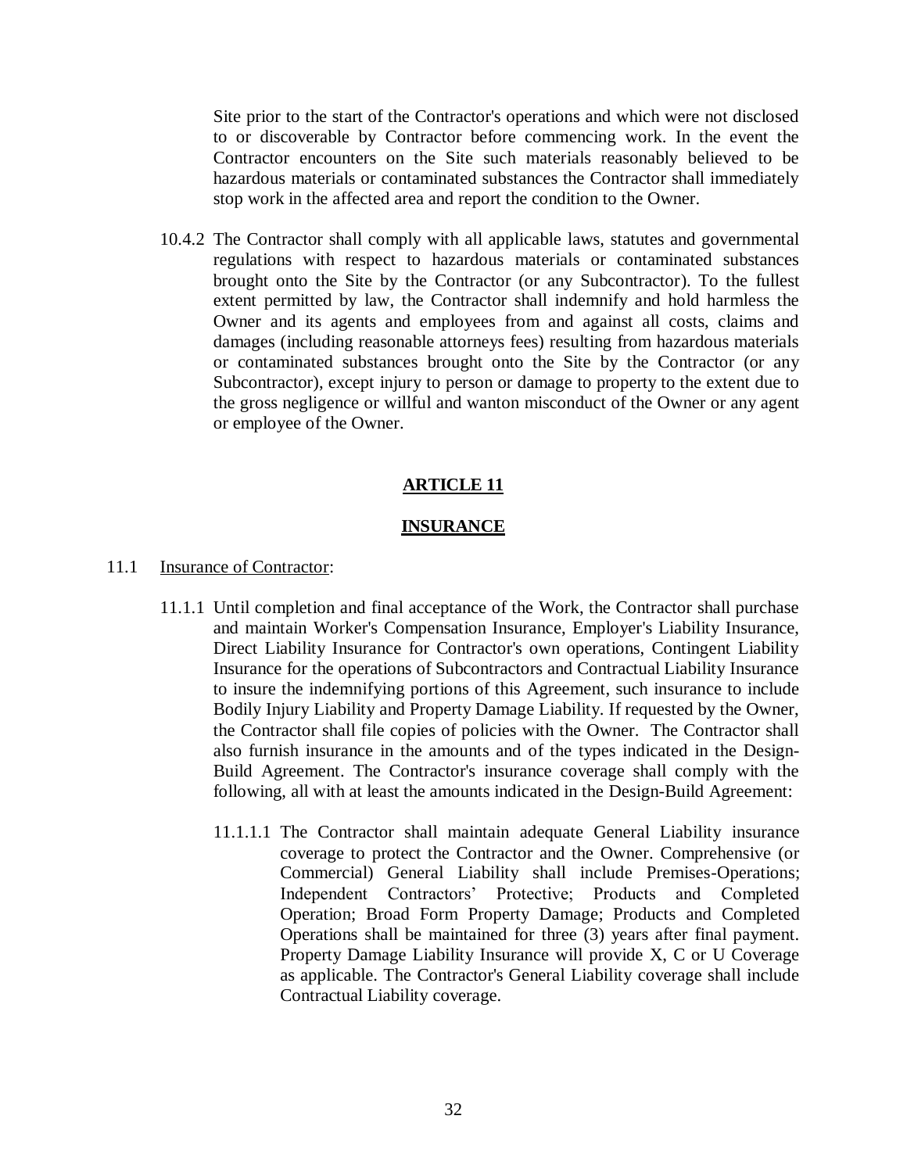Site prior to the start of the Contractor's operations and which were not disclosed to or discoverable by Contractor before commencing work. In the event the Contractor encounters on the Site such materials reasonably believed to be hazardous materials or contaminated substances the Contractor shall immediately stop work in the affected area and report the condition to the Owner.

10.4.2 The Contractor shall comply with all applicable laws, statutes and governmental regulations with respect to hazardous materials or contaminated substances brought onto the Site by the Contractor (or any Subcontractor). To the fullest extent permitted by law, the Contractor shall indemnify and hold harmless the Owner and its agents and employees from and against all costs, claims and damages (including reasonable attorneys fees) resulting from hazardous materials or contaminated substances brought onto the Site by the Contractor (or any Subcontractor), except injury to person or damage to property to the extent due to the gross negligence or willful and wanton misconduct of the Owner or any agent or employee of the Owner.

## **ARTICLE 11**

#### **INSURANCE**

- 11.1 Insurance of Contractor:
	- 11.1.1 Until completion and final acceptance of the Work, the Contractor shall purchase and maintain Worker's Compensation Insurance, Employer's Liability Insurance, Direct Liability Insurance for Contractor's own operations, Contingent Liability Insurance for the operations of Subcontractors and Contractual Liability Insurance to insure the indemnifying portions of this Agreement, such insurance to include Bodily Injury Liability and Property Damage Liability. If requested by the Owner, the Contractor shall file copies of policies with the Owner. The Contractor shall also furnish insurance in the amounts and of the types indicated in the Design-Build Agreement. The Contractor's insurance coverage shall comply with the following, all with at least the amounts indicated in the Design-Build Agreement:
		- 11.1.1.1 The Contractor shall maintain adequate General Liability insurance coverage to protect the Contractor and the Owner. Comprehensive (or Commercial) General Liability shall include Premises-Operations; Independent Contractors' Protective; Products and Completed Operation; Broad Form Property Damage; Products and Completed Operations shall be maintained for three (3) years after final payment. Property Damage Liability Insurance will provide X, C or U Coverage as applicable. The Contractor's General Liability coverage shall include Contractual Liability coverage.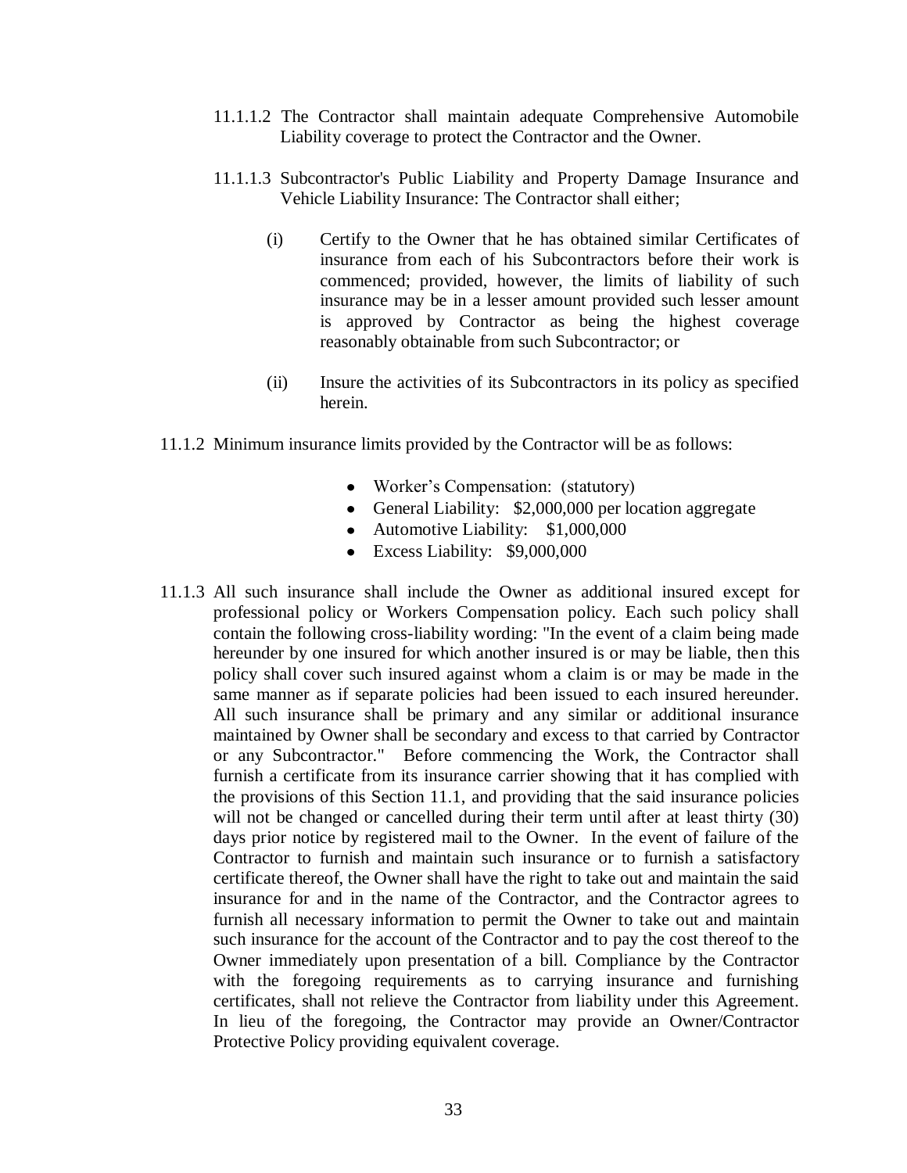- 11.1.1.2 The Contractor shall maintain adequate Comprehensive Automobile Liability coverage to protect the Contractor and the Owner.
- 11.1.1.3 Subcontractor's Public Liability and Property Damage Insurance and Vehicle Liability Insurance: The Contractor shall either;
	- (i) Certify to the Owner that he has obtained similar Certificates of insurance from each of his Subcontractors before their work is commenced; provided, however, the limits of liability of such insurance may be in a lesser amount provided such lesser amount is approved by Contractor as being the highest coverage reasonably obtainable from such Subcontractor; or
	- (ii) Insure the activities of its Subcontractors in its policy as specified herein.
- 11.1.2 Minimum insurance limits provided by the Contractor will be as follows:
	- Worker's Compensation: (statutory)
	- General Liability: \$2,000,000 per location aggregate
	- Automotive Liability: \$1,000,000
	- Excess Liability: \$9,000,000
- 11.1.3 All such insurance shall include the Owner as additional insured except for professional policy or Workers Compensation policy. Each such policy shall contain the following cross-liability wording: "In the event of a claim being made hereunder by one insured for which another insured is or may be liable, then this policy shall cover such insured against whom a claim is or may be made in the same manner as if separate policies had been issued to each insured hereunder. All such insurance shall be primary and any similar or additional insurance maintained by Owner shall be secondary and excess to that carried by Contractor or any Subcontractor." Before commencing the Work, the Contractor shall furnish a certificate from its insurance carrier showing that it has complied with the provisions of this Section 11.1, and providing that the said insurance policies will not be changed or cancelled during their term until after at least thirty (30) days prior notice by registered mail to the Owner. In the event of failure of the Contractor to furnish and maintain such insurance or to furnish a satisfactory certificate thereof, the Owner shall have the right to take out and maintain the said insurance for and in the name of the Contractor, and the Contractor agrees to furnish all necessary information to permit the Owner to take out and maintain such insurance for the account of the Contractor and to pay the cost thereof to the Owner immediately upon presentation of a bill. Compliance by the Contractor with the foregoing requirements as to carrying insurance and furnishing certificates, shall not relieve the Contractor from liability under this Agreement. In lieu of the foregoing, the Contractor may provide an Owner/Contractor Protective Policy providing equivalent coverage.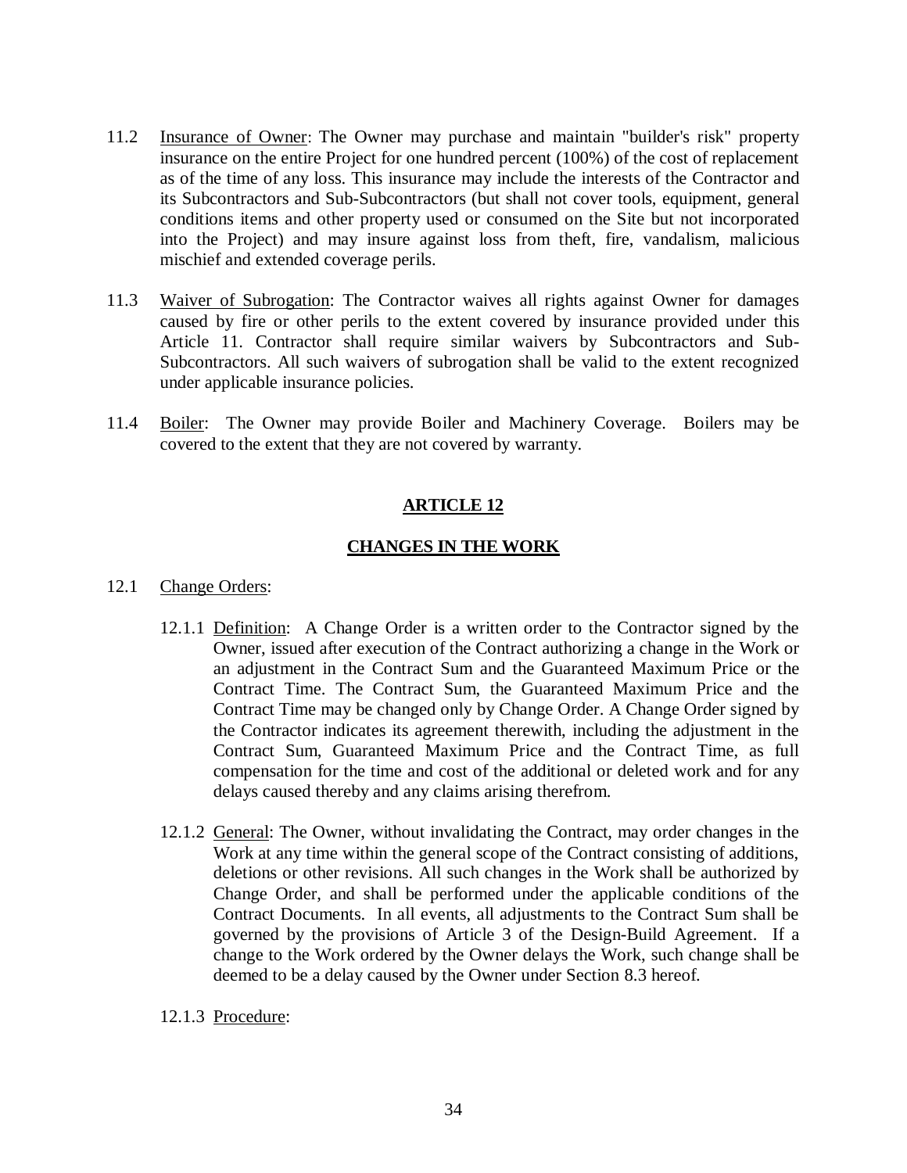- 11.2 Insurance of Owner: The Owner may purchase and maintain "builder's risk" property insurance on the entire Project for one hundred percent (100%) of the cost of replacement as of the time of any loss. This insurance may include the interests of the Contractor and its Subcontractors and Sub-Subcontractors (but shall not cover tools, equipment, general conditions items and other property used or consumed on the Site but not incorporated into the Project) and may insure against loss from theft, fire, vandalism, malicious mischief and extended coverage perils.
- 11.3 Waiver of Subrogation: The Contractor waives all rights against Owner for damages caused by fire or other perils to the extent covered by insurance provided under this Article 11. Contractor shall require similar waivers by Subcontractors and Sub-Subcontractors. All such waivers of subrogation shall be valid to the extent recognized under applicable insurance policies.
- 11.4 Boiler: The Owner may provide Boiler and Machinery Coverage. Boilers may be covered to the extent that they are not covered by warranty.

# **ARTICLE 12**

# **CHANGES IN THE WORK**

## 12.1 Change Orders:

- 12.1.1 Definition: A Change Order is a written order to the Contractor signed by the Owner, issued after execution of the Contract authorizing a change in the Work or an adjustment in the Contract Sum and the Guaranteed Maximum Price or the Contract Time. The Contract Sum, the Guaranteed Maximum Price and the Contract Time may be changed only by Change Order. A Change Order signed by the Contractor indicates its agreement therewith, including the adjustment in the Contract Sum, Guaranteed Maximum Price and the Contract Time, as full compensation for the time and cost of the additional or deleted work and for any delays caused thereby and any claims arising therefrom.
- 12.1.2 General: The Owner, without invalidating the Contract, may order changes in the Work at any time within the general scope of the Contract consisting of additions, deletions or other revisions. All such changes in the Work shall be authorized by Change Order, and shall be performed under the applicable conditions of the Contract Documents. In all events, all adjustments to the Contract Sum shall be governed by the provisions of Article 3 of the Design-Build Agreement. If a change to the Work ordered by the Owner delays the Work, such change shall be deemed to be a delay caused by the Owner under Section 8.3 hereof.

12.1.3 Procedure: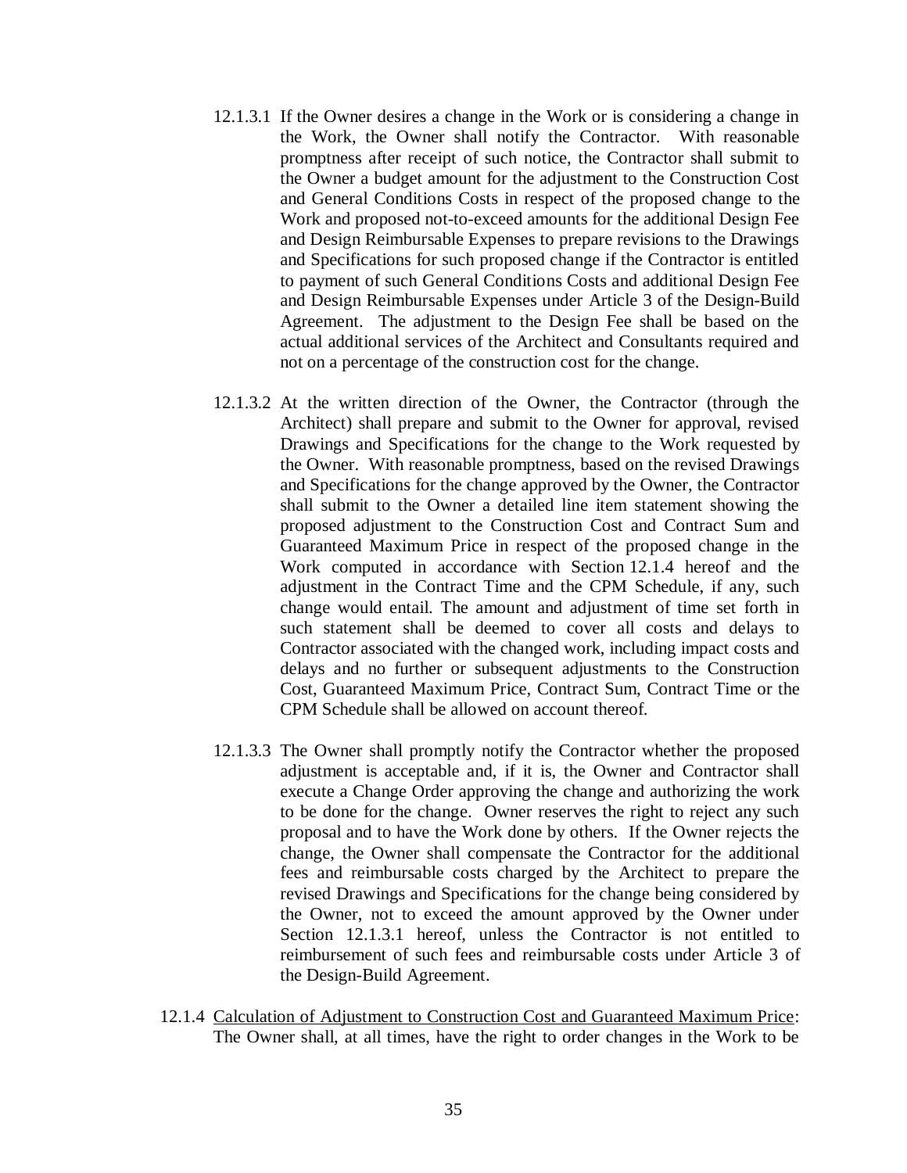- 12.1.3.1 If the Owner desires a change in the Work or is considering a change in the Work, the Owner shall notify the Contractor. With reasonable promptness after receipt of such notice, the Contractor shall submit to the Owner a budget amount for the adjustment to the Construction Cost and General Conditions Costs in respect of the proposed change to the Work and proposed not-to-exceed amounts for the additional Design Fee and Design Reimbursable Expenses to prepare revisions to the Drawings and Specifications for such proposed change if the Contractor is entitled to payment of such General Conditions Costs and additional Design Fee and Design Reimbursable Expenses under Article 3 of the Design-Build Agreement. The adjustment to the Design Fee shall be based on the actual additional services of the Architect and Consultants required and not on a percentage of the construction cost for the change.
- 12.1.3.2 At the written direction of the Owner, the Contractor (through the Architect) shall prepare and submit to the Owner for approval, revised Drawings and Specifications for the change to the Work requested by the Owner. With reasonable promptness, based on the revised Drawings and Specifications for the change approved by the Owner, the Contractor shall submit to the Owner a detailed line item statement showing the proposed adjustment to the Construction Cost and Contract Sum and Guaranteed Maximum Price in respect of the proposed change in the Work computed in accordance with Section 12.1.4 hereof and the adjustment in the Contract Time and the CPM Schedule, if any, such change would entail. The amount and adjustment of time set forth in such statement shall be deemed to cover all costs and delays to Contractor associated with the changed work, including impact costs and delays and no further or subsequent adjustments to the Construction Cost, Guaranteed Maximum Price, Contract Sum, Contract Time or the CPM Schedule shall be allowed on account thereof.
- 12.1.3.3 The Owner shall promptly notify the Contractor whether the proposed adjustment is acceptable and, if it is, the Owner and Contractor shall execute a Change Order approving the change and authorizing the work to be done for the change. Owner reserves the right to reject any such proposal and to have the Work done by others. If the Owner rejects the change, the Owner shall compensate the Contractor for the additional fees and reimbursable costs charged by the Architect to prepare the revised Drawings and Specifications for the change being considered by the Owner, not to exceed the amount approved by the Owner under Section 12.1.3.1 hereof, unless the Contractor is not entitled to reimbursement of such fees and reimbursable costs under Article 3 of the Design-Build Agreement.
- 12.1.4 Calculation of Adjustment to Construction Cost and Guaranteed Maximum Price: The Owner shall, at all times, have the right to order changes in the Work to be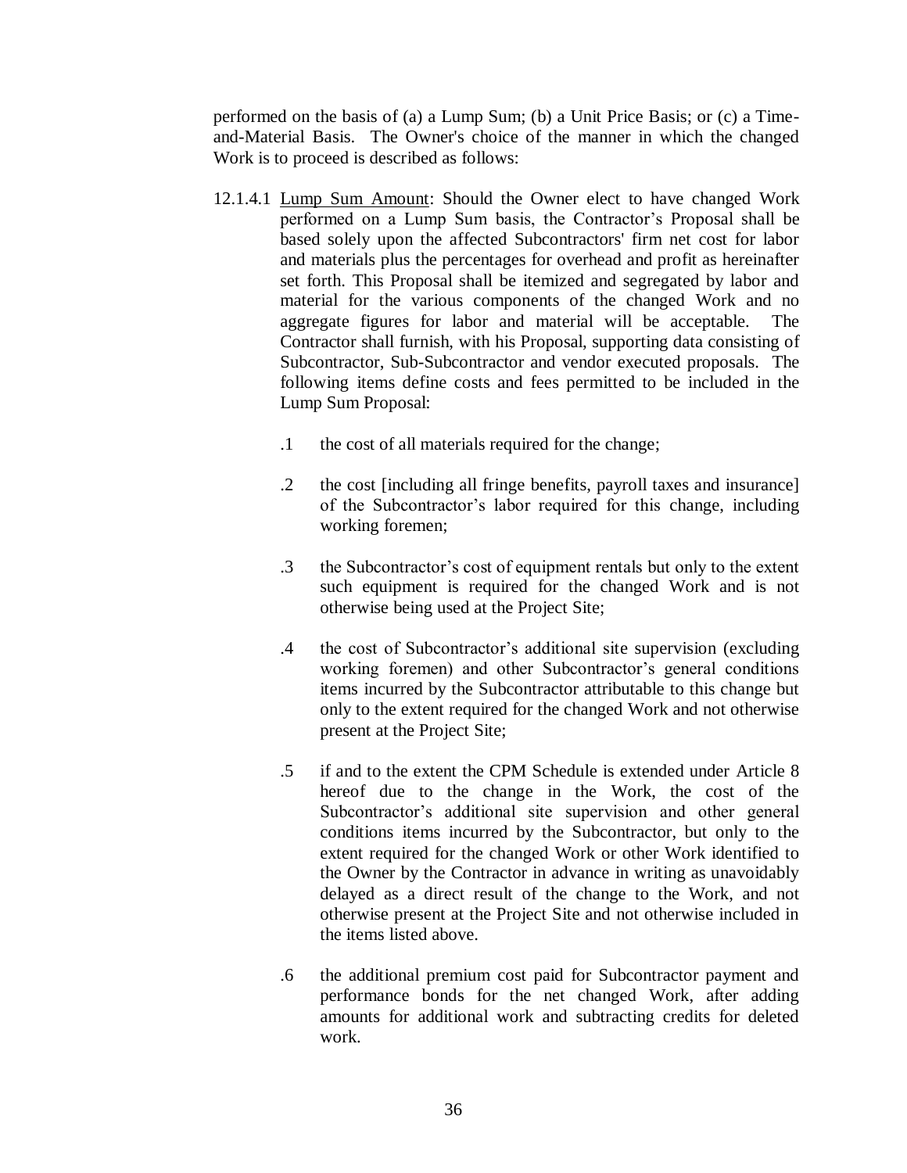performed on the basis of (a) a Lump Sum; (b) a Unit Price Basis; or (c) a Timeand-Material Basis. The Owner's choice of the manner in which the changed Work is to proceed is described as follows:

- 12.1.4.1 Lump Sum Amount: Should the Owner elect to have changed Work performed on a Lump Sum basis, the Contractor's Proposal shall be based solely upon the affected Subcontractors' firm net cost for labor and materials plus the percentages for overhead and profit as hereinafter set forth. This Proposal shall be itemized and segregated by labor and material for the various components of the changed Work and no aggregate figures for labor and material will be acceptable. The Contractor shall furnish, with his Proposal, supporting data consisting of Subcontractor, Sub-Subcontractor and vendor executed proposals. The following items define costs and fees permitted to be included in the Lump Sum Proposal:
	- .1 the cost of all materials required for the change;
	- .2 the cost [including all fringe benefits, payroll taxes and insurance] of the Subcontractor's labor required for this change, including working foremen;
	- .3 the Subcontractor's cost of equipment rentals but only to the extent such equipment is required for the changed Work and is not otherwise being used at the Project Site;
	- .4 the cost of Subcontractor's additional site supervision (excluding working foremen) and other Subcontractor's general conditions items incurred by the Subcontractor attributable to this change but only to the extent required for the changed Work and not otherwise present at the Project Site;
	- .5 if and to the extent the CPM Schedule is extended under Article 8 hereof due to the change in the Work, the cost of the Subcontractor's additional site supervision and other general conditions items incurred by the Subcontractor, but only to the extent required for the changed Work or other Work identified to the Owner by the Contractor in advance in writing as unavoidably delayed as a direct result of the change to the Work, and not otherwise present at the Project Site and not otherwise included in the items listed above.
	- .6 the additional premium cost paid for Subcontractor payment and performance bonds for the net changed Work, after adding amounts for additional work and subtracting credits for deleted work.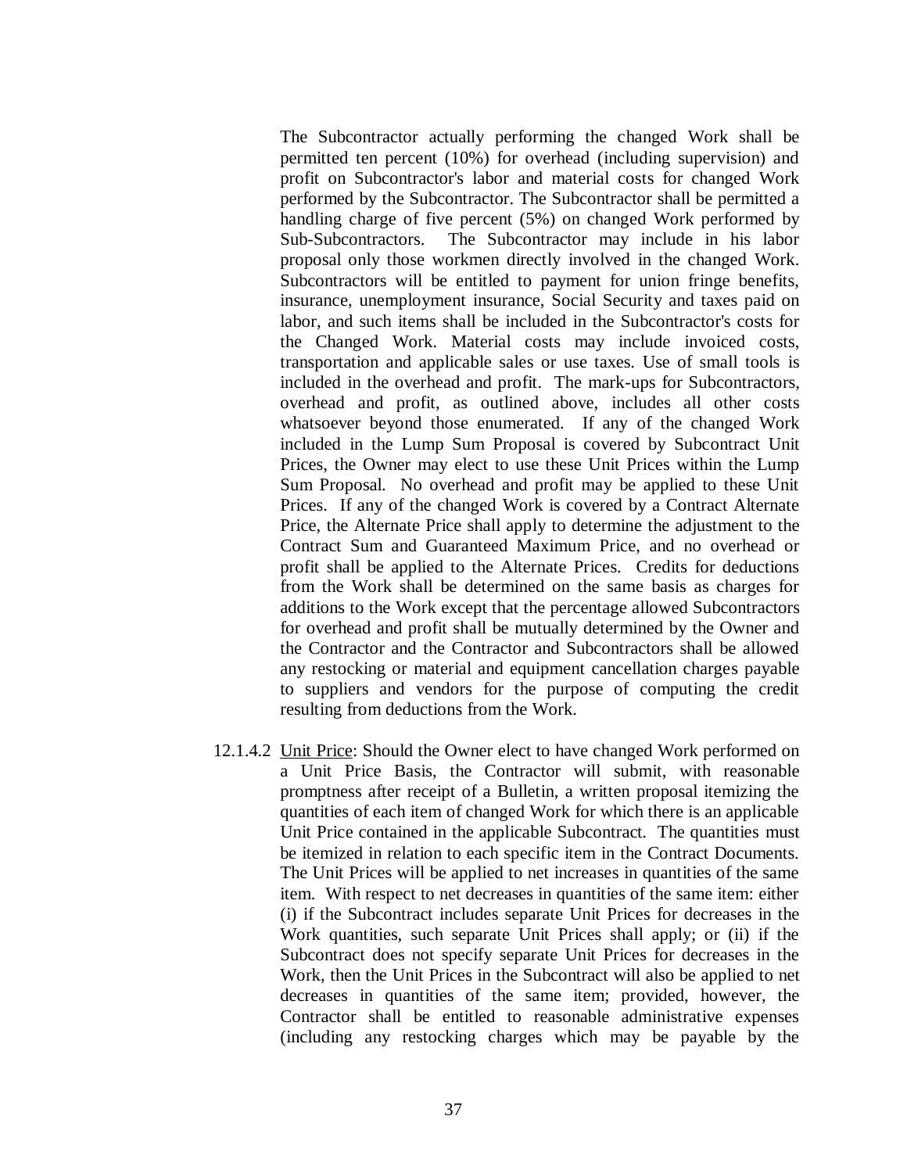The Subcontractor actually performing the changed Work shall be permitted ten percent (10%) for overhead (including supervision) and profit on Subcontractor's labor and material costs for changed Work performed by the Subcontractor. The Subcontractor shall be permitted a handling charge of five percent (5%) on changed Work performed by Sub-Subcontractors. The Subcontractor may include in his labor proposal only those workmen directly involved in the changed Work. Subcontractors will be entitled to payment for union fringe benefits, insurance, unemployment insurance, Social Security and taxes paid on labor, and such items shall be included in the Subcontractor's costs for the Changed Work. Material costs may include invoiced costs, transportation and applicable sales or use taxes. Use of small tools is included in the overhead and profit. The mark-ups for Subcontractors, overhead and profit, as outlined above, includes all other costs whatsoever beyond those enumerated. If any of the changed Work included in the Lump Sum Proposal is covered by Subcontract Unit Prices, the Owner may elect to use these Unit Prices within the Lump Sum Proposal. No overhead and profit may be applied to these Unit Prices. If any of the changed Work is covered by a Contract Alternate Price, the Alternate Price shall apply to determine the adjustment to the Contract Sum and Guaranteed Maximum Price, and no overhead or profit shall be applied to the Alternate Prices. Credits for deductions from the Work shall be determined on the same basis as charges for additions to the Work except that the percentage allowed Subcontractors for overhead and profit shall be mutually determined by the Owner and the Contractor and the Contractor and Subcontractors shall be allowed any restocking or material and equipment cancellation charges payable to suppliers and vendors for the purpose of computing the credit resulting from deductions from the Work.

12.1.4.2 Unit Price: Should the Owner elect to have changed Work performed on a Unit Price Basis, the Contractor will submit, with reasonable promptness after receipt of a Bulletin, a written proposal itemizing the quantities of each item of changed Work for which there is an applicable Unit Price contained in the applicable Subcontract. The quantities must be itemized in relation to each specific item in the Contract Documents. The Unit Prices will be applied to net increases in quantities of the same item. With respect to net decreases in quantities of the same item: either (i) if the Subcontract includes separate Unit Prices for decreases in the Work quantities, such separate Unit Prices shall apply; or (ii) if the Subcontract does not specify separate Unit Prices for decreases in the Work, then the Unit Prices in the Subcontract will also be applied to net decreases in quantities of the same item; provided, however, the Contractor shall be entitled to reasonable administrative expenses (including any restocking charges which may be payable by the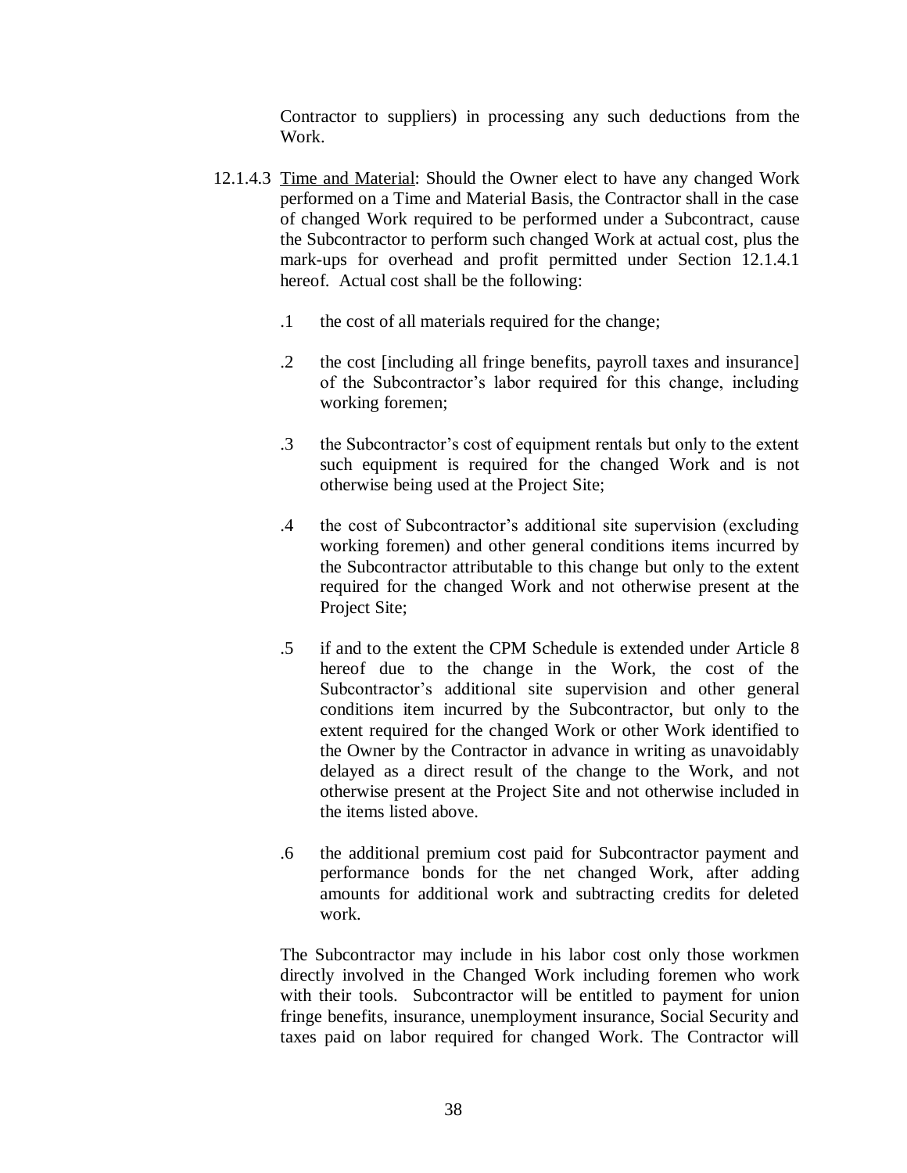Contractor to suppliers) in processing any such deductions from the Work.

- 12.1.4.3 Time and Material: Should the Owner elect to have any changed Work performed on a Time and Material Basis, the Contractor shall in the case of changed Work required to be performed under a Subcontract, cause the Subcontractor to perform such changed Work at actual cost, plus the mark-ups for overhead and profit permitted under Section 12.1.4.1 hereof. Actual cost shall be the following:
	- .1 the cost of all materials required for the change;
	- .2 the cost [including all fringe benefits, payroll taxes and insurance] of the Subcontractor's labor required for this change, including working foremen;
	- .3 the Subcontractor's cost of equipment rentals but only to the extent such equipment is required for the changed Work and is not otherwise being used at the Project Site;
	- .4 the cost of Subcontractor's additional site supervision (excluding working foremen) and other general conditions items incurred by the Subcontractor attributable to this change but only to the extent required for the changed Work and not otherwise present at the Project Site;
	- .5 if and to the extent the CPM Schedule is extended under Article 8 hereof due to the change in the Work, the cost of the Subcontractor's additional site supervision and other general conditions item incurred by the Subcontractor, but only to the extent required for the changed Work or other Work identified to the Owner by the Contractor in advance in writing as unavoidably delayed as a direct result of the change to the Work, and not otherwise present at the Project Site and not otherwise included in the items listed above.
	- .6 the additional premium cost paid for Subcontractor payment and performance bonds for the net changed Work, after adding amounts for additional work and subtracting credits for deleted work.

The Subcontractor may include in his labor cost only those workmen directly involved in the Changed Work including foremen who work with their tools. Subcontractor will be entitled to payment for union fringe benefits, insurance, unemployment insurance, Social Security and taxes paid on labor required for changed Work. The Contractor will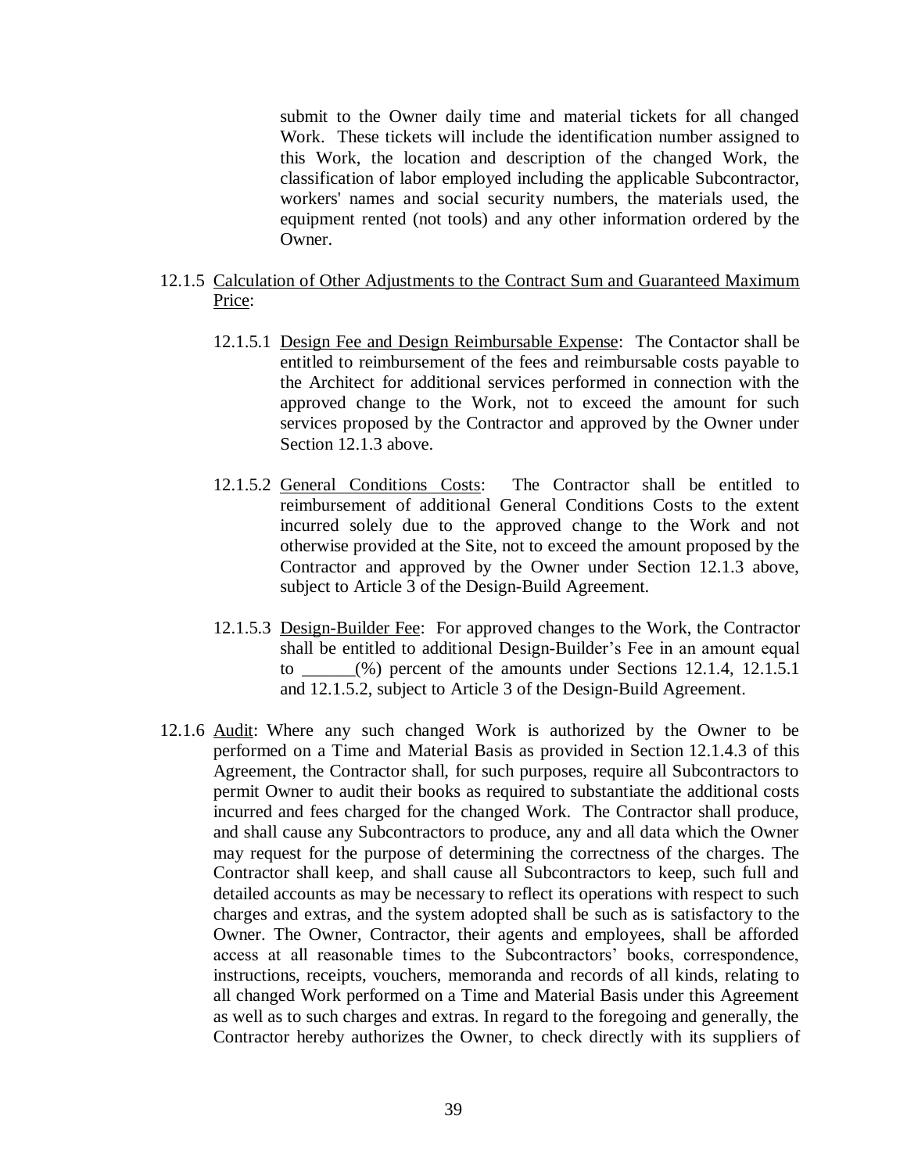submit to the Owner daily time and material tickets for all changed Work. These tickets will include the identification number assigned to this Work, the location and description of the changed Work, the classification of labor employed including the applicable Subcontractor, workers' names and social security numbers, the materials used, the equipment rented (not tools) and any other information ordered by the Owner.

- 12.1.5 Calculation of Other Adjustments to the Contract Sum and Guaranteed Maximum Price:
	- 12.1.5.1 Design Fee and Design Reimbursable Expense: The Contactor shall be entitled to reimbursement of the fees and reimbursable costs payable to the Architect for additional services performed in connection with the approved change to the Work, not to exceed the amount for such services proposed by the Contractor and approved by the Owner under Section 12.1.3 above.
	- 12.1.5.2 General Conditions Costs: The Contractor shall be entitled to reimbursement of additional General Conditions Costs to the extent incurred solely due to the approved change to the Work and not otherwise provided at the Site, not to exceed the amount proposed by the Contractor and approved by the Owner under Section 12.1.3 above, subject to Article 3 of the Design-Build Agreement.
	- 12.1.5.3 Design-Builder Fee: For approved changes to the Work, the Contractor shall be entitled to additional Design-Builder's Fee in an amount equal to  $(\%)$  percent of the amounts under Sections 12.1.4, 12.1.5.1 and 12.1.5.2, subject to Article 3 of the Design-Build Agreement.
- 12.1.6 Audit: Where any such changed Work is authorized by the Owner to be performed on a Time and Material Basis as provided in Section 12.1.4.3 of this Agreement, the Contractor shall, for such purposes, require all Subcontractors to permit Owner to audit their books as required to substantiate the additional costs incurred and fees charged for the changed Work. The Contractor shall produce, and shall cause any Subcontractors to produce, any and all data which the Owner may request for the purpose of determining the correctness of the charges. The Contractor shall keep, and shall cause all Subcontractors to keep, such full and detailed accounts as may be necessary to reflect its operations with respect to such charges and extras, and the system adopted shall be such as is satisfactory to the Owner. The Owner, Contractor, their agents and employees, shall be afforded access at all reasonable times to the Subcontractors' books, correspondence, instructions, receipts, vouchers, memoranda and records of all kinds, relating to all changed Work performed on a Time and Material Basis under this Agreement as well as to such charges and extras. In regard to the foregoing and generally, the Contractor hereby authorizes the Owner, to check directly with its suppliers of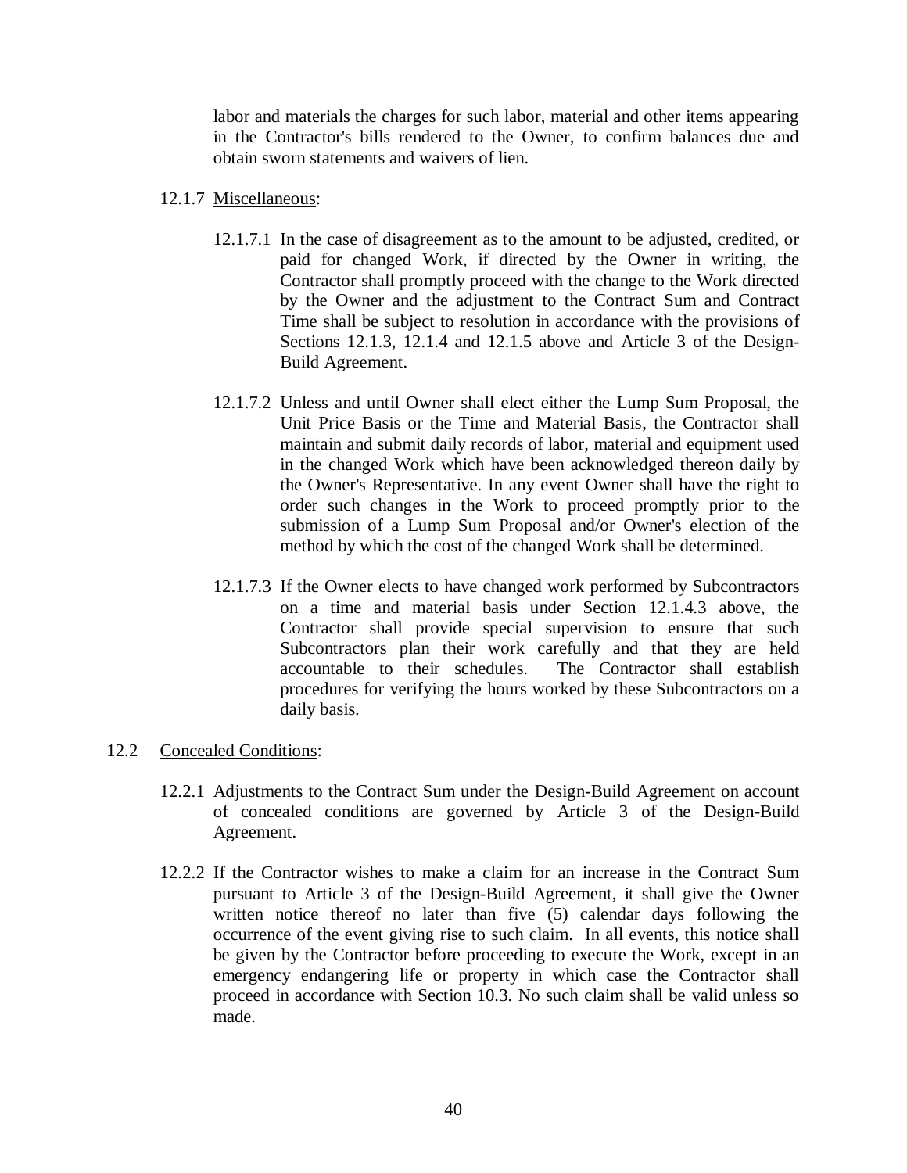labor and materials the charges for such labor, material and other items appearing in the Contractor's bills rendered to the Owner, to confirm balances due and obtain sworn statements and waivers of lien.

## 12.1.7 Miscellaneous:

- 12.1.7.1 In the case of disagreement as to the amount to be adjusted, credited, or paid for changed Work, if directed by the Owner in writing, the Contractor shall promptly proceed with the change to the Work directed by the Owner and the adjustment to the Contract Sum and Contract Time shall be subject to resolution in accordance with the provisions of Sections 12.1.3, 12.1.4 and 12.1.5 above and Article 3 of the Design-Build Agreement.
- 12.1.7.2 Unless and until Owner shall elect either the Lump Sum Proposal, the Unit Price Basis or the Time and Material Basis, the Contractor shall maintain and submit daily records of labor, material and equipment used in the changed Work which have been acknowledged thereon daily by the Owner's Representative. In any event Owner shall have the right to order such changes in the Work to proceed promptly prior to the submission of a Lump Sum Proposal and/or Owner's election of the method by which the cost of the changed Work shall be determined.
- 12.1.7.3 If the Owner elects to have changed work performed by Subcontractors on a time and material basis under Section 12.1.4.3 above, the Contractor shall provide special supervision to ensure that such Subcontractors plan their work carefully and that they are held accountable to their schedules. The Contractor shall establish procedures for verifying the hours worked by these Subcontractors on a daily basis.

## 12.2 Concealed Conditions:

- 12.2.1 Adjustments to the Contract Sum under the Design-Build Agreement on account of concealed conditions are governed by Article 3 of the Design-Build Agreement.
- 12.2.2 If the Contractor wishes to make a claim for an increase in the Contract Sum pursuant to Article 3 of the Design-Build Agreement, it shall give the Owner written notice thereof no later than five (5) calendar days following the occurrence of the event giving rise to such claim. In all events, this notice shall be given by the Contractor before proceeding to execute the Work, except in an emergency endangering life or property in which case the Contractor shall proceed in accordance with Section 10.3. No such claim shall be valid unless so made.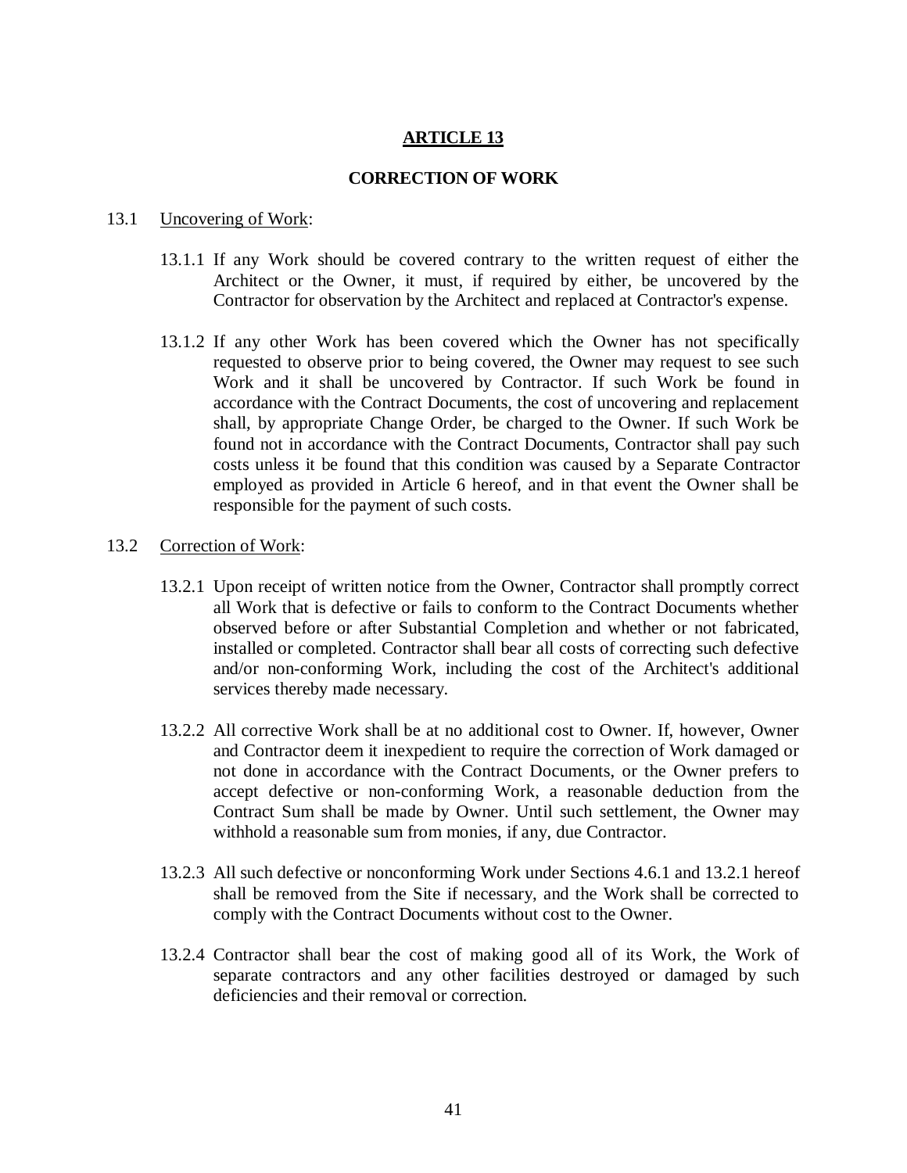# **ARTICLE 13**

### **CORRECTION OF WORK**

#### 13.1 Uncovering of Work:

- 13.1.1 If any Work should be covered contrary to the written request of either the Architect or the Owner, it must, if required by either, be uncovered by the Contractor for observation by the Architect and replaced at Contractor's expense.
- 13.1.2 If any other Work has been covered which the Owner has not specifically requested to observe prior to being covered, the Owner may request to see such Work and it shall be uncovered by Contractor. If such Work be found in accordance with the Contract Documents, the cost of uncovering and replacement shall, by appropriate Change Order, be charged to the Owner. If such Work be found not in accordance with the Contract Documents, Contractor shall pay such costs unless it be found that this condition was caused by a Separate Contractor employed as provided in Article 6 hereof, and in that event the Owner shall be responsible for the payment of such costs.

#### 13.2 Correction of Work:

- 13.2.1 Upon receipt of written notice from the Owner, Contractor shall promptly correct all Work that is defective or fails to conform to the Contract Documents whether observed before or after Substantial Completion and whether or not fabricated, installed or completed. Contractor shall bear all costs of correcting such defective and/or non-conforming Work, including the cost of the Architect's additional services thereby made necessary.
- 13.2.2 All corrective Work shall be at no additional cost to Owner. If, however, Owner and Contractor deem it inexpedient to require the correction of Work damaged or not done in accordance with the Contract Documents, or the Owner prefers to accept defective or non-conforming Work, a reasonable deduction from the Contract Sum shall be made by Owner. Until such settlement, the Owner may withhold a reasonable sum from monies, if any, due Contractor.
- 13.2.3 All such defective or nonconforming Work under Sections 4.6.1 and 13.2.1 hereof shall be removed from the Site if necessary, and the Work shall be corrected to comply with the Contract Documents without cost to the Owner.
- 13.2.4 Contractor shall bear the cost of making good all of its Work, the Work of separate contractors and any other facilities destroyed or damaged by such deficiencies and their removal or correction.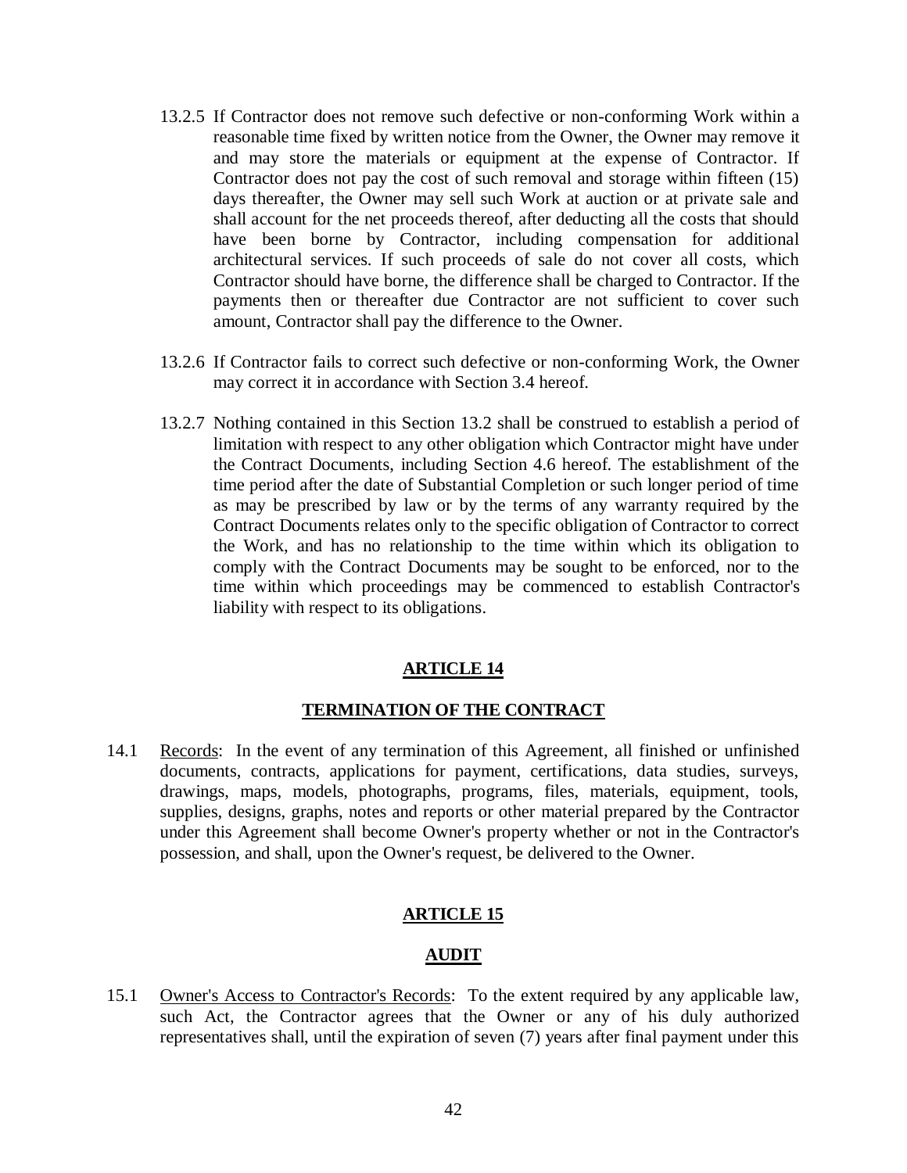- 13.2.5 If Contractor does not remove such defective or non-conforming Work within a reasonable time fixed by written notice from the Owner, the Owner may remove it and may store the materials or equipment at the expense of Contractor. If Contractor does not pay the cost of such removal and storage within fifteen (15) days thereafter, the Owner may sell such Work at auction or at private sale and shall account for the net proceeds thereof, after deducting all the costs that should have been borne by Contractor, including compensation for additional architectural services. If such proceeds of sale do not cover all costs, which Contractor should have borne, the difference shall be charged to Contractor. If the payments then or thereafter due Contractor are not sufficient to cover such amount, Contractor shall pay the difference to the Owner.
- 13.2.6 If Contractor fails to correct such defective or non-conforming Work, the Owner may correct it in accordance with Section 3.4 hereof.
- 13.2.7 Nothing contained in this Section 13.2 shall be construed to establish a period of limitation with respect to any other obligation which Contractor might have under the Contract Documents, including Section 4.6 hereof. The establishment of the time period after the date of Substantial Completion or such longer period of time as may be prescribed by law or by the terms of any warranty required by the Contract Documents relates only to the specific obligation of Contractor to correct the Work, and has no relationship to the time within which its obligation to comply with the Contract Documents may be sought to be enforced, nor to the time within which proceedings may be commenced to establish Contractor's liability with respect to its obligations.

## **ARTICLE 14**

## **TERMINATION OF THE CONTRACT**

14.1 Records: In the event of any termination of this Agreement, all finished or unfinished documents, contracts, applications for payment, certifications, data studies, surveys, drawings, maps, models, photographs, programs, files, materials, equipment, tools, supplies, designs, graphs, notes and reports or other material prepared by the Contractor under this Agreement shall become Owner's property whether or not in the Contractor's possession, and shall, upon the Owner's request, be delivered to the Owner.

# **ARTICLE 15**

## **AUDIT**

15.1 Owner's Access to Contractor's Records: To the extent required by any applicable law, such Act, the Contractor agrees that the Owner or any of his duly authorized representatives shall, until the expiration of seven (7) years after final payment under this